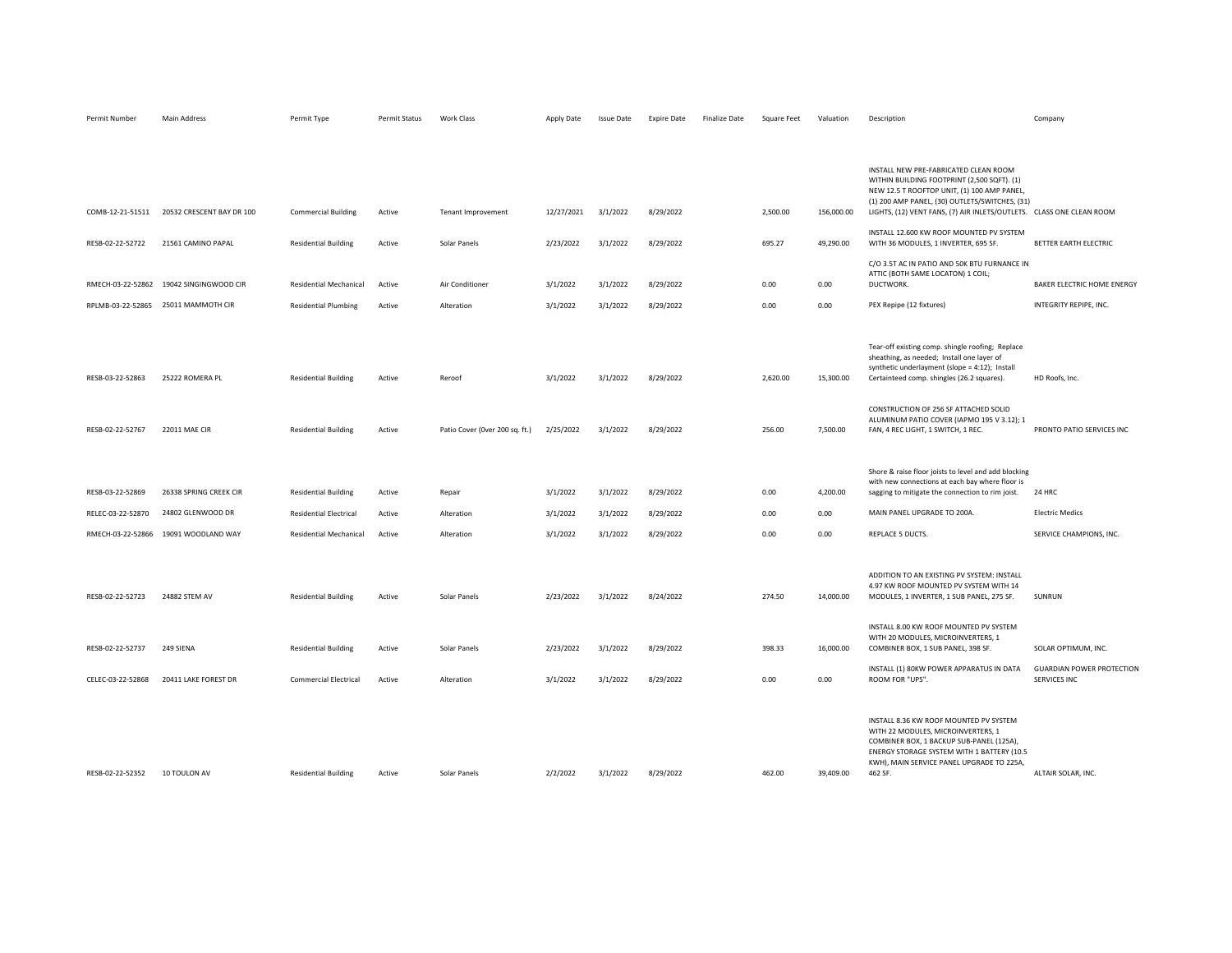| COMB-12-21-51511  | 20532 CRESCENT BAY DR 100               | <b>Commercial Building</b>    | Active | <b>Tenant Improvement</b>      | 12/27/2021 | 3/1/2022 | 8/29/2022 | 2,500.00 | 156,000.00 | INSTALL NEW PRE-FABRICATED CLEAN ROOM<br>WITHIN BUILDING FOOTPRINT (2,500 SQFT). (1)<br>NEW 12.5 T ROOFTOP UNIT, (1) 100 AMP PANEL,<br>(1) 200 AMP PANEL, (30) OUTLETS/SWITCHES, (31)<br>LIGHTS, (12) VENT FANS, (7) AIR INLETS/OUTLETS. CLASS ONE CLEAN ROOM |                                                  |
|-------------------|-----------------------------------------|-------------------------------|--------|--------------------------------|------------|----------|-----------|----------|------------|---------------------------------------------------------------------------------------------------------------------------------------------------------------------------------------------------------------------------------------------------------------|--------------------------------------------------|
| RESB-02-22-52722  | 21561 CAMINO PAPAL                      | <b>Residential Building</b>   | Active | Solar Panels                   | 2/23/2022  | 3/1/2022 | 8/29/2022 | 695.27   | 49,290.00  | INSTALL 12.600 KW ROOF MOUNTED PV SYSTEM<br>WITH 36 MODULES, 1 INVERTER, 695 SF.                                                                                                                                                                              | BETTER EARTH ELECTRIC                            |
|                   |                                         |                               |        |                                |            |          |           |          |            | C/O 3.5T AC IN PATIO AND 50K BTU FURNANCE IN                                                                                                                                                                                                                  |                                                  |
|                   | RMECH-03-22-52862 19042 SINGINGWOOD CIR | Residential Mechanical        | Active | Air Conditioner                | 3/1/2022   | 3/1/2022 | 8/29/2022 | 0.00     | 0.00       | ATTIC (BOTH SAME LOCATON) 1 COIL;<br>DUCTWORK.                                                                                                                                                                                                                | BAKER ELECTRIC HOME ENERGY                       |
|                   | RPLMB-03-22-52865 25011 MAMMOTH CIR     | <b>Residential Plumbing</b>   | Active | Alteration                     | 3/1/2022   | 3/1/2022 | 8/29/2022 | 0.00     | 0.00       | PEX Repipe (12 fixtures)                                                                                                                                                                                                                                      | INTEGRITY REPIPE, INC.                           |
| RESB-03-22-52863  | 25222 ROMERA PL                         | <b>Residential Building</b>   | Active | Reroof                         | 3/1/2022   | 3/1/2022 | 8/29/2022 | 2,620.00 | 15,300.00  | Tear-off existing comp. shingle roofing; Replace<br>sheathing, as needed; Install one layer of<br>synthetic underlayment (slope = 4:12); Install<br>Certainteed comp. shingles (26.2 squares).                                                                | HD Roofs, Inc.                                   |
| RESB-02-22-52767  | <b>22011 MAE CIR</b>                    | <b>Residential Building</b>   | Active | Patio Cover (Over 200 sq. ft.) | 2/25/2022  | 3/1/2022 | 8/29/2022 | 256.00   | 7,500.00   | CONSTRUCTION OF 256 SF ATTACHED SOLID<br>ALUMINUM PATIO COVER (IAPMO 195 V 3.12); 1<br>FAN, 4 REC LIGHT, 1 SWITCH, 1 REC.                                                                                                                                     | PRONTO PATIO SERVICES INC                        |
| RESB-03-22-52869  | 26338 SPRING CREEK CIR                  | <b>Residential Building</b>   | Active | Repair                         | 3/1/2022   | 3/1/2022 | 8/29/2022 | 0.00     | 4,200.00   | Shore & raise floor joists to level and add blocking<br>with new connections at each bay where floor is<br>sagging to mitigate the connection to rim joist.                                                                                                   | 24 HRC                                           |
| RELEC-03-22-52870 | 24802 GLENWOOD DR                       | <b>Residential Electrical</b> | Active | Alteration                     | 3/1/2022   | 3/1/2022 | 8/29/2022 | 0.00     | 0.00       | MAIN PANEL UPGRADE TO 200A.                                                                                                                                                                                                                                   | <b>Electric Medics</b>                           |
|                   | RMECH-03-22-52866 19091 WOODLAND WAY    | Residential Mechanical        | Active | Alteration                     | 3/1/2022   | 3/1/2022 | 8/29/2022 | 0.00     | 0.00       | REPLACE 5 DUCTS.                                                                                                                                                                                                                                              | SERVICE CHAMPIONS, INC.                          |
| RESB-02-22-52723  | 24882 STEM AV                           | <b>Residential Building</b>   | Active | Solar Panels                   | 2/23/2022  | 3/1/2022 | 8/24/2022 | 274.50   | 14,000.00  | ADDITION TO AN EXISTING PV SYSTEM: INSTALL<br>4.97 KW ROOF MOUNTED PV SYSTEM WITH 14<br>MODULES, 1 INVERTER, 1 SUB PANEL, 275 SF.                                                                                                                             | SUNRUN                                           |
| RESB-02-22-52737  | 249 SIENA                               | <b>Residential Building</b>   | Active | Solar Panels                   | 2/23/2022  | 3/1/2022 | 8/29/2022 | 398.33   | 16,000.00  | INSTALL 8.00 KW ROOF MOUNTED PV SYSTEM<br>WITH 20 MODULES, MICROINVERTERS, 1<br>COMBINER BOX, 1 SUB PANEL, 398 SF.                                                                                                                                            | SOLAR OPTIMUM, INC.                              |
| CELEC-03-22-52868 | 20411 LAKE FOREST DR                    | <b>Commercial Electrical</b>  | Active | Alteration                     | 3/1/2022   | 3/1/2022 | 8/29/2022 | 0.00     | 0.00       | INSTALL (1) 80KW POWER APPARATUS IN DATA<br>ROOM FOR "UPS".                                                                                                                                                                                                   | <b>GUARDIAN POWER PROTECTION</b><br>SERVICES INC |
| RESB-02-22-52352  | 10 TOULON AV                            | <b>Residential Building</b>   | Active | Solar Panels                   | 2/2/2022   | 3/1/2022 | 8/29/2022 | 462.00   | 39,409.00  | INSTALL 8.36 KW ROOF MOUNTED PV SYSTEM<br>WITH 22 MODULES, MICROINVERTERS, 1<br>COMBINER BOX, 1 BACKUP SUB-PANEL (125A),<br>ENERGY STORAGE SYSTEM WITH 1 BATTERY (10.5<br>KWH), MAIN SERVICE PANEL UPGRADE TO 225A,<br>462 SF.                                | ALTAIR SOLAR, INC.                               |

Permit Number Main Address **Permit Type** Permit Status Work Class Apply Date Issue Date Expire Date Finalize Date Square Feet Valuation Description Company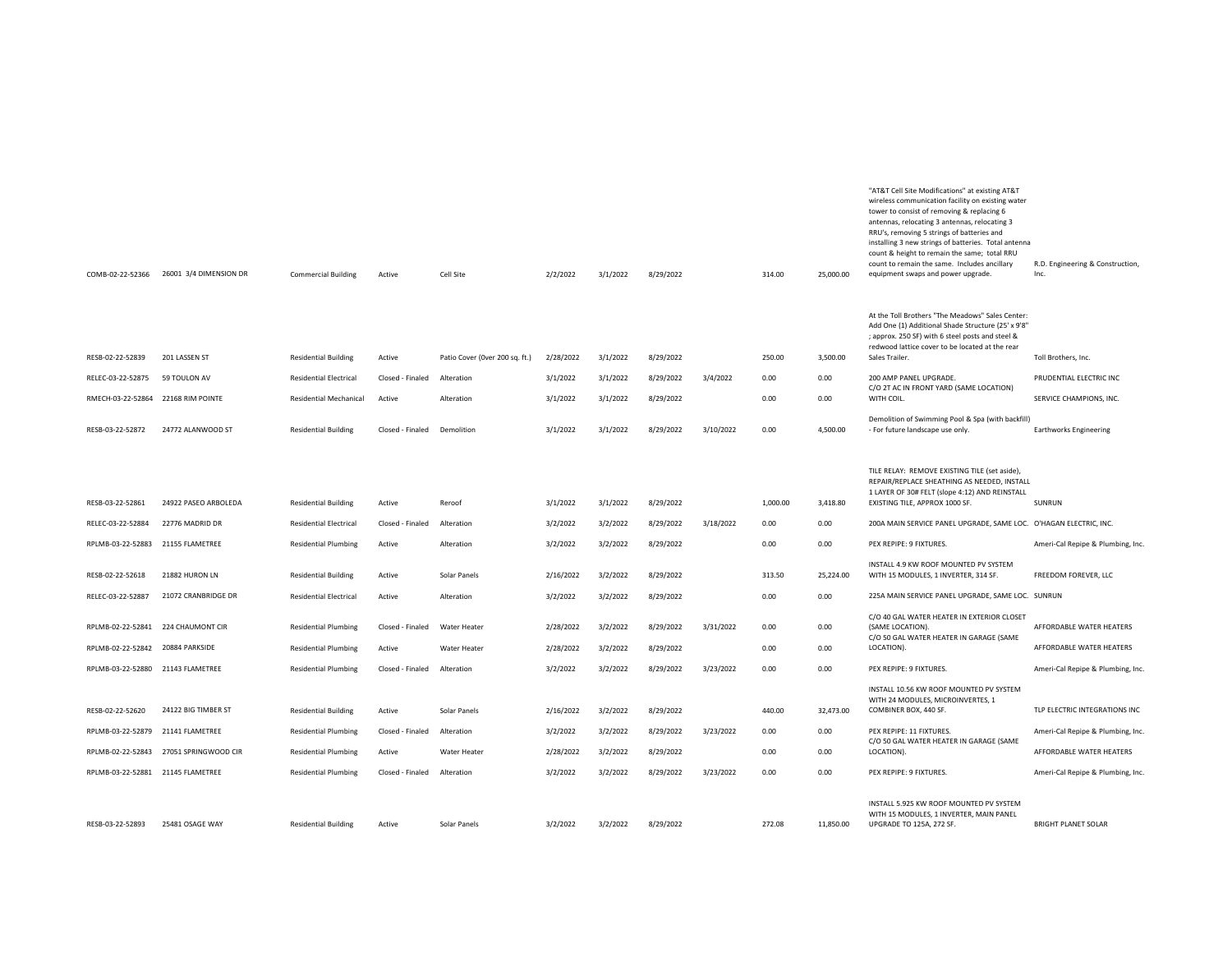| COMB-02-22-52366                  | 26001 3/4 DIMENSION DR | <b>Commercial Building</b>    | Active                      | Cell Site                      | 2/2/2022  | 3/1/2022 | 8/29/2022 |           | 314.00   | 25,000.00 | wireless communication facility on existing water<br>tower to consist of removing & replacing 6<br>antennas, relocating 3 antennas, relocating 3<br>RRU's, removing 5 strings of batteries and<br>installing 3 new strings of batteries. Total antenna<br>count & height to remain the same; total RRU<br>count to remain the same. Includes ancillary<br>equipment swaps and power upgrade. | R.D. Engineering & Construction,<br>Inc. |
|-----------------------------------|------------------------|-------------------------------|-----------------------------|--------------------------------|-----------|----------|-----------|-----------|----------|-----------|----------------------------------------------------------------------------------------------------------------------------------------------------------------------------------------------------------------------------------------------------------------------------------------------------------------------------------------------------------------------------------------------|------------------------------------------|
| RESB-02-22-52839                  | 201 LASSEN ST          | <b>Residential Building</b>   | Active                      | Patio Cover (Over 200 sq. ft.) | 2/28/2022 | 3/1/2022 | 8/29/2022 |           | 250.00   | 3,500.00  | At the Toll Brothers "The Meadows" Sales Center:<br>Add One (1) Additional Shade Structure (25' x 9'8"<br>; approx. 250 SF) with 6 steel posts and steel &<br>redwood lattice cover to be located at the rear<br>Sales Trailer.                                                                                                                                                              | Toll Brothers, Inc.                      |
| RELEC-03-22-52875                 | 59 TOULON AV           | <b>Residential Electrical</b> | Closed - Finaled Alteration |                                | 3/1/2022  | 3/1/2022 | 8/29/2022 | 3/4/2022  | 0.00     | 0.00      | 200 AMP PANEL UPGRADE.                                                                                                                                                                                                                                                                                                                                                                       | PRUDENTIAL ELECTRIC INC                  |
| RMECH-03-22-52864                 | 22168 RIM POINTE       | Residential Mechanical        | Active                      | Alteration                     | 3/1/2022  | 3/1/2022 | 8/29/2022 |           | 0.00     | 0.00      | C/O 2T AC IN FRONT YARD (SAME LOCATION)<br>WITH COIL.                                                                                                                                                                                                                                                                                                                                        | SERVICE CHAMPIONS, INC.                  |
| RESB-03-22-52872                  | 24772 ALANWOOD ST      | <b>Residential Building</b>   | Closed - Finaled            | Demolition                     | 3/1/2022  | 3/1/2022 | 8/29/2022 | 3/10/2022 | 0.00     | 4,500.00  | Demolition of Swimming Pool & Spa (with backfill)<br>- For future landscape use only.                                                                                                                                                                                                                                                                                                        | <b>Earthworks Engineering</b>            |
|                                   |                        |                               |                             |                                |           |          |           |           |          |           | TILE RELAY: REMOVE EXISTING TILE (set aside),<br>REPAIR/REPLACE SHEATHING AS NEEDED, INSTALL<br>1 LAYER OF 30# FELT (slope 4:12) AND REINSTALL                                                                                                                                                                                                                                               |                                          |
| RESB-03-22-52861                  | 24922 PASEO ARBOLEDA   | <b>Residential Building</b>   | Active                      | Reroof                         | 3/1/2022  | 3/1/2022 | 8/29/2022 |           | 1,000.00 | 3,418.80  | EXISTING TILE, APPROX 1000 SF.                                                                                                                                                                                                                                                                                                                                                               | SUNRUN                                   |
| RELEC-03-22-52884                 | 22776 MADRID DR        | <b>Residential Electrical</b> | Closed - Finaled            | Alteration                     | 3/2/2022  | 3/2/2022 | 8/29/2022 | 3/18/2022 | 0.00     | 0.00      | 200A MAIN SERVICE PANEL UPGRADE, SAME LOC. O'HAGAN ELECTRIC, INC.                                                                                                                                                                                                                                                                                                                            |                                          |
| RPLMB-03-22-52883                 | 21155 FLAMETREE        | <b>Residential Plumbing</b>   | Active                      | Alteration                     | 3/2/2022  | 3/2/2022 | 8/29/2022 |           | 0.00     | 0.00      | PEX REPIPE: 9 FIXTURES.                                                                                                                                                                                                                                                                                                                                                                      | Ameri-Cal Repipe & Plumbing, Inc.        |
| RESB-02-22-52618                  | 21882 HURON LN         | <b>Residential Building</b>   | Active                      | Solar Panels                   | 2/16/2022 | 3/2/2022 | 8/29/2022 |           | 313.50   | 25,224.00 | INSTALL 4.9 KW ROOF MOUNTED PV SYSTEM<br>WITH 15 MODULES, 1 INVERTER, 314 SF.                                                                                                                                                                                                                                                                                                                | FREEDOM FOREVER, LLC                     |
| RELEC-03-22-52887                 | 21072 CRANBRIDGE DR    | <b>Residential Electrical</b> | Active                      | Alteration                     | 3/2/2022  | 3/2/2022 | 8/29/2022 |           | 0.00     | 0.00      | 225A MAIN SERVICE PANEL UPGRADE, SAME LOC. SUNRUN                                                                                                                                                                                                                                                                                                                                            |                                          |
| RPLMB-02-22-52841                 | 224 CHAUMONT CIR       | <b>Residential Plumbing</b>   | Closed - Finaled            | Water Heater                   | 2/28/2022 | 3/2/2022 | 8/29/2022 | 3/31/2022 | 0.00     | 0.00      | C/O 40 GAL WATER HEATER IN EXTERIOR CLOSET<br>(SAME LOCATION).<br>C/O 50 GAL WATER HEATER IN GARAGE (SAME                                                                                                                                                                                                                                                                                    | AFFORDABLE WATER HEATERS                 |
| RPLMB-02-22-52842                 | 20884 PARKSIDE         | <b>Residential Plumbing</b>   | Active                      | Water Heater                   | 2/28/2022 | 3/2/2022 | 8/29/2022 |           | 0.00     | 0.00      | LOCATION).                                                                                                                                                                                                                                                                                                                                                                                   | AFFORDABLE WATER HEATERS                 |
| RPLMB-03-22-52880                 | 21143 FLAMETREE        | <b>Residential Plumbing</b>   | Closed - Finaled            | Alteration                     | 3/2/2022  | 3/2/2022 | 8/29/2022 | 3/23/2022 | 0.00     | 0.00      | PEX REPIPE: 9 FIXTURES.                                                                                                                                                                                                                                                                                                                                                                      | Ameri-Cal Repipe & Plumbing, Inc.        |
| RESB-02-22-52620                  | 24122 BIG TIMBER ST    | <b>Residential Building</b>   | Active                      | Solar Panels                   | 2/16/2022 | 3/2/2022 | 8/29/2022 |           | 440.00   | 32,473.00 | INSTALL 10.56 KW ROOF MOUNTED PV SYSTEM<br>WITH 24 MODULES, MICROINVERTES, 1<br>COMBINER BOX, 440 SF.                                                                                                                                                                                                                                                                                        | TLP ELECTRIC INTEGRATIONS INC            |
| RPLMB-03-22-52879                 | 21141 FLAMETREE        | <b>Residential Plumbing</b>   | Closed - Finaled            | Alteration                     | 3/2/2022  | 3/2/2022 | 8/29/2022 | 3/23/2022 | 0.00     | 0.00      | PEX REPIPE: 11 FIXTURES.                                                                                                                                                                                                                                                                                                                                                                     | Ameri-Cal Repipe & Plumbing, Inc.        |
| RPLMB-02-22-52843                 | 27051 SPRINGWOOD CIR   | <b>Residential Plumbing</b>   | Active                      | Water Heater                   | 2/28/2022 | 3/2/2022 | 8/29/2022 |           | 0.00     | 0.00      | C/O 50 GAL WATER HEATER IN GARAGE (SAME<br>LOCATION).                                                                                                                                                                                                                                                                                                                                        | AFFORDABLE WATER HEATERS                 |
| RPLMB-03-22-52881 21145 FLAMETREE |                        | <b>Residential Plumbing</b>   | Closed - Finaled            | Alteration                     | 3/2/2022  | 3/2/2022 | 8/29/2022 | 3/23/2022 | 0.00     | 0.00      | PEX REPIPE: 9 FIXTURES.                                                                                                                                                                                                                                                                                                                                                                      | Ameri-Cal Repipe & Plumbing, Inc.        |
| RESB-03-22-52893                  | 25481 OSAGE WAY        | <b>Residential Building</b>   | Active                      | Solar Panels                   | 3/2/2022  | 3/2/2022 | 8/29/2022 |           | 272.08   | 11,850.00 | INSTALL 5.925 KW ROOF MOUNTED PV SYSTEM<br>WITH 15 MODULES, 1 INVERTER, MAIN PANEL<br>UPGRADE TO 125A, 272 SF.                                                                                                                                                                                                                                                                               | <b>BRIGHT PLANET SOLAR</b>               |

"AT&T Cell Site Modifications" at existing AT&T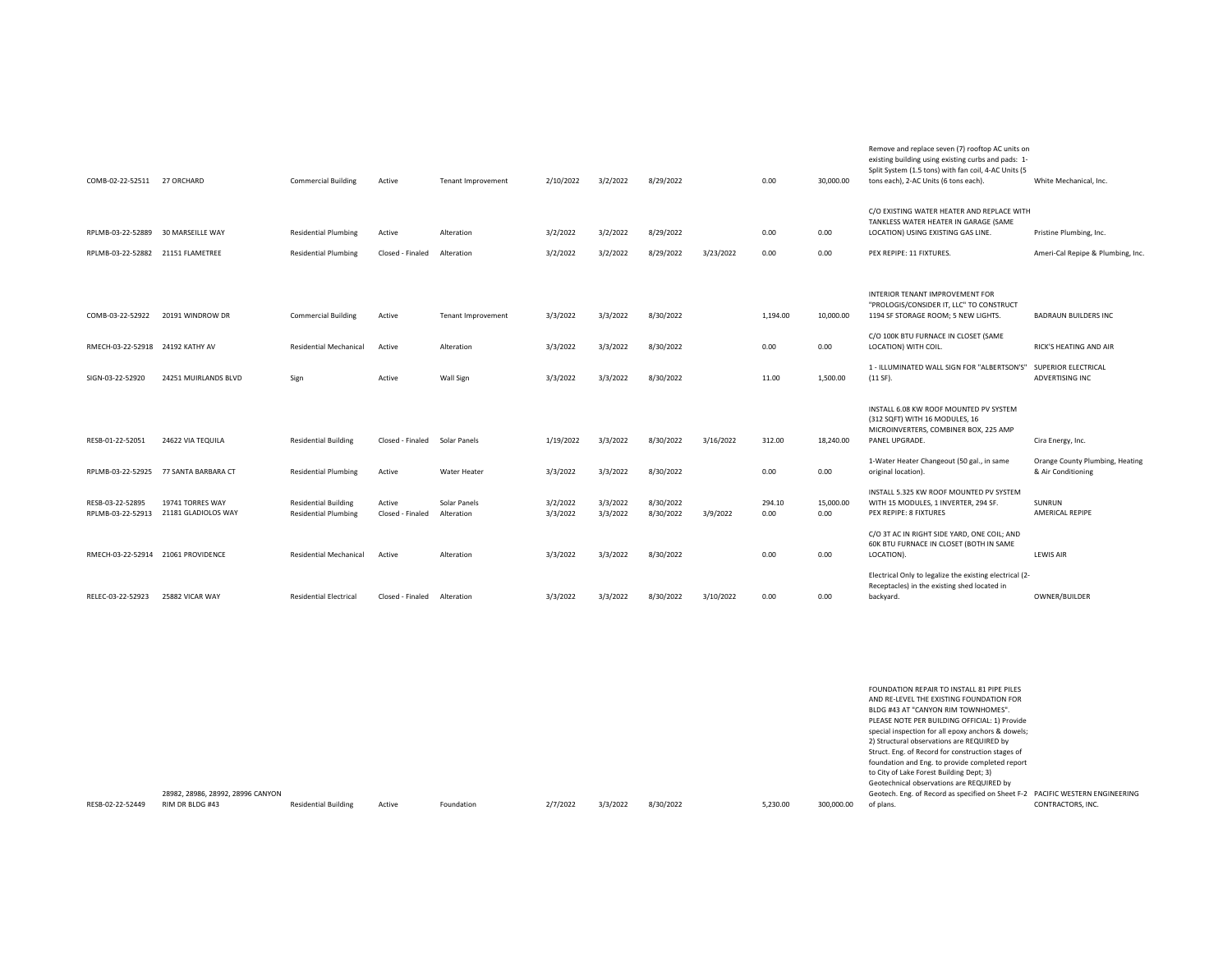| COMB-02-22-52511 27 ORCHARD           |                                         | <b>Commercial Building</b>                                 | Active                     | <b>Tenant Improvement</b>  | 2/10/2022            | 3/2/2022             | 8/29/2022              |           | 0.00           | 30,000.00         | Remove and replace seven (7) rooftop AC units on<br>existing building using existing curbs and pads: 1-<br>Split System (1.5 tons) with fan coil, 4-AC Units (5<br>tons each), 2-AC Units (6 tons each). | White Mechanical, Inc.                                |
|---------------------------------------|-----------------------------------------|------------------------------------------------------------|----------------------------|----------------------------|----------------------|----------------------|------------------------|-----------|----------------|-------------------|----------------------------------------------------------------------------------------------------------------------------------------------------------------------------------------------------------|-------------------------------------------------------|
|                                       |                                         |                                                            |                            |                            |                      |                      |                        |           |                |                   | C/O EXISTING WATER HEATER AND REPLACE WITH<br>TANKLESS WATER HEATER IN GARAGE (SAME                                                                                                                      |                                                       |
| RPLMB-03-22-52889                     | 30 MARSEILLE WAY                        | <b>Residential Plumbing</b>                                | Active                     | Alteration                 | 3/2/2022             | 3/2/2022             | 8/29/2022              |           | 0.00           | 0.00              | LOCATION) USING EXISTING GAS LINE.                                                                                                                                                                       | Pristine Plumbing, Inc.                               |
| RPLMB-03-22-52882                     | 21151 FLAMETREE                         | <b>Residential Plumbing</b>                                | Closed - Finaled           | Alteration                 | 3/2/2022             | 3/2/2022             | 8/29/2022              | 3/23/2022 | 0.00           | 0.00              | PEX REPIPE: 11 FIXTURES.                                                                                                                                                                                 | Ameri-Cal Repipe & Plumbing, Inc.                     |
|                                       |                                         |                                                            |                            |                            |                      |                      |                        |           |                |                   |                                                                                                                                                                                                          |                                                       |
| COMB-03-22-52922                      | 20191 WINDROW DR                        | <b>Commercial Building</b>                                 | Active                     | <b>Tenant Improvement</b>  | 3/3/2022             | 3/3/2022             | 8/30/2022              |           | 1,194.00       | 10,000.00         | INTERIOR TENANT IMPROVEMENT FOR<br>"PROLOGIS/CONSIDER IT, LLC" TO CONSTRUCT<br>1194 SF STORAGE ROOM; 5 NEW LIGHTS.                                                                                       | BADRAUN BUILDERS INC                                  |
| RMECH-03-22-52918 24192 KATHY AV      |                                         | <b>Residential Mechanical</b>                              | Active                     | Alteration                 | 3/3/2022             | 3/3/2022             | 8/30/2022              |           | 0.00           | 0.00              | C/O 100K BTU FURNACE IN CLOSET (SAME<br>LOCATION) WITH COIL.                                                                                                                                             | RICK'S HEATING AND AIR                                |
| SIGN-03-22-52920                      | 24251 MUIRLANDS BLVD                    | Sign                                                       | Active                     | <b>Wall Sign</b>           | 3/3/2022             | 3/3/2022             | 8/30/2022              |           | 11.00          | 1,500.00          | 1 - ILLUMINATED WALL SIGN FOR "ALBERTSON'S"<br>$(11 SF)$ .                                                                                                                                               | SUPERIOR ELECTRICAL<br><b>ADVERTISING INC</b>         |
| RESB-01-22-52051                      | 24622 VIA TEQUILA                       | <b>Residential Building</b>                                | Closed - Finaled           | Solar Panels               | 1/19/2022            | 3/3/2022             | 8/30/2022              | 3/16/2022 | 312.00         | 18,240.00         | INSTALL 6.08 KW ROOF MOUNTED PV SYSTEM<br>(312 SQFT) WITH 16 MODULES, 16<br>MICROINVERTERS, COMBINER BOX, 225 AMP<br>PANEL UPGRADE.                                                                      | Cira Energy, Inc.                                     |
| RPLMB-03-22-52925                     | 77 SANTA BARBARA CT                     | <b>Residential Plumbing</b>                                | Active                     | Water Heater               | 3/3/2022             | 3/3/2022             | 8/30/2022              |           | 0.00           | 0.00              | 1-Water Heater Changeout (50 gal., in same<br>original location).                                                                                                                                        | Orange County Plumbing, Heating<br>& Air Conditioning |
| RESB-03-22-52895<br>RPLMB-03-22-52913 | 19741 TORRES WAY<br>21181 GLADIOLOS WAY | <b>Residential Building</b><br><b>Residential Plumbing</b> | Active<br>Closed - Finaled | Solar Panels<br>Alteration | 3/2/2022<br>3/3/2022 | 3/3/2022<br>3/3/2022 | 8/30/2022<br>8/30/2022 | 3/9/2022  | 294.10<br>0.00 | 15,000.00<br>0.00 | INSTALL 5.325 KW ROOF MOUNTED PV SYSTEM<br>WITH 15 MODULES, 1 INVERTER, 294 SF.<br>PEX REPIPE: 8 FIXTURES                                                                                                | SUNRUN<br>AMERICAL REPIPE                             |
|                                       | RMECH-03-22-52914 21061 PROVIDENCE      | <b>Residential Mechanical</b>                              | Active                     | Alteration                 | 3/3/2022             | 3/3/2022             | 8/30/2022              |           | 0.00           | 0.00              | C/O 3T AC IN RIGHT SIDE YARD, ONE COIL; AND<br>60K BTU FURNACE IN CLOSET (BOTH IN SAME<br>LOCATION).                                                                                                     | LEWIS AIR                                             |
| RELEC-03-22-52923                     | 25882 VICAR WAY                         | <b>Residential Electrical</b>                              | Closed - Finaled           | Alteration                 | 3/3/2022             | 3/3/2022             | 8/30/2022              | 3/10/2022 | 0.00           | 0.00              | Electrical Only to legalize the existing electrical (2-<br>Receptacles) in the existing shed located in<br>backyard.                                                                                     | OWNER/BUILDER                                         |

|                  |                                   |                             |        |            |          |          |           |          |            | FOUNDATION REPAIR TO INSTALL 81 PIPE PILES                                    |                   |
|------------------|-----------------------------------|-----------------------------|--------|------------|----------|----------|-----------|----------|------------|-------------------------------------------------------------------------------|-------------------|
|                  |                                   |                             |        |            |          |          |           |          |            | AND RE-LEVEL THE EXISTING FOUNDATION FOR                                      |                   |
|                  |                                   |                             |        |            |          |          |           |          |            | BLDG #43 AT "CANYON RIM TOWNHOMES".                                           |                   |
|                  |                                   |                             |        |            |          |          |           |          |            | PLEASE NOTE PER BUILDING OFFICIAL: 1) Provide                                 |                   |
|                  |                                   |                             |        |            |          |          |           |          |            | special inspection for all epoxy anchors & dowels;                            |                   |
|                  |                                   |                             |        |            |          |          |           |          |            | 2) Structural observations are REQUIRED by                                    |                   |
|                  |                                   |                             |        |            |          |          |           |          |            | Struct. Eng. of Record for construction stages of                             |                   |
|                  |                                   |                             |        |            |          |          |           |          |            | foundation and Eng. to provide completed report                               |                   |
|                  |                                   |                             |        |            |          |          |           |          |            | to City of Lake Forest Building Dept; 3)                                      |                   |
|                  |                                   |                             |        |            |          |          |           |          |            | Geotechnical observations are REQUIRED by                                     |                   |
|                  | 28982, 28986, 28992, 28996 CANYON |                             |        |            |          |          |           |          |            | Geotech. Eng. of Record as specified on Sheet F-2 PACIFIC WESTERN ENGINEERING |                   |
| RESB-02-22-52449 | RIM DR BLDG #43                   | <b>Residential Building</b> | Active | Foundation | 2/7/2022 | 3/3/2022 | 8/30/2022 | 5,230.00 | 300,000.00 | of plans.                                                                     | CONTRACTORS, INC. |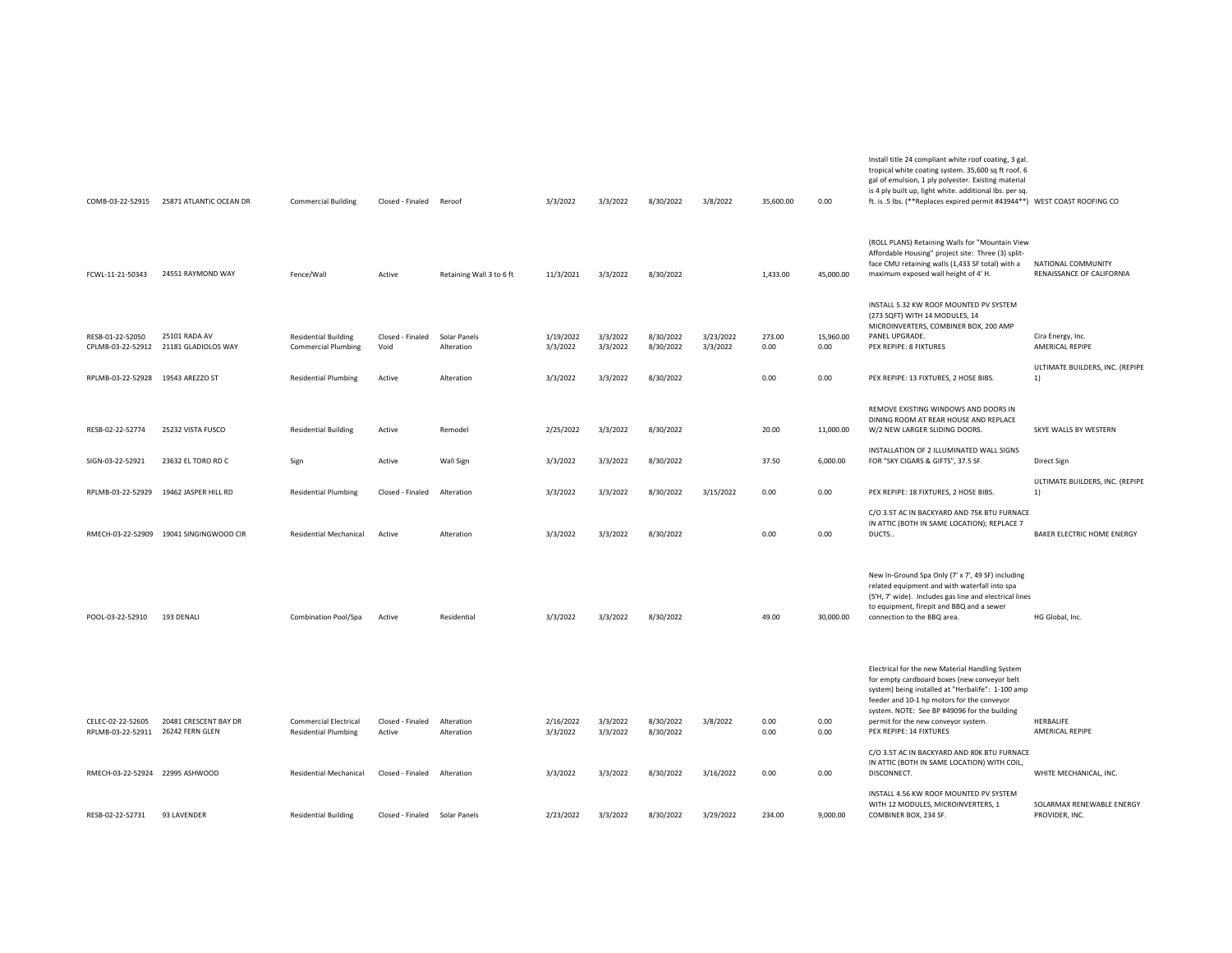| COMB-03-22-52915                       | 25871 ATLANTIC OCEAN DR                  | <b>Commercial Building</b>                                  | Closed - Finaled Reroof       |                            | 3/3/2022              | 3/3/2022             | 8/30/2022              | 3/8/2022              | 35,600.00      | 0.00              | tropical white coating system. 35,600 sq ft roof. 6<br>gal of emulsion, 1 ply polyester. Existing material<br>is 4 ply built up, light white. additional lbs. per sq.<br>ft. is .5 lbs. (**Replaces expired permit #43944**) WEST COAST ROOFING CO                                                                   |                                                 |
|----------------------------------------|------------------------------------------|-------------------------------------------------------------|-------------------------------|----------------------------|-----------------------|----------------------|------------------------|-----------------------|----------------|-------------------|----------------------------------------------------------------------------------------------------------------------------------------------------------------------------------------------------------------------------------------------------------------------------------------------------------------------|-------------------------------------------------|
| FCWL-11-21-50343                       | 24551 RAYMOND WAY                        | Fence/Wall                                                  | Active                        | Retaining Wall 3 to 6 ft   | 11/3/2021             | 3/3/2022             | 8/30/2022              |                       | 1,433.00       | 45,000.00         | (ROLL PLANS) Retaining Walls for "Mountain View<br>Affordable Housing" project site: Three (3) split-<br>face CMU retaining walls (1,433 SF total) with a<br>maximum exposed wall height of 4' H.                                                                                                                    | NATIONAL COMMUNITY<br>RENAISSANCE OF CALIFORNIA |
| RESB-01-22-52050<br>CPLMB-03-22-52912  | 25101 RADA AV<br>21181 GLADIOLOS WAY     | <b>Residential Building</b><br><b>Commercial Plumbing</b>   | Closed - Finaled<br>Void      | Solar Panels<br>Alteration | 1/19/2022<br>3/3/2022 | 3/3/2022<br>3/3/2022 | 8/30/2022<br>8/30/2022 | 3/23/2022<br>3/3/2022 | 273.00<br>0.00 | 15,960.00<br>0.00 | INSTALL 5.32 KW ROOF MOUNTED PV SYSTEM<br>(273 SQFT) WITH 14 MODULES, 14<br>MICROINVERTERS, COMBINER BOX, 200 AMP<br>PANEL UPGRADE.<br>PEX REPIPE: 8 FIXTURES                                                                                                                                                        | Cira Energy, Inc.<br>AMERICAL REPIPE            |
| RPLMB-03-22-52928 19543 AREZZO ST      |                                          | <b>Residential Plumbing</b>                                 | Active                        | Alteration                 | 3/3/2022              | 3/3/2022             | 8/30/2022              |                       | 0.00           | 0.00              | PEX REPIPE: 13 FIXTURES, 2 HOSE BIBS.                                                                                                                                                                                                                                                                                | ULTIMATE BUILDERS, INC. (REPIPE<br>1)           |
| RESB-02-22-52774                       | 25232 VISTA FUSCO                        | <b>Residential Building</b>                                 | Active                        | Remodel                    | 2/25/2022             | 3/3/2022             | 8/30/2022              |                       | 20.00          | 11,000.00         | REMOVE EXISTING WINDOWS AND DOORS IN<br>DINING ROOM AT REAR HOUSE AND REPLACE<br>W/2 NEW LARGER SLIDING DOORS.                                                                                                                                                                                                       | SKYE WALLS BY WESTERN                           |
| SIGN-03-22-52921                       | 23632 EL TORO RD C                       | Sign                                                        | Active                        | <b>Wall Sign</b>           | 3/3/2022              | 3/3/2022             | 8/30/2022              |                       | 37.50          | 6,000.00          | INSTALLATION OF 2 ILLUMINATED WALL SIGNS<br>FOR "SKY CIGARS & GIFTS", 37.5 SF.                                                                                                                                                                                                                                       | Direct Sign                                     |
| RPLMB-03-22-52929                      | 19462 JASPER HILL RD                     | <b>Residential Plumbing</b>                                 | Closed - Finaled              | Alteration                 | 3/3/2022              | 3/3/2022             | 8/30/2022              | 3/15/2022             | 0.00           | 0.00              | PEX REPIPE: 18 FIXTURES, 2 HOSE BIBS.                                                                                                                                                                                                                                                                                | ULTIMATE BUILDERS, INC. (REPIPE<br>1)           |
|                                        | RMECH-03-22-52909 19041 SINGINGWOOD CIR  | Residential Mechanical                                      | Active                        | Alteration                 | 3/3/2022              | 3/3/2022             | 8/30/2022              |                       | 0.00           | 0.00              | C/O 3.5T AC IN BACKYARD AND 75K BTU FURNACE<br>IN ATTIC (BOTH IN SAME LOCATION); REPLACE 7<br>DUCTS                                                                                                                                                                                                                  | BAKER ELECTRIC HOME ENERGY                      |
| POOL-03-22-52910                       | 193 DENALI                               | Combination Pool/Spa                                        | Active                        | Residential                | 3/3/2022              | 3/3/2022             | 8/30/2022              |                       | 49.00          | 30,000.00         | New In-Ground Spa Only (7' x 7', 49 SF) including<br>related equipment and with waterfall into spa<br>(5'H, 7' wide). Includes gas line and electrical lines<br>to equipment, firepit and BBQ and a sewer<br>connection to the BBQ area.                                                                             | HG Global, Inc.                                 |
| CELEC-02-22-52605<br>RPLMB-03-22-52911 | 20481 CRESCENT BAY DR<br>26242 FERN GLEN | <b>Commercial Electrical</b><br><b>Residential Plumbing</b> | Closed - Finaled<br>Active    | Alteration<br>Alteration   | 2/16/2022<br>3/3/2022 | 3/3/2022<br>3/3/2022 | 8/30/2022<br>8/30/2022 | 3/8/2022              | 0.00<br>0.00   | 0.00<br>0.00      | Electrical for the new Material Handling System<br>for empty cardboard boxes (new conveyor belt<br>system) being installed at "Herbalife": 1-100 amp<br>feeder and 10-1 hp motors for the conveyor<br>system. NOTE: See BP #49096 for the building<br>permit for the new conveyor system.<br>PEX REPIPE: 14 FIXTURES | HERBALIFE<br>AMERICAL REPIPE                    |
| RMECH-03-22-52924 22995 ASHWOOD        |                                          | Residential Mechanical                                      | Closed - Finaled              | Alteration                 | 3/3/2022              | 3/3/2022             | 8/30/2022              | 3/16/2022             | 0.00           | 0.00              | C/O 3.5T AC IN BACKYARD AND 80K BTU FURNACE<br>IN ATTIC (BOTH IN SAME LOCATION) WITH COIL,<br>DISCONNECT.                                                                                                                                                                                                            | WHITE MECHANICAL, INC.                          |
| RESB-02-22-52731                       | 93 LAVENDER                              | <b>Residential Building</b>                                 | Closed - Finaled Solar Panels |                            | 2/23/2022             | 3/3/2022             | 8/30/2022              | 3/29/2022             | 234.00         | 9,000.00          | INSTALL 4.56 KW ROOF MOUNTED PV SYSTEM<br>WITH 12 MODULES, MICROINVERTERS, 1<br>COMBINER BOX, 234 SF.                                                                                                                                                                                                                | SOLARMAX RENEWABLE ENERGY<br>PROVIDER, INC.     |
|                                        |                                          |                                                             |                               |                            |                       |                      |                        |                       |                |                   |                                                                                                                                                                                                                                                                                                                      |                                                 |

Install title 24 compliant white roof coating, 3 gal.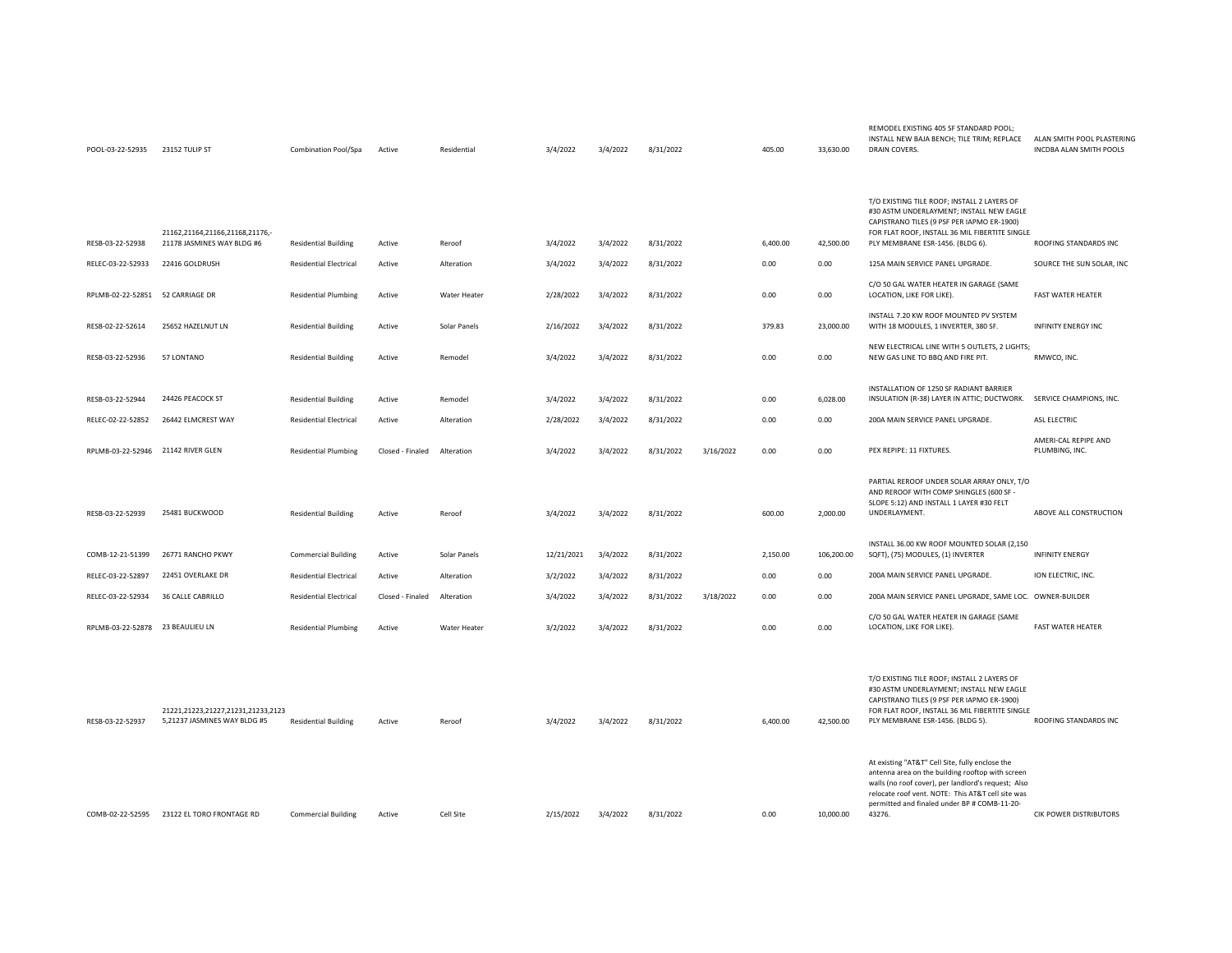| RESB-03-22-52938                   | 21162,21164,21166,21168,21176,-<br>21178 JASMINES WAY BLDG #6      | <b>Residential Building</b>   | Active           | Reroof       | 3/4/2022   | 3/4/2022 | 8/31/2022 |           | 6,400.00 | 42,500.00  | T/O EXISTING TILE ROOF; INSTALL 2 LAYERS OF<br>#30 ASTM UNDERLAYMENT; INSTALL NEW EAGLE<br>CAPISTRANO TILES (9 PSF PER IAPMO ER-1900)<br>FOR FLAT ROOF, INSTALL 36 MIL FIBERTITE SINGLE<br>PLY MEMBRANE ESR-1456. (BLDG 6).                                               | ROOFING STANDARDS INC                  |
|------------------------------------|--------------------------------------------------------------------|-------------------------------|------------------|--------------|------------|----------|-----------|-----------|----------|------------|---------------------------------------------------------------------------------------------------------------------------------------------------------------------------------------------------------------------------------------------------------------------------|----------------------------------------|
| RELEC-03-22-52933                  | 22416 GOLDRUSH                                                     | <b>Residential Electrical</b> | Active           | Alteration   | 3/4/2022   | 3/4/2022 | 8/31/2022 |           | 0.00     | 0.00       | 125A MAIN SERVICE PANEL UPGRADE.                                                                                                                                                                                                                                          | SOURCE THE SUN SOLAR, IN               |
| RPLMB-02-22-52851 52 CARRIAGE DR   |                                                                    | <b>Residential Plumbing</b>   | Active           | Water Heater | 2/28/2022  | 3/4/2022 | 8/31/2022 |           | 0.00     | 0.00       | C/O 50 GAL WATER HEATER IN GARAGE (SAME<br>LOCATION, LIKE FOR LIKE).                                                                                                                                                                                                      | <b>FAST WATER HEATER</b>               |
| RESB-02-22-52614                   | 25652 HAZELNUT LN                                                  | <b>Residential Building</b>   | Active           | Solar Panels | 2/16/2022  | 3/4/2022 | 8/31/2022 |           | 379.83   | 23,000.00  | INSTALL 7.20 KW ROOF MOUNTED PV SYSTEM<br>WITH 18 MODULES, 1 INVERTER, 380 SF.                                                                                                                                                                                            | <b>INFINITY ENERGY INC</b>             |
| RESB-03-22-52936                   | 57 LONTANO                                                         | <b>Residential Building</b>   | Active           | Remodel      | 3/4/2022   | 3/4/2022 | 8/31/2022 |           | 0.00     | 0.00       | NEW ELECTRICAL LINE WITH 5 OUTLETS, 2 LIGHTS;<br>NEW GAS LINE TO BBQ AND FIRE PIT.                                                                                                                                                                                        | RMWCO, INC.                            |
| RESB-03-22-52944                   | 24426 PEACOCK ST                                                   | <b>Residential Building</b>   | Active           | Remodel      | 3/4/2022   | 3/4/2022 | 8/31/2022 |           | 0.00     | 6,028.00   | INSTALLATION OF 1250 SF RADIANT BARRIER<br>INSULATION (R-38) LAYER IN ATTIC; DUCTWORK.                                                                                                                                                                                    | SERVICE CHAMPIONS, INC.                |
| RELEC-02-22-52852                  | 26442 ELMCREST WAY                                                 | <b>Residential Electrical</b> | Active           | Alteration   | 2/28/2022  | 3/4/2022 | 8/31/2022 |           | 0.00     | 0.00       | 200A MAIN SERVICE PANEL UPGRADE.                                                                                                                                                                                                                                          | ASL ELECTRIC                           |
| RPLMB-03-22-52946 21142 RIVER GLEN |                                                                    | <b>Residential Plumbing</b>   | Closed - Finaled | Alteration   | 3/4/2022   | 3/4/2022 | 8/31/2022 | 3/16/2022 | 0.00     | 0.00       | PEX REPIPE: 11 FIXTURES.                                                                                                                                                                                                                                                  | AMERI-CAL REPIPE AND<br>PLUMBING, INC. |
| RESB-03-22-52939                   | 25481 BUCKWOOD                                                     | <b>Residential Building</b>   | Active           | Reroof       | 3/4/2022   | 3/4/2022 | 8/31/2022 |           | 600.00   | 2,000.00   | PARTIAL REROOF UNDER SOLAR ARRAY ONLY, T/O<br>AND REROOF WITH COMP SHINGLES (600 SF -<br>SLOPE 5:12) AND INSTALL 1 LAYER #30 FELT<br>UNDERLAYMENT.                                                                                                                        | ABOVE ALL CONSTRUCTION                 |
| COMB-12-21-51399                   | 26771 RANCHO PKWY                                                  | <b>Commercial Building</b>    | Active           | Solar Panels | 12/21/2021 | 3/4/2022 | 8/31/2022 |           | 2,150.00 | 106,200.00 | INSTALL 36.00 KW ROOF MOUNTED SOLAR (2,150<br>SQFT), (75) MODULES, (1) INVERTER                                                                                                                                                                                           | <b>INFINITY ENERGY</b>                 |
| RELEC-03-22-52897                  | 22451 OVERLAKE DR                                                  | <b>Residential Electrical</b> | Active           | Alteration   | 3/2/2022   | 3/4/2022 | 8/31/2022 |           | 0.00     | 0.00       | 200A MAIN SERVICE PANEL UPGRADE.                                                                                                                                                                                                                                          | ION ELECTRIC, INC.                     |
| RELEC-03-22-52934                  | 36 CALLE CABRILLO                                                  | <b>Residential Electrical</b> | Closed - Finaled | Alteration   | 3/4/2022   | 3/4/2022 | 8/31/2022 | 3/18/2022 | 0.00     | 0.00       | 200A MAIN SERVICE PANEL UPGRADE, SAME LOC. OWNER-BUILDER                                                                                                                                                                                                                  |                                        |
| RPLMB-03-22-52878 23 BEAULIEU LN   |                                                                    | <b>Residential Plumbing</b>   | Active           | Water Heater | 3/2/2022   | 3/4/2022 | 8/31/2022 |           | 0.00     | 0.00       | C/O 50 GAL WATER HEATER IN GARAGE (SAME<br>LOCATION, LIKE FOR LIKE).                                                                                                                                                                                                      | <b>FAST WATER HEATER</b>               |
| RESB-03-22-52937                   | 21221,21223,21227,21231,21233,2123<br>5,21237 JASMINES WAY BLDG #5 | <b>Residential Building</b>   | Active           | Reroof       | 3/4/2022   | 3/4/2022 | 8/31/2022 |           | 6,400.00 | 42,500.00  | T/O EXISTING TILE ROOF; INSTALL 2 LAYERS OF<br>#30 ASTM UNDERLAYMENT; INSTALL NEW EAGLE<br>CAPISTRANO TILES (9 PSF PER IAPMO ER-1900)<br>FOR FLAT ROOF, INSTALL 36 MIL FIBERTITE SINGLE<br>PLY MEMBRANE ESR-1456. (BLDG 5).                                               | ROOFING STANDARDS INC                  |
| COMB-02-22-52595                   | 23122 EL TORO FRONTAGE RD                                          | <b>Commercial Building</b>    | Active           | Cell Site    | 2/15/2022  | 3/4/2022 | 8/31/2022 |           | 0.00     | 10,000.00  | At existing "AT&T" Cell Site, fully enclose the<br>antenna area on the building rooftop with screen<br>walls (no roof cover), per landlord's request; Also<br>relocate roof vent. NOTE: This AT&T cell site was<br>permitted and finaled under BP # COMB-11-20-<br>43276. | CIK POWER DISTRIBUTORS                 |

REMODEL EXISTING 405 SF STANDARD POOL;

33,630.00 DRAIN COVERS.

INSTALL NEW BAJA BENCH; TILE TRIM; REPLACE ALAN SMITH POOL PLASTERING

INCDBA ALAN SMITH POOLS

POOL-03-22-52935 23152 TULIP ST Combination Pool/Spa Active Residential 3/4/2022 3/4/2022 8/31/2022 4/31/2022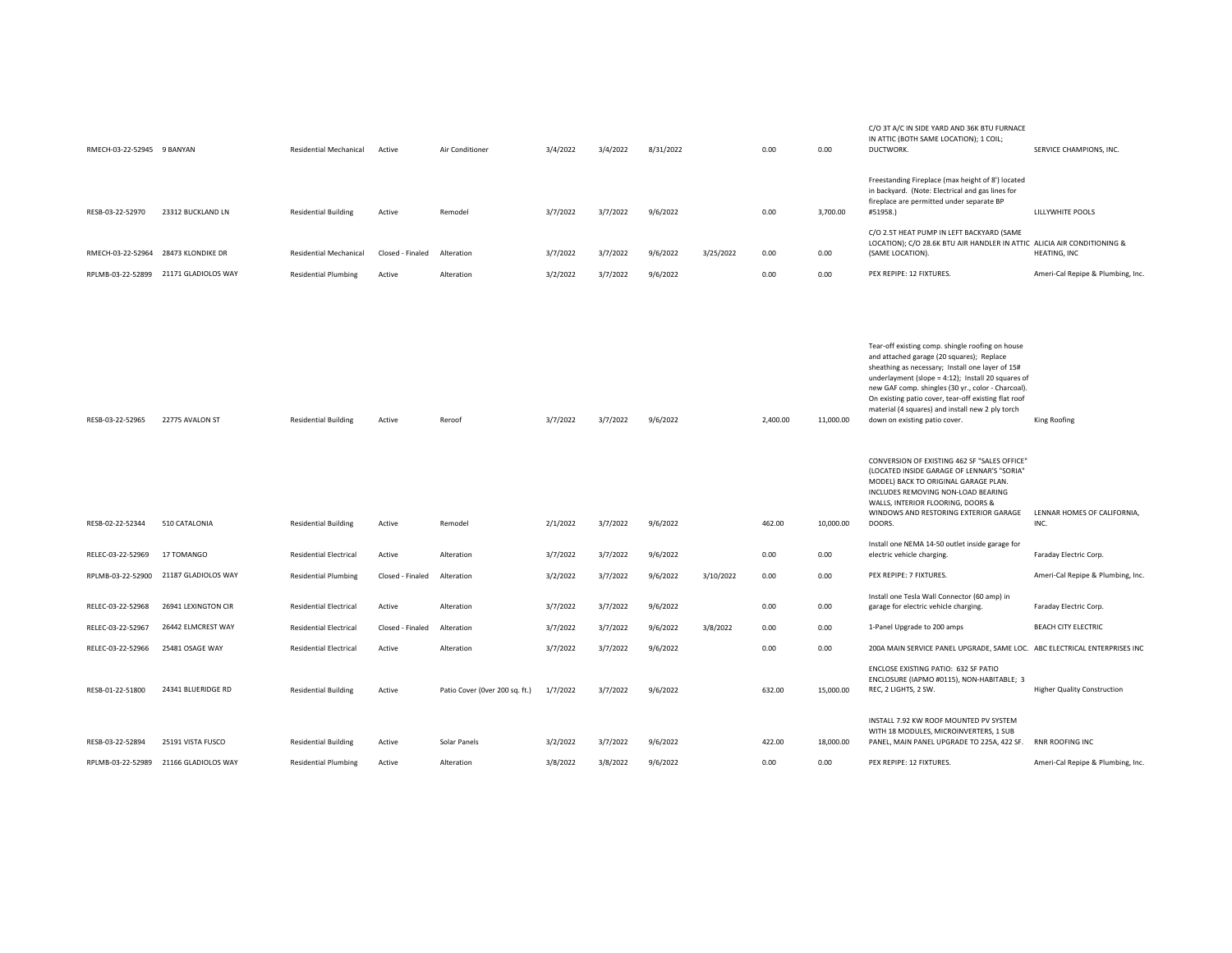| RMECH-03-22-52945 9 BANYAN           |                                       | Residential Mechanical                                     | Active           | Air Conditioner                | 3/4/2022             | 3/4/2022             | 8/31/2022            |           | 0.00               | 0.00                   | C/O 3T A/C IN SIDE YARD AND 36K BTU FURNACE<br>IN ATTIC (BOTH SAME LOCATION); 1 COIL;<br>DUCTWORK.                                                                                                                                                                                                                                                                                                                                                                                                                                                                                                                                                                             | SERVICE CHAMPIONS, INC.                             |
|--------------------------------------|---------------------------------------|------------------------------------------------------------|------------------|--------------------------------|----------------------|----------------------|----------------------|-----------|--------------------|------------------------|--------------------------------------------------------------------------------------------------------------------------------------------------------------------------------------------------------------------------------------------------------------------------------------------------------------------------------------------------------------------------------------------------------------------------------------------------------------------------------------------------------------------------------------------------------------------------------------------------------------------------------------------------------------------------------|-----------------------------------------------------|
| RESB-03-22-52970                     | 23312 BUCKLAND LN                     | <b>Residential Building</b>                                | Active           | Remodel                        | 3/7/2022             | 3/7/2022             | 9/6/2022             |           | 0.00               | 3,700.00               | Freestanding Fireplace (max height of 8') located<br>in backyard. (Note: Electrical and gas lines for<br>fireplace are permitted under separate BP<br>#51958.)<br>C/O 2.5T HEAT PUMP IN LEFT BACKYARD (SAME                                                                                                                                                                                                                                                                                                                                                                                                                                                                    | LILLYWHITE POOLS                                    |
| RMECH-03-22-52964 28473 KLONDIKE DR  |                                       | Residential Mechanical                                     | Closed - Finaled | Alteration                     | 3/7/2022             | 3/7/2022             | 9/6/2022             | 3/25/2022 | 0.00               | 0.00                   | LOCATION); C/O 28.6K BTU AIR HANDLER IN ATTIC ALICIA AIR CONDITIONING &<br>(SAME LOCATION).                                                                                                                                                                                                                                                                                                                                                                                                                                                                                                                                                                                    | <b>HEATING, INC</b>                                 |
|                                      | RPLMB-03-22-52899 21171 GLADIOLOS WAY | <b>Residential Plumbing</b>                                | Active           | Alteration                     | 3/2/2022             | 3/7/2022             | 9/6/2022             |           | 0.00               | 0.00                   | PEX REPIPE: 12 FIXTURES.                                                                                                                                                                                                                                                                                                                                                                                                                                                                                                                                                                                                                                                       | Ameri-Cal Repipe & Plumbing, Inc.                   |
| RESB-03-22-52965<br>RESB-02-22-52344 | 22775 AVALON ST<br>510 CATALONIA      | <b>Residential Building</b><br><b>Residential Building</b> | Active<br>Active | Reroof<br>Remodel              | 3/7/2022<br>2/1/2022 | 3/7/2022<br>3/7/2022 | 9/6/2022<br>9/6/2022 |           | 2,400.00<br>462.00 | 11,000.00<br>10,000.00 | Tear-off existing comp. shingle roofing on house<br>and attached garage (20 squares); Replace<br>sheathing as necessary; Install one layer of 15#<br>underlayment (slope = 4:12); Install 20 squares of<br>new GAF comp. shingles (30 yr., color - Charcoal).<br>On existing patio cover, tear-off existing flat roof<br>material (4 squares) and install new 2 ply torch<br>down on existing patio cover.<br>CONVERSION OF EXISTING 462 SF "SALES OFFICE"<br>(LOCATED INSIDE GARAGE OF LENNAR'S "SORIA"<br>MODEL) BACK TO ORIGINAL GARAGE PLAN.<br>INCLUDES REMOVING NON-LOAD BEARING<br>WALLS, INTERIOR FLOORING, DOORS &<br>WINDOWS AND RESTORING EXTERIOR GARAGE<br>DOORS. | King Roofing<br>LENNAR HOMES OF CALIFORNIA,<br>INC. |
| RELEC-03-22-52969                    | 17 TOMANGO                            | <b>Residential Electrical</b>                              | Active           | Alteration                     | 3/7/2022             | 3/7/2022             | 9/6/2022             |           | 0.00               | 0.00                   | Install one NEMA 14-50 outlet inside garage for<br>electric vehicle charging.                                                                                                                                                                                                                                                                                                                                                                                                                                                                                                                                                                                                  | Faraday Electric Corp.                              |
|                                      | RPLMB-03-22-52900 21187 GLADIOLOS WAY | <b>Residential Plumbing</b>                                | Closed - Finaled | Alteration                     | 3/2/2022             | 3/7/2022             | 9/6/2022             | 3/10/2022 | 0.00               | 0.00                   | PEX REPIPE: 7 FIXTURES.                                                                                                                                                                                                                                                                                                                                                                                                                                                                                                                                                                                                                                                        | Ameri-Cal Repipe & Plumbing, Inc.                   |
|                                      |                                       |                                                            |                  |                                |                      |                      |                      |           |                    |                        |                                                                                                                                                                                                                                                                                                                                                                                                                                                                                                                                                                                                                                                                                |                                                     |
| RELEC-03-22-52968                    | 26941 LEXINGTON CIR                   | <b>Residential Electrical</b>                              | Active           | Alteration                     | 3/7/2022             | 3/7/2022             | 9/6/2022             |           | 0.00               | 0.00                   | Install one Tesla Wall Connector (60 amp) in<br>garage for electric vehicle charging.                                                                                                                                                                                                                                                                                                                                                                                                                                                                                                                                                                                          | Faraday Electric Corp.                              |
| RELEC-03-22-52967                    | 26442 ELMCREST WAY                    | <b>Residential Electrical</b>                              | Closed - Finaled | Alteration                     | 3/7/2022             | 3/7/2022             | 9/6/2022             | 3/8/2022  | 0.00               | 0.00                   | 1-Panel Upgrade to 200 amps                                                                                                                                                                                                                                                                                                                                                                                                                                                                                                                                                                                                                                                    | BEACH CITY ELECTRIC                                 |
| RELEC-03-22-52966                    | 25481 OSAGE WAY                       | <b>Residential Electrical</b>                              | Active           | Alteration                     | 3/7/2022             | 3/7/2022             | 9/6/2022             |           | 0.00               | 0.00                   | 200A MAIN SERVICE PANEL UPGRADE, SAME LOC. ABC ELECTRICAL ENTERPRISES INC                                                                                                                                                                                                                                                                                                                                                                                                                                                                                                                                                                                                      |                                                     |
| RESB-01-22-51800                     | 24341 BLUERIDGE RD                    | <b>Residential Building</b>                                | Active           | Patio Cover (Over 200 sq. ft.) | 1/7/2022             | 3/7/2022             | 9/6/2022             |           | 632.00             | 15,000.00              | ENCLOSE EXISTING PATIO: 632 SF PATIO<br>ENCLOSURE (IAPMO #0115), NON-HABITABLE; 3<br>REC, 2 LIGHTS, 2 SW.                                                                                                                                                                                                                                                                                                                                                                                                                                                                                                                                                                      | <b>Higher Quality Construction</b>                  |
| RESB-03-22-52894                     | 25191 VISTA FUSCO                     | <b>Residential Building</b>                                | Active           | Solar Panels                   | 3/2/2022             | 3/7/2022             | 9/6/2022             |           | 422.00             | 18,000.00              | INSTALL 7.92 KW ROOF MOUNTED PV SYSTEM<br>WITH 18 MODULES, MICROINVERTERS, 1 SUB<br>PANEL, MAIN PANEL UPGRADE TO 225A, 422 SF.                                                                                                                                                                                                                                                                                                                                                                                                                                                                                                                                                 | RNR ROOFING INC                                     |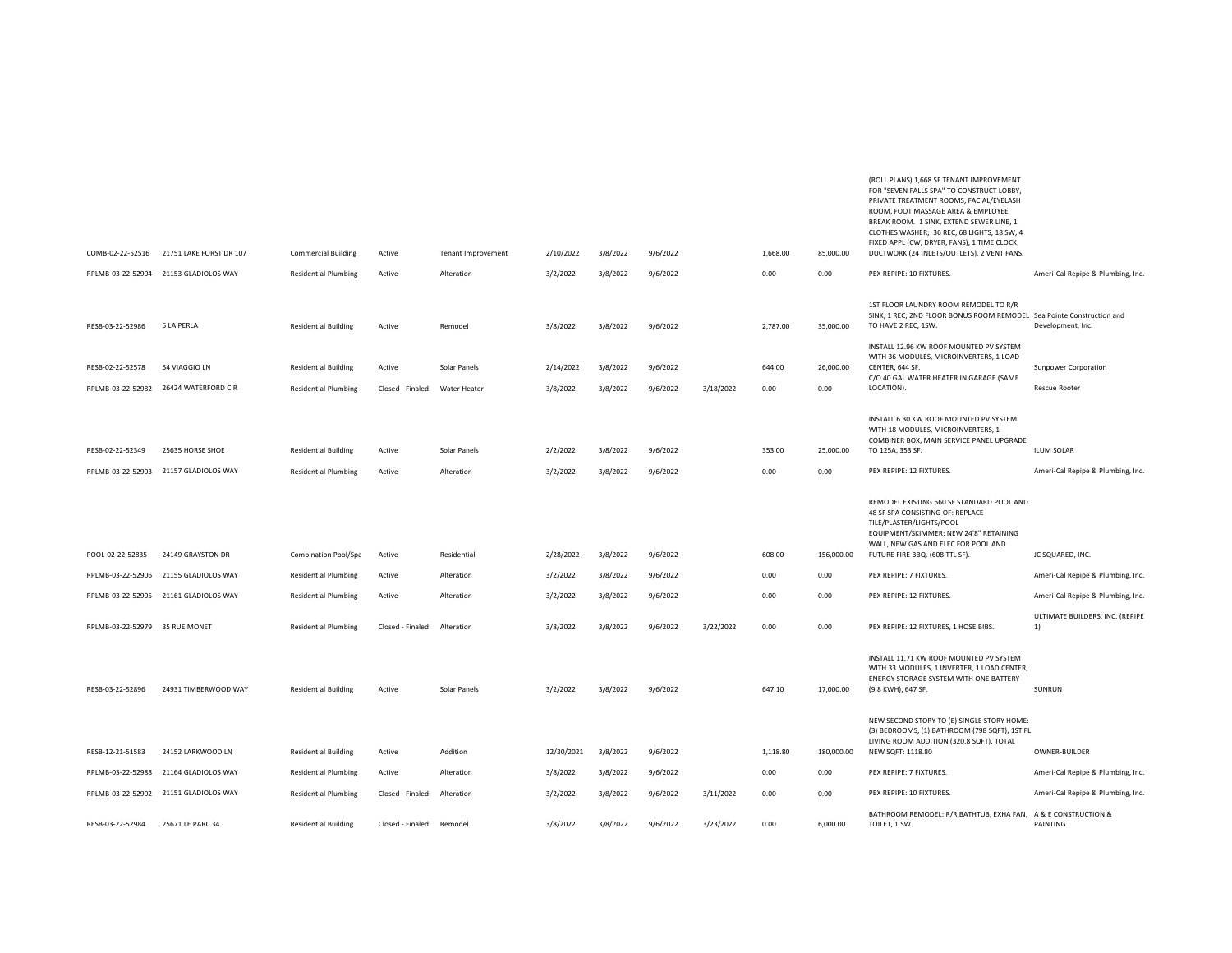| COMB-02-22-52516               | 21751 LAKE FORST DR 107               | <b>Commercial Building</b>  | Active           | <b>Tenant Improvement</b> | 2/10/2022  | 3/8/2022 | 9/6/2022 |           | 1,668.00 | 85,000.00  | PRIVATE TREATMENT ROOMS, FACIAL/EYELASH<br>ROOM, FOOT MASSAGE AREA & EMPLOYEE<br>BREAK ROOM. 1 SINK, EXTEND SEWER LINE, 1<br>CLOTHES WASHER; 36 REC, 68 LIGHTS, 18 SW, 4<br>FIXED APPL (CW, DRYER, FANS), 1 TIME CLOCK;<br>DUCTWORK (24 INLETS/OUTLETS), 2 VENT FANS. |                                       |
|--------------------------------|---------------------------------------|-----------------------------|------------------|---------------------------|------------|----------|----------|-----------|----------|------------|-----------------------------------------------------------------------------------------------------------------------------------------------------------------------------------------------------------------------------------------------------------------------|---------------------------------------|
| RPLMB-03-22-52904              | 21153 GLADIOLOS WAY                   | <b>Residential Plumbing</b> | Active           | Alteration                | 3/2/2022   | 3/8/2022 | 9/6/2022 |           | 0.00     | 0.00       | PEX REPIPE: 10 FIXTURES.                                                                                                                                                                                                                                              | Ameri-Cal Repipe & Plumbing, Inc.     |
| RESB-03-22-52986               | 5 LA PERLA                            | <b>Residential Building</b> | Active           | Remodel                   | 3/8/2022   | 3/8/2022 | 9/6/2022 |           | 2,787.00 | 35,000.00  | 1ST FLOOR LAUNDRY ROOM REMODEL TO R/R<br>SINK, 1 REC; 2ND FLOOR BONUS ROOM REMODEL Sea Pointe Construction and<br>TO HAVE 2 REC, 1SW.<br>INSTALL 12.96 KW ROOF MOUNTED PV SYSTEM                                                                                      | Development, Inc.                     |
| RESB-02-22-52578               | 54 VIAGGIO LN                         | <b>Residential Building</b> | Active           | Solar Panels              | 2/14/2022  | 3/8/2022 | 9/6/2022 |           | 644.00   | 26,000.00  | WITH 36 MODULES, MICROINVERTERS, 1 LOAD<br>CENTER, 644 SF.                                                                                                                                                                                                            | Sunpower Corporation                  |
| RPLMB-03-22-52982              | 26424 WATERFORD CIR                   | <b>Residential Plumbing</b> | Closed - Finaled | Water Heater              | 3/8/2022   | 3/8/2022 | 9/6/2022 | 3/18/2022 | 0.00     | 0.00       | C/O 40 GAL WATER HEATER IN GARAGE (SAME<br>LOCATION).                                                                                                                                                                                                                 |                                       |
|                                |                                       |                             |                  |                           |            |          |          |           |          |            |                                                                                                                                                                                                                                                                       | Rescue Rooter                         |
| RESB-02-22-52349               | 25635 HORSE SHOE                      | <b>Residential Building</b> | Active           | Solar Panels              | 2/2/2022   | 3/8/2022 | 9/6/2022 |           | 353.00   | 25,000.00  | INSTALL 6.30 KW ROOF MOUNTED PV SYSTEM<br>WITH 18 MODULES, MICROINVERTERS, 1<br>COMBINER BOX, MAIN SERVICE PANEL UPGRADE<br>TO 125A, 353 SF.                                                                                                                          | <b>ILUM SOLAR</b>                     |
| RPLMB-03-22-52903              | 21157 GLADIOLOS WAY                   | <b>Residential Plumbing</b> | Active           | Alteration                | 3/2/2022   | 3/8/2022 | 9/6/2022 |           | 0.00     | 0.00       | PEX REPIPE: 12 FIXTURES.                                                                                                                                                                                                                                              | Ameri-Cal Repipe & Plumbing, Inc.     |
|                                |                                       |                             |                  |                           |            |          |          |           |          |            | REMODEL EXISTING 560 SF STANDARD POOL AND<br>48 SF SPA CONSISTING OF: REPLACE<br>TILE/PLASTER/LIGHTS/POOL<br>EQUIPMENT/SKIMMER; NEW 24'8" RETAINING<br>WALL, NEW GAS AND ELEC FOR POOL AND                                                                            |                                       |
| POOL-02-22-52835               | 24149 GRAYSTON DR                     | Combination Pool/Spa        | Active           | Residential               | 2/28/2022  | 3/8/2022 | 9/6/2022 |           | 608.00   | 156,000.00 | FUTURE FIRE BBQ. (608 TTL SF).                                                                                                                                                                                                                                        | JC SQUARED, INC.                      |
| RPLMB-03-22-52906              | 21155 GLADIOLOS WAY                   | <b>Residential Plumbing</b> | Active           | Alteration                | 3/2/2022   | 3/8/2022 | 9/6/2022 |           | 0.00     | 0.00       | PEX REPIPE: 7 FIXTURES.                                                                                                                                                                                                                                               | Ameri-Cal Repipe & Plumbing, Inc.     |
|                                | RPLMB-03-22-52905 21161 GLADIOLOS WAY | <b>Residential Plumbing</b> | Active           | Alteration                | 3/2/2022   | 3/8/2022 | 9/6/2022 |           | 0.00     | 0.00       | PEX REPIPE: 12 FIXTURES.                                                                                                                                                                                                                                              | Ameri-Cal Repipe & Plumbing, Inc.     |
| RPLMB-03-22-52979 35 RUE MONET |                                       | <b>Residential Plumbing</b> | Closed - Finaled | Alteration                | 3/8/2022   | 3/8/2022 | 9/6/2022 | 3/22/2022 | 0.00     | 0.00       | PEX REPIPE: 12 FIXTURES, 1 HOSE BIBS.                                                                                                                                                                                                                                 | ULTIMATE BUILDERS, INC. (REPIPE<br>1) |
| RESB-03-22-52896               | 24931 TIMBERWOOD WAY                  | <b>Residential Building</b> | Active           | Solar Panels              | 3/2/2022   | 3/8/2022 | 9/6/2022 |           | 647.10   | 17,000.00  | INSTALL 11.71 KW ROOF MOUNTED PV SYSTEM<br>WITH 33 MODULES, 1 INVERTER, 1 LOAD CENTER,<br>ENERGY STORAGE SYSTEM WITH ONE BATTERY<br>(9.8 KWH), 647 SF.                                                                                                                | SUNRUN                                |
| RESB-12-21-51583               | 24152 LARKWOOD LN                     | <b>Residential Building</b> | Active           | Addition                  | 12/30/2021 | 3/8/2022 | 9/6/2022 |           | 1,118.80 | 180,000.00 | NEW SECOND STORY TO (E) SINGLE STORY HOME:<br>(3) BEDROOMS, (1) BATHROOM (798 SQFT), 1ST FL<br>LIVING ROOM ADDITION (320.8 SQFT). TOTAL<br>NEW SQFT: 1118.80                                                                                                          | OWNER-BUILDER                         |
| RPLMB-03-22-52988              | 21164 GLADIOLOS WAY                   | <b>Residential Plumbing</b> | Active           | Alteration                | 3/8/2022   | 3/8/2022 | 9/6/2022 |           | 0.00     | 0.00       | PEX REPIPE: 7 FIXTURES.                                                                                                                                                                                                                                               | Ameri-Cal Repipe & Plumbing, Inc.     |
|                                | RPLMB-03-22-52902 21151 GLADIOLOS WAY | <b>Residential Plumbing</b> | Closed - Finaled | Alteration                | 3/2/2022   | 3/8/2022 | 9/6/2022 | 3/11/2022 | 0.00     | 0.00       | PEX REPIPE: 10 FIXTURES.                                                                                                                                                                                                                                              | Ameri-Cal Repipe & Plumbing, Inc.     |
| RESB-03-22-52984               | 25671 LE PARC 34                      | <b>Residential Building</b> | Closed - Finaled | Remodel                   | 3/8/2022   | 3/8/2022 | 9/6/2022 | 3/23/2022 | 0.00     | 6,000.00   | BATHROOM REMODEL: R/R BATHTUB, EXHA FAN, A & E CONSTRUCTION &<br>TOILET, 1 SW.                                                                                                                                                                                        | PAINTING                              |
|                                |                                       |                             |                  |                           |            |          |          |           |          |            |                                                                                                                                                                                                                                                                       |                                       |

(ROLL PLANS) 1,668 SF TENANT IMPROVEMENT FOR "SEVEN FALLS SPA" TO CONSTRUCT LOBBY,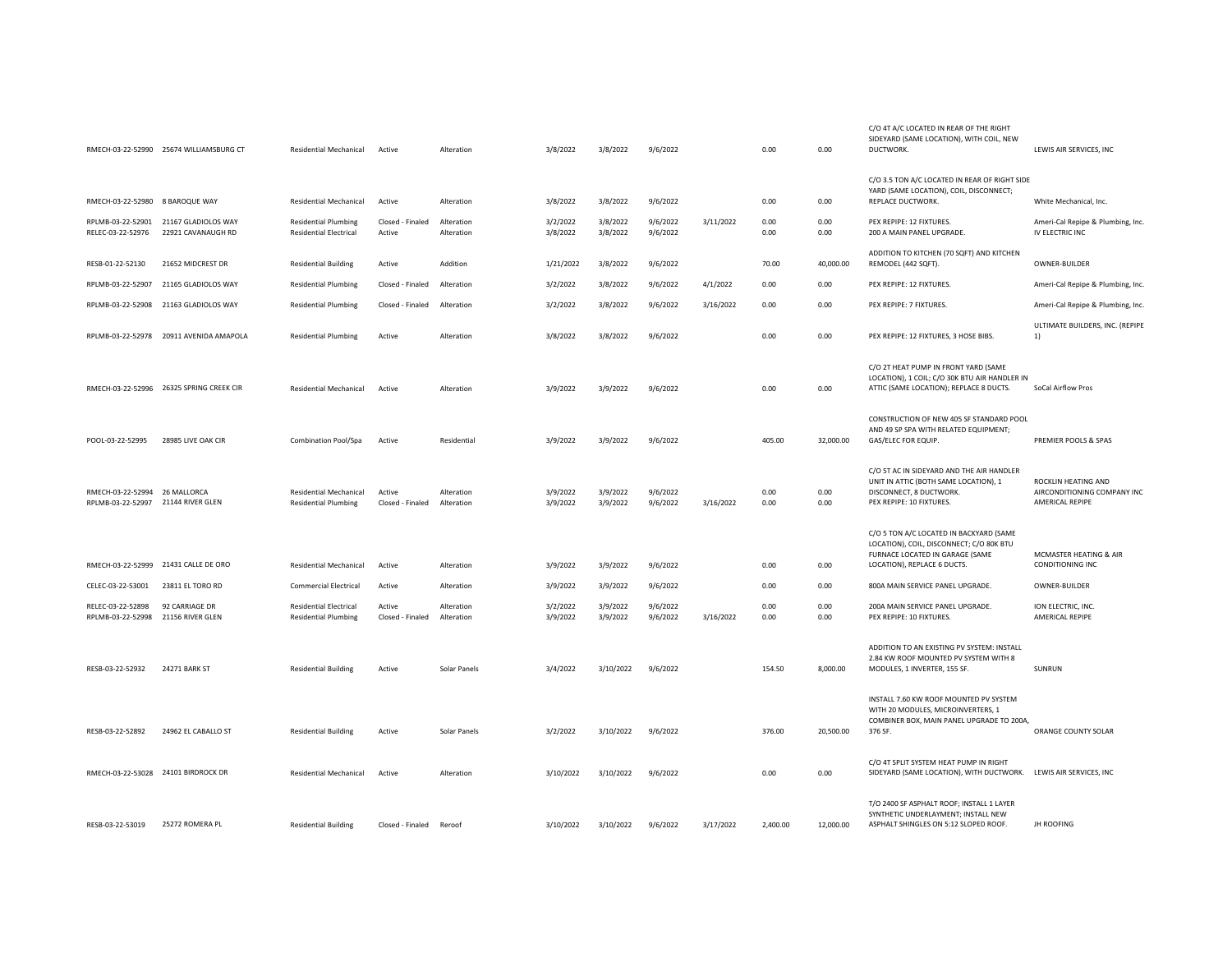|                                                    | RMECH-03-22-52990 25674 WILLIAMSBURG CT   | Residential Mechanical                                       | Active                     | Alteration               | 3/8/2022             | 3/8/2022             | 9/6/2022             |           | 0.00         | 0.00         | C/O 4T A/C LOCATED IN REAR OF THE RIGHT<br>SIDEYARD (SAME LOCATION), WITH COIL, NEW<br>DUCTWORK.                                                      | LEWIS AIR SERVICES, INC                                               |
|----------------------------------------------------|-------------------------------------------|--------------------------------------------------------------|----------------------------|--------------------------|----------------------|----------------------|----------------------|-----------|--------------|--------------|-------------------------------------------------------------------------------------------------------------------------------------------------------|-----------------------------------------------------------------------|
| RMECH-03-22-52980 8 BAROQUE WAY                    |                                           | <b>Residential Mechanical</b>                                | Active                     | Alteration               | 3/8/2022             | 3/8/2022             | 9/6/2022             |           | 0.00         | 0.00         | C/O 3.5 TON A/C LOCATED IN REAR OF RIGHT SIDE<br>YARD (SAME LOCATION), COIL, DISCONNECT;<br>REPLACE DUCTWORK.                                         | White Mechanical, Inc.                                                |
| RPLMB-03-22-52901<br>RELEC-03-22-52976             | 21167 GLADIOLOS WAY<br>22921 CAVANAUGH RD | <b>Residential Plumbing</b><br><b>Residential Electrical</b> | Closed - Finaled<br>Active | Alteration<br>Alteration | 3/2/2022<br>3/8/2022 | 3/8/2022<br>3/8/2022 | 9/6/2022<br>9/6/2022 | 3/11/2022 | 0.00<br>0.00 | 0.00<br>0.00 | PEX REPIPE: 12 FIXTURES.<br>200 A MAIN PANEL UPGRADE.                                                                                                 | Ameri-Cal Repipe & Plumbing, Inc.<br>IV ELECTRIC INC                  |
| RESB-01-22-52130                                   | 21652 MIDCREST DR                         | <b>Residential Building</b>                                  | Active                     | Addition                 | 1/21/2022            | 3/8/2022             | 9/6/2022             |           | 70.00        | 40,000.00    | ADDITION TO KITCHEN (70 SQFT) AND KITCHEN<br>REMODEL (442 SQFT).                                                                                      | OWNER-BUILDER                                                         |
| RPLMB-03-22-52907                                  | 21165 GLADIOLOS WAY                       | <b>Residential Plumbing</b>                                  | Closed - Finaled           | Alteration               | 3/2/2022             | 3/8/2022             | 9/6/2022             | 4/1/2022  | 0.00         | 0.00         | PEX REPIPE: 12 FIXTURES.                                                                                                                              | Ameri-Cal Repipe & Plumbing, Inc.                                     |
| RPLMB-03-22-52908                                  | 21163 GLADIOLOS WAY                       | <b>Residential Plumbing</b>                                  | Closed - Finaled           | Alteration               | 3/2/2022             | 3/8/2022             | 9/6/2022             | 3/16/2022 | 0.00         | 0.00         | PEX REPIPE: 7 FIXTURES.                                                                                                                               | Ameri-Cal Repipe & Plumbing, Inc.                                     |
| RPLMB-03-22-52978                                  | 20911 AVENIDA AMAPOLA                     | <b>Residential Plumbing</b>                                  | Active                     | Alteration               | 3/8/2022             | 3/8/2022             | 9/6/2022             |           | 0.00         | 0.00         | PEX REPIPE: 12 FIXTURES, 3 HOSE BIBS.                                                                                                                 | ULTIMATE BUILDERS, INC. (REPIPE<br>1)                                 |
|                                                    | RMECH-03-22-52996 26325 SPRING CREEK CIR  | Residential Mechanical                                       | Active                     | Alteration               | 3/9/2022             | 3/9/2022             | 9/6/2022             |           | 0.00         | 0.00         | C/O 2T HEAT PUMP IN FRONT YARD (SAME<br>LOCATION), 1 COIL; C/O 30K BTU AIR HANDLER IN<br>ATTIC (SAME LOCATION); REPLACE 8 DUCTS.                      | SoCal Airflow Pros                                                    |
| POOL-03-22-52995                                   | 28985 LIVE OAK CIR                        | Combination Pool/Spa                                         | Active                     | Residential              | 3/9/2022             | 3/9/2022             | 9/6/2022             |           | 405.00       | 32,000.00    | CONSTRUCTION OF NEW 405 SF STANDARD POOL<br>AND 49 SP SPA WITH RELATED EQUIPMENT;<br>GAS/ELEC FOR EQUIP.                                              | PREMIER POOLS & SPAS                                                  |
| RMECH-03-22-52994 26 MALLORCA<br>RPLMB-03-22-52997 | 21144 RIVER GLEN                          | Residential Mechanical<br><b>Residential Plumbing</b>        | Active<br>Closed - Finaled | Alteration<br>Alteration | 3/9/2022<br>3/9/2022 | 3/9/2022<br>3/9/2022 | 9/6/2022<br>9/6/2022 | 3/16/2022 | 0.00<br>0.00 | 0.00<br>0.00 | C/O 5T AC IN SIDEYARD AND THE AIR HANDLER<br>UNIT IN ATTIC (BOTH SAME LOCATION), 1<br>DISCONNECT, 8 DUCTWORK.<br>PEX REPIPE: 10 FIXTURES.             | ROCKLIN HEATING AND<br>AIRCONDITIONING COMPANY INC<br>AMERICAL REPIPE |
|                                                    | RMECH-03-22-52999 21431 CALLE DE ORO      | Residential Mechanical                                       | Active                     | Alteration               | 3/9/2022             | 3/9/2022             | 9/6/2022             |           | 0.00         | 0.00         | C/O 5 TON A/C LOCATED IN BACKYARD (SAME<br>LOCATION), COIL, DISCONNECT; C/O 80K BTU<br>FURNACE LOCATED IN GARAGE (SAME<br>LOCATION), REPLACE 6 DUCTS. | MCMASTER HEATING & AIR<br>CONDITIONING INC                            |
| CELEC-03-22-53001                                  | 23811 EL TORO RD                          | <b>Commercial Electrical</b>                                 | Active                     | Alteration               | 3/9/2022             | 3/9/2022             | 9/6/2022             |           | 0.00         | 0.00         | 800A MAIN SERVICE PANEL UPGRADE.                                                                                                                      | OWNER-BUILDER                                                         |
| RELEC-03-22-52898<br>RPLMB-03-22-52998             | 92 CARRIAGE DR<br>21156 RIVER GLEN        | <b>Residential Electrical</b><br><b>Residential Plumbing</b> | Active<br>Closed - Finaled | Alteration<br>Alteration | 3/2/2022<br>3/9/2022 | 3/9/2022<br>3/9/2022 | 9/6/2022<br>9/6/2022 | 3/16/2022 | 0.00<br>0.00 | 0.00<br>0.00 | 200A MAIN SERVICE PANEL UPGRADE.<br>PEX REPIPE: 10 FIXTURES.                                                                                          | ION ELECTRIC, INC.<br>AMERICAL REPIPE                                 |
| RESB-03-22-52932                                   | 24271 BARK ST                             | <b>Residential Building</b>                                  | Active                     | Solar Panels             | 3/4/2022             | 3/10/2022            | 9/6/2022             |           | 154.50       | 8,000.00     | ADDITION TO AN EXISTING PV SYSTEM: INSTALL<br>2.84 KW ROOF MOUNTED PV SYSTEM WITH 8<br>MODULES, 1 INVERTER, 155 SF.                                   | SUNRUN                                                                |
| RESB-03-22-52892                                   | 24962 EL CABALLO ST                       | <b>Residential Building</b>                                  | Active                     | Solar Panels             | 3/2/2022             | 3/10/2022            | 9/6/2022             |           | 376.00       | 20,500.00    | INSTALL 7.60 KW ROOF MOUNTED PV SYSTEM<br>WITH 20 MODULES, MICROINVERTERS, 1<br>COMBINER BOX, MAIN PANEL UPGRADE TO 200A,<br>376 SF.                  | ORANGE COUNTY SOLAR                                                   |
| RMECH-03-22-53028 24101 BIRDROCK DR                |                                           | Residential Mechanical                                       | Active                     | Alteration               | 3/10/2022            | 3/10/2022            | 9/6/2022             |           | 0.00         | 0.00         | C/O 4T SPLIT SYSTEM HEAT PUMP IN RIGHT<br>SIDEYARD (SAME LOCATION), WITH DUCTWORK. LEWIS AIR SERVICES, INC                                            |                                                                       |
| RESB-03-22-53019                                   | 25272 ROMERA PL                           | <b>Residential Building</b>                                  | Closed - Finaled           | Reroof                   | 3/10/2022            | 3/10/2022            | 9/6/2022             | 3/17/2022 | 2,400.00     | 12,000.00    | T/O 2400 SF ASPHALT ROOF; INSTALL 1 LAYER<br>SYNTHETIC UNDERLAYMENT; INSTALL NEW<br>ASPHALT SHINGLES ON 5:12 SLOPED ROOF.                             | <b>JH ROOFING</b>                                                     |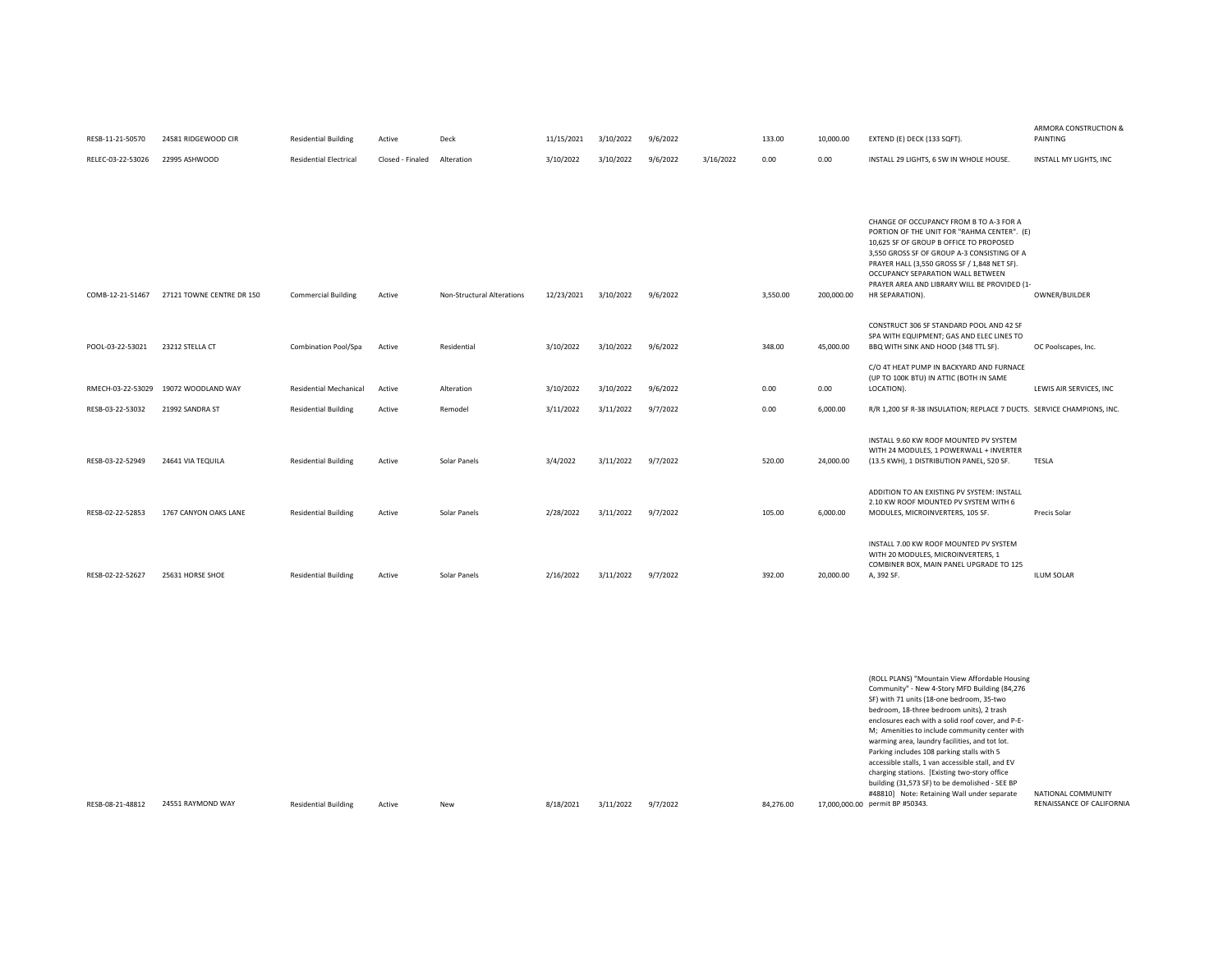| RESB-11-21-50570  | 24581 RIDGEWOOD CIR       | <b>Residential Building</b>   | Active           | Deck                       | 11/15/2021 | 3/10/2022 | 9/6/2022 |           | 133.00   | 10,000.00  | EXTEND (E) DECK (133 SQFT).                                                                                                                                                                                                                                           | <b>ANIVIURA CUIVO I NUCTIUIV (</b><br>PAINTING |
|-------------------|---------------------------|-------------------------------|------------------|----------------------------|------------|-----------|----------|-----------|----------|------------|-----------------------------------------------------------------------------------------------------------------------------------------------------------------------------------------------------------------------------------------------------------------------|------------------------------------------------|
| RELEC-03-22-53026 | 22995 ASHWOOD             | <b>Residential Electrical</b> | Closed - Finaled | Alteration                 | 3/10/2022  | 3/10/2022 | 9/6/2022 | 3/16/2022 | 0.00     | 0.00       | INSTALL 29 LIGHTS, 6 SW IN WHOLE HOUSE.                                                                                                                                                                                                                               | INSTALL MY LIGHTS. INC                         |
|                   |                           |                               |                  |                            |            |           |          |           |          |            |                                                                                                                                                                                                                                                                       |                                                |
|                   |                           |                               |                  |                            |            |           |          |           |          |            |                                                                                                                                                                                                                                                                       |                                                |
|                   |                           |                               |                  |                            |            |           |          |           |          |            | CHANGE OF OCCUPANCY FROM B TO A-3 FOR A<br>PORTION OF THE UNIT FOR "RAHMA CENTER". (E)<br>10.625 SF OF GROUP B OFFICE TO PROPOSED<br>3,550 GROSS SF OF GROUP A-3 CONSISTING OF A<br>PRAYER HALL (3,550 GROSS SF / 1,848 NET SF).<br>OCCUPANCY SEPARATION WALL BETWEEN |                                                |
| COMB-12-21-51467  | 27121 TOWNE CENTRE DR 150 | <b>Commercial Building</b>    | Active           | Non-Structural Alterations | 12/23/2021 | 3/10/2022 | 9/6/2022 |           | 3,550.00 | 200,000.00 | PRAYER AREA AND LIBRARY WILL BE PROVIDED (1-<br>HR SEPARATION).                                                                                                                                                                                                       | OWNER/BUILDER                                  |
| POOL-03-22-53021  | 23212 STELLA CT           | Combination Pool/Spa          | Active           | Residential                | 3/10/2022  | 3/10/2022 | 9/6/2022 |           | 348.00   | 45,000.00  | CONSTRUCT 306 SF STANDARD POOL AND 42 SF<br>SPA WITH EQUIPMENT; GAS AND ELEC LINES TO<br>BBQ WITH SINK AND HOOD (348 TTL SF)                                                                                                                                          | OC Poolscapes, Inc.                            |
| RMECH-03-22-53029 | 19072 WOODLAND WAY        | <b>Residential Mechanical</b> | Active           | Alteration                 | 3/10/2022  | 3/10/2022 | 9/6/2022 |           | 0.00     | 0.00       | C/O 4T HEAT PUMP IN BACKYARD AND FURNACE<br>(UP TO 100K BTU) IN ATTIC (BOTH IN SAME<br>LOCATION).                                                                                                                                                                     | LEWIS AIR SERVICES, INC                        |
| RESB-03-22-53032  | 21992 SANDRA ST           | <b>Residential Building</b>   | Active           | Remodel                    | 3/11/2022  | 3/11/2022 | 9/7/2022 |           | 0.00     | 6,000.00   | R/R 1,200 SF R-38 INSULATION; REPLACE 7 DUCTS. SERVICE CHAMPIONS, INC.                                                                                                                                                                                                |                                                |
| RESB-03-22-52949  | 24641 VIA TEQUILA         | <b>Residential Building</b>   | Active           | Solar Panels               | 3/4/2022   | 3/11/2022 | 9/7/2022 |           | 520.00   | 24,000.00  | INSTALL 9.60 KW ROOF MOUNTED PV SYSTEM<br>WITH 24 MODULES, 1 POWERWALL + INVERTER<br>(13.5 KWH), 1 DISTRIBUTION PANEL, 520 SF.                                                                                                                                        | TESLA                                          |
| RESB-02-22-52853  | 1767 CANYON OAKS LANE     | <b>Residential Building</b>   | Active           | Solar Panels               | 2/28/2022  | 3/11/2022 | 9/7/2022 |           | 105.00   | 6,000.00   | ADDITION TO AN EXISTING PV SYSTEM: INSTALL<br>2.10 KW ROOF MOUNTED PV SYSTEM WITH 6<br>MODULES, MICROINVERTERS, 105 SF.                                                                                                                                               | Precis Solar                                   |
| RESB-02-22-52627  | 25631 HORSE SHOE          | <b>Residential Building</b>   | Active           | Solar Panels               | 2/16/2022  | 3/11/2022 | 9/7/2022 |           | 392.00   | 20,000.00  | INSTALL 7.00 KW ROOF MOUNTED PV SYSTEM<br>WITH 20 MODULES, MICROINVERTERS, 1<br>COMBINER BOX, MAIN PANEL UPGRADE TO 125<br>A, 392 SF.                                                                                                                                 | <b>ILUM SOLAR</b>                              |
|                   |                           |                               |                  |                            |            |           |          |           |          |            |                                                                                                                                                                                                                                                                       |                                                |

RESB-08-21-48812 24551 RAYMOND WAY Residential Building

|        |     |           |           |          |           | (ROLL PLANS) "Mountain View Affordable Housing<br>Community" - New 4-Story MFD Building (84,276 |                           |
|--------|-----|-----------|-----------|----------|-----------|-------------------------------------------------------------------------------------------------|---------------------------|
|        |     |           |           |          |           | SF) with 71 units (18-one bedroom, 35-two<br>bedroom. 18-three bedroom units). 2 trash          |                           |
|        |     |           |           |          |           | enclosures each with a solid roof cover, and P-E-                                               |                           |
|        |     |           |           |          |           | M; Amenities to include community center with                                                   |                           |
|        |     |           |           |          |           | warming area, laundry facilities, and tot lot.                                                  |                           |
|        |     |           |           |          |           | Parking includes 108 parking stalls with 5                                                      |                           |
|        |     |           |           |          |           | accessible stalls, 1 van accessible stall, and EV                                               |                           |
|        |     |           |           |          |           | charging stations. [Existing two-story office                                                   |                           |
|        |     |           |           |          |           | building (31,573 SF) to be demolished - SEE BP                                                  |                           |
|        |     |           |           |          |           | #48810] Note: Retaining Wall under separate                                                     | NATIONAL COMMUNITY        |
| Active | New | 8/18/2021 | 3/11/2022 | 9/7/2022 | 84.276.00 | 17.000.000.00 permit BP #50343.                                                                 | RENAISSANCE OF CALIFORNIA |

ARMORA CONSTRUCTION &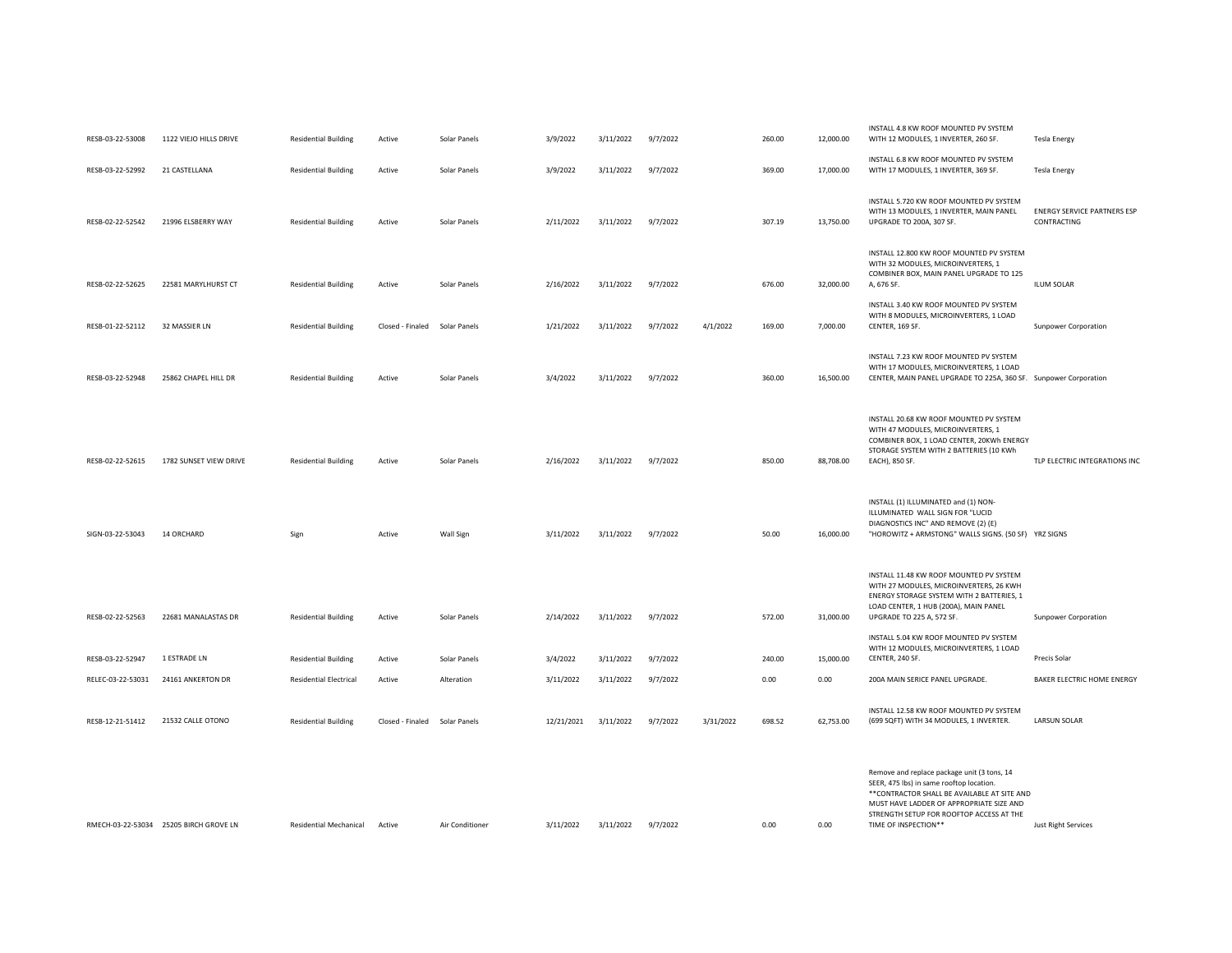| RESB-03-22-53008  | 1122 VIEJO HILLS DRIVE                 | <b>Residential Building</b>   | Active                        | Solar Panels    | 3/9/2022   | 3/11/2022 | 9/7/2022 |           | 260.00 | 12,000.00 | INSTALL 4.8 KW ROOF MOUNTED PV SYSTEM<br>WITH 12 MODULES, 1 INVERTER, 260 SF.                                                                                                                                                                           | <b>Tesla Energy</b>                               |
|-------------------|----------------------------------------|-------------------------------|-------------------------------|-----------------|------------|-----------|----------|-----------|--------|-----------|---------------------------------------------------------------------------------------------------------------------------------------------------------------------------------------------------------------------------------------------------------|---------------------------------------------------|
| RESB-03-22-52992  | 21 CASTELLANA                          | <b>Residential Building</b>   | Active                        | Solar Panels    | 3/9/2022   | 3/11/2022 | 9/7/2022 |           | 369.00 | 17,000.00 | INSTALL 6.8 KW ROOF MOUNTED PV SYSTEM<br>WITH 17 MODULES, 1 INVERTER, 369 SF.                                                                                                                                                                           | <b>Tesla Energy</b>                               |
| RESB-02-22-52542  | 21996 ELSBERRY WAY                     | <b>Residential Building</b>   | Active                        | Solar Panels    | 2/11/2022  | 3/11/2022 | 9/7/2022 |           | 307.19 | 13,750.00 | INSTALL 5.720 KW ROOF MOUNTED PV SYSTEM<br>WITH 13 MODULES, 1 INVERTER, MAIN PANEL<br>UPGRADE TO 200A, 307 SF.                                                                                                                                          | <b>ENERGY SERVICE PARTNERS ESP</b><br>CONTRACTING |
| RESB-02-22-52625  | 22581 MARYLHURST CT                    | <b>Residential Building</b>   | Active                        | Solar Panels    | 2/16/2022  | 3/11/2022 | 9/7/2022 |           | 676.00 | 32,000.00 | INSTALL 12.800 KW ROOF MOUNTED PV SYSTEM<br>WITH 32 MODULES, MICROINVERTERS, 1<br>COMBINER BOX, MAIN PANEL UPGRADE TO 125<br>A, 676 SF.                                                                                                                 | <b>ILUM SOLAR</b>                                 |
| RESB-01-22-52112  | 32 MASSIER LN                          | <b>Residential Building</b>   | Closed - Finaled Solar Panels |                 | 1/21/2022  | 3/11/2022 | 9/7/2022 | 4/1/2022  | 169.00 | 7,000.00  | INSTALL 3.40 KW ROOF MOUNTED PV SYSTEM<br>WITH 8 MODULES, MICROINVERTERS, 1 LOAD<br>CENTER, 169 SF.                                                                                                                                                     | Sunpower Corporation                              |
| RESB-03-22-52948  | 25862 CHAPEL HILL DR                   | <b>Residential Building</b>   | Active                        | Solar Panels    | 3/4/2022   | 3/11/2022 | 9/7/2022 |           | 360.00 | 16,500.00 | INSTALL 7.23 KW ROOF MOUNTED PV SYSTEM<br>WITH 17 MODULES, MICROINVERTERS, 1 LOAD<br>CENTER, MAIN PANEL UPGRADE TO 225A, 360 SF. Sunpower Corporation                                                                                                   |                                                   |
| RESB-02-22-52615  | 1782 SUNSET VIEW DRIVE                 | <b>Residential Building</b>   | Active                        | Solar Panels    | 2/16/2022  | 3/11/2022 | 9/7/2022 |           | 850.00 | 88,708.00 | INSTALL 20.68 KW ROOF MOUNTED PV SYSTEM<br>WITH 47 MODULES, MICROINVERTERS, 1<br>COMBINER BOX, 1 LOAD CENTER, 20KWh ENERGY<br>STORAGE SYSTEM WITH 2 BATTERIES (10 KWh<br>EACH), 850 SF.                                                                 | TLP ELECTRIC INTEGRATIONS INC                     |
| SIGN-03-22-53043  | 14 ORCHARD                             | Sign                          | Active                        | Wall Sign       | 3/11/2022  | 3/11/2022 | 9/7/2022 |           | 50.00  | 16,000.00 | INSTALL (1) ILLUMINATED and (1) NON-<br>ILLUMINATED WALL SIGN FOR "LUCID<br>DIAGNOSTICS INC" AND REMOVE (2) (E)<br>"HOROWITZ + ARMSTONG" WALLS SIGNS. (50 SF) YRZ SIGNS                                                                                 |                                                   |
| RESB-02-22-52563  | 22681 MANALASTAS DR                    | <b>Residential Building</b>   | Active                        | Solar Panels    | 2/14/2022  | 3/11/2022 | 9/7/2022 |           | 572.00 | 31,000.00 | INSTALL 11.48 KW ROOF MOUNTED PV SYSTEM<br>WITH 27 MODULES, MICROINVERTERS, 26 KWH<br>ENERGY STORAGE SYSTEM WITH 2 BATTERIES, 1<br>LOAD CENTER, 1 HUB (200A), MAIN PANEL<br>UPGRADE TO 225 A, 572 SF.                                                   | Sunpower Corporation                              |
| RESB-03-22-52947  | 1 ESTRADE LN                           | <b>Residential Building</b>   | Active                        | Solar Panels    | 3/4/2022   | 3/11/2022 | 9/7/2022 |           | 240.00 | 15,000.00 | INSTALL 5.04 KW ROOF MOUNTED PV SYSTEM<br>WITH 12 MODULES, MICROINVERTERS, 1 LOAD<br>CENTER, 240 SF.                                                                                                                                                    | Precis Solar                                      |
| RELEC-03-22-53031 | 24161 ANKERTON DR                      | <b>Residential Electrical</b> | Active                        | Alteration      | 3/11/2022  | 3/11/2022 | 9/7/2022 |           | 0.00   | 0.00      | 200A MAIN SERICE PANEL UPGRADE.                                                                                                                                                                                                                         | BAKER ELECTRIC HOME ENERGY                        |
| RESB-12-21-51412  | 21532 CALLE OTONO                      | <b>Residential Building</b>   | Closed - Finaled Solar Panels |                 | 12/21/2021 | 3/11/2022 | 9/7/2022 | 3/31/2022 | 698.52 | 62,753.00 | INSTALL 12.58 KW ROOF MOUNTED PV SYSTEM<br>(699 SQFT) WITH 34 MODULES, 1 INVERTER.                                                                                                                                                                      | <b>LARSUN SOLAR</b>                               |
|                   | RMECH-03-22-53034 25205 BIRCH GROVE LN | Residential Mechanical        | Active                        | Air Conditioner | 3/11/2022  | 3/11/2022 | 9/7/2022 |           | 0.00   | 0.00      | Remove and replace package unit (3 tons, 14<br>SEER, 475 lbs) in same rooftop location.<br>** CONTRACTOR SHALL BE AVAILABLE AT SITE AND<br>MUST HAVE LADDER OF APPROPRIATE SIZE AND<br>STRENGTH SETUP FOR ROOFTOP ACCESS AT THE<br>TIME OF INSPECTION** | <b>Just Right Services</b>                        |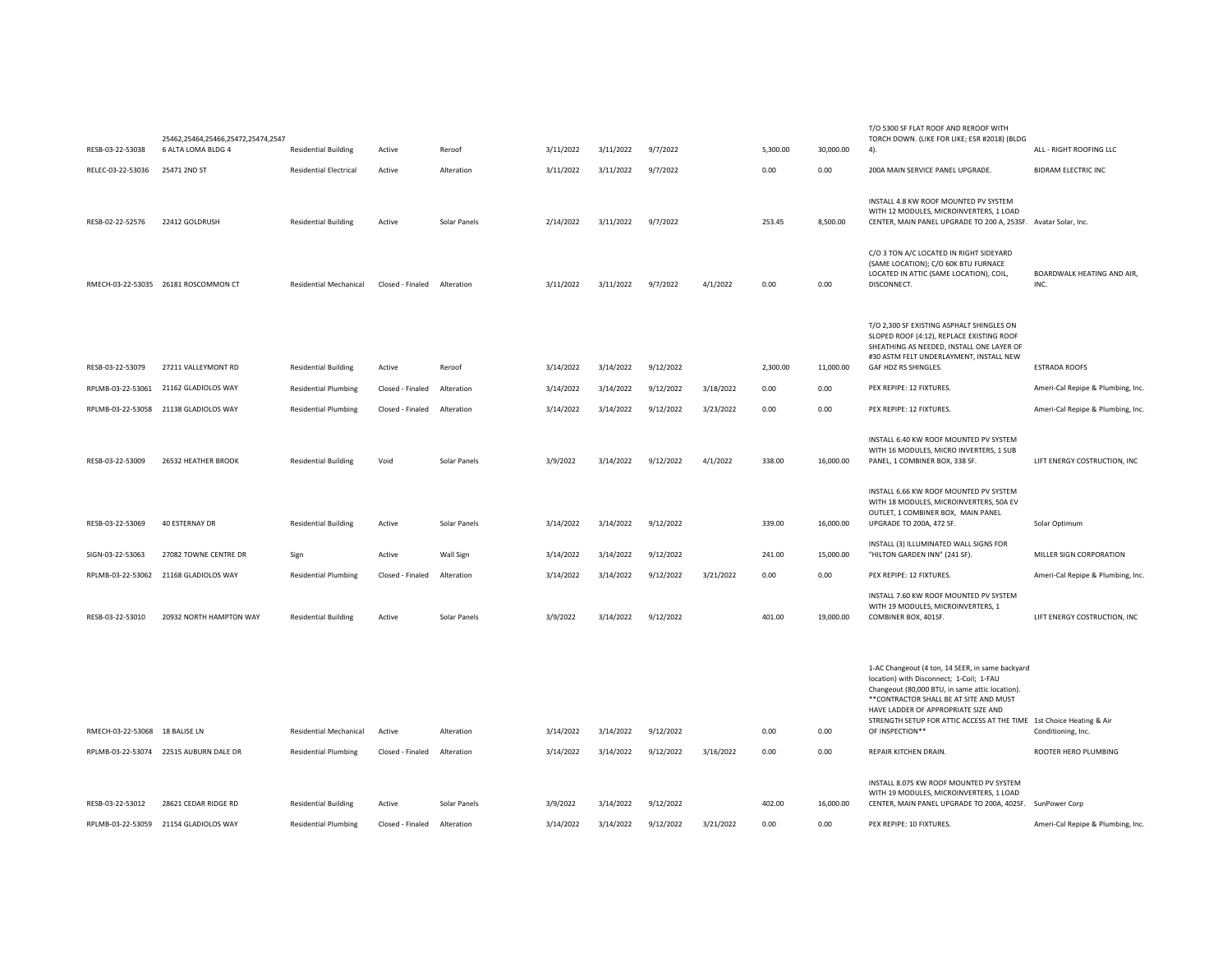|                                | 25462,25464,25466,25472,25474,2547     |                               |                  |              |           |           |           |           |          |           | TORCH DOWN. (LIKE FOR LIKE; ESR #2018) (BLDG                                                                                                                                                                                                                                                                                 |                                    |
|--------------------------------|----------------------------------------|-------------------------------|------------------|--------------|-----------|-----------|-----------|-----------|----------|-----------|------------------------------------------------------------------------------------------------------------------------------------------------------------------------------------------------------------------------------------------------------------------------------------------------------------------------------|------------------------------------|
| RESB-03-22-53038               | 6 ALTA LOMA BLDG 4                     | <b>Residential Building</b>   | Active           | Reroof       | 3/11/2022 | 3/11/2022 | 9/7/2022  |           | 5,300.00 | 30,000.00 | 4).                                                                                                                                                                                                                                                                                                                          | ALL - RIGHT ROOFING LLC            |
| RELEC-03-22-53036              | 25471 2ND ST                           | <b>Residential Electrical</b> | Active           | Alteration   | 3/11/2022 | 3/11/2022 | 9/7/2022  |           | 0.00     | 0.00      | 200A MAIN SERVICE PANEL UPGRADE.                                                                                                                                                                                                                                                                                             | <b>BIDRAM ELECTRIC INC</b>         |
| RESB-02-22-52576               | 22412 GOLDRUSH                         | <b>Residential Building</b>   | Active           | Solar Panels | 2/14/2022 | 3/11/2022 | 9/7/2022  |           | 253.45   | 8,500.00  | INSTALL 4.8 KW ROOF MOUNTED PV SYSTEM<br>WITH 12 MODULES, MICROINVERTERS, 1 LOAD<br>CENTER, MAIN PANEL UPGRADE TO 200 A, 253SF. Avatar Solar, Inc.                                                                                                                                                                           |                                    |
|                                | RMECH-03-22-53035 26181 ROSCOMMON CT   | Residential Mechanical        | Closed - Finaled | Alteration   | 3/11/2022 | 3/11/2022 | 9/7/2022  | 4/1/2022  | 0.00     | 0.00      | C/O 3 TON A/C LOCATED IN RIGHT SIDEYARD<br>(SAME LOCATION); C/O 60K BTU FURNACE<br>LOCATED IN ATTIC (SAME LOCATION), COIL,<br>DISCONNECT.                                                                                                                                                                                    | BOARDWALK HEATING AND AIR,<br>INC. |
| RESB-03-22-53079               | 27211 VALLEYMONT RD                    | <b>Residential Building</b>   | Active           | Reroof       | 3/14/2022 | 3/14/2022 | 9/12/2022 |           | 2,300.00 | 11,000.00 | T/O 2,300 SF EXISTING ASPHALT SHINGLES ON<br>SLOPED ROOF (4:12), REPLACE EXISTING ROOF<br>SHEATHING AS NEEDED, INSTALL ONE LAYER OF<br>#30 ASTM FELT UNDERLAYMENT. INSTALL NEW<br>GAF HDZ RS SHINGLES.                                                                                                                       | <b>ESTRADA ROOFS</b>               |
| RPLMB-03-22-53061              | 21162 GLADIOLOS WAY                    | <b>Residential Plumbing</b>   | Closed - Finaled | Alteration   | 3/14/2022 | 3/14/2022 | 9/12/2022 | 3/18/2022 | 0.00     | 0.00      | PEX REPIPE: 12 FIXTURES.                                                                                                                                                                                                                                                                                                     | Ameri-Cal Repipe & Plumbing, Inc.  |
|                                | RPLMB-03-22-53058 21138 GLADIOLOS WAY  | <b>Residential Plumbing</b>   | Closed - Finaled | Alteration   | 3/14/2022 | 3/14/2022 | 9/12/2022 | 3/23/2022 | 0.00     | 0.00      | PEX REPIPE: 12 FIXTURES.                                                                                                                                                                                                                                                                                                     | Ameri-Cal Repipe & Plumbing, Inc.  |
| RESB-03-22-53009               | 26532 HEATHER BROOK                    | <b>Residential Building</b>   | Void             | Solar Panels | 3/9/2022  | 3/14/2022 | 9/12/2022 | 4/1/2022  | 338.00   | 16,000.00 | INSTALL 6.40 KW ROOF MOUNTED PV SYSTEM<br>WITH 16 MODULES, MICRO INVERTERS, 1 SUB<br>PANEL, 1 COMBINER BOX, 338 SF.                                                                                                                                                                                                          | LIFT ENERGY COSTRUCTION, INC       |
| RESB-03-22-53069               | 40 ESTERNAY DR                         | <b>Residential Building</b>   | Active           | Solar Panels | 3/14/2022 | 3/14/2022 | 9/12/2022 |           | 339.00   | 16,000.00 | INSTALL 6.66 KW ROOF MOUNTED PV SYSTEM<br>WITH 18 MODULES, MICROINVERTERS, 50A EV<br>OUTLET, 1 COMBINER BOX, MAIN PANEL<br>UPGRADE TO 200A, 472 SF.                                                                                                                                                                          | Solar Optimum                      |
| SIGN-03-22-53063               | 27082 TOWNE CENTRE DR                  | Sign                          | Active           | Wall Sign    | 3/14/2022 | 3/14/2022 | 9/12/2022 |           | 241.00   | 15,000.00 | INSTALL (3) ILLUMINATED WALL SIGNS FOR<br>"HILTON GARDEN INN" (241 SF).                                                                                                                                                                                                                                                      | MILLER SIGN CORPORATION            |
|                                | RPLMB-03-22-53062 21168 GLADIOLOS WAY  | <b>Residential Plumbing</b>   | Closed - Finaled | Alteration   | 3/14/2022 | 3/14/2022 | 9/12/2022 | 3/21/2022 | 0.00     | 0.00      | PEX REPIPE: 12 FIXTURES.                                                                                                                                                                                                                                                                                                     | Ameri-Cal Repipe & Plumbing, Inc.  |
| RESB-03-22-53010               | 20932 NORTH HAMPTON WAY                | <b>Residential Building</b>   | Active           | Solar Panels | 3/9/2022  | 3/14/2022 | 9/12/2022 |           | 401.00   | 19,000.00 | INSTALL 7.60 KW ROOF MOUNTED PV SYSTEM<br>WITH 19 MODULES, MICROINVERTERS, 1<br>COMBINER BOX, 401SF.                                                                                                                                                                                                                         | LIFT ENERGY COSTRUCTION, INC       |
| RMECH-03-22-53068 18 BALISE LN |                                        | Residential Mechanical        | Active           | Alteration   | 3/14/2022 | 3/14/2022 | 9/12/2022 |           | 0.00     | 0.00      | 1-AC Changeout (4 ton, 14 SEER, in same backyard<br>location) with Disconnect; 1-Coil; 1-FAU<br>Changeout (80,000 BTU, in same attic location).<br>** CONTRACTOR SHALL BE AT SITE AND MUST<br>HAVE LADDER OF APPROPRIATE SIZE AND<br>STRENGTH SETUP FOR ATTIC ACCESS AT THE TIME 1st Choice Heating & Air<br>OF INSPECTION** | Conditioning, Inc.                 |
|                                | RPLMB-03-22-53074 22515 AUBURN DALE DR | <b>Residential Plumbing</b>   | Closed - Finaled | Alteration   | 3/14/2022 | 3/14/2022 | 9/12/2022 | 3/16/2022 | 0.00     | 0.00      | REPAIR KITCHEN DRAIN.                                                                                                                                                                                                                                                                                                        | ROOTER HERO PLUMBING               |
| RESB-03-22-53012               | 28621 CEDAR RIDGE RD                   | <b>Residential Building</b>   | Active           | Solar Panels | 3/9/2022  | 3/14/2022 | 9/12/2022 |           | 402.00   | 16,000.00 | INSTALL 8.075 KW ROOF MOUNTED PV SYSTEM<br>WITH 19 MODULES, MICROINVERTERS, 1 LOAD<br>CENTER, MAIN PANEL UPGRADE TO 200A, 402SF. SunPower Corp.                                                                                                                                                                              |                                    |
|                                | RPLMB-03-22-53059 21154 GLADIOLOS WAY  | <b>Residential Plumbing</b>   | Closed - Finaled | Alteration   | 3/14/2022 | 3/14/2022 | 9/12/2022 | 3/21/2022 | 0.00     | 0.00      | PEX REPIPE: 10 FIXTURES.                                                                                                                                                                                                                                                                                                     | Ameri-Cal Repipe & Plumbing, Inc.  |

T/O 5300 SF FLAT ROOF AND REROOF WITH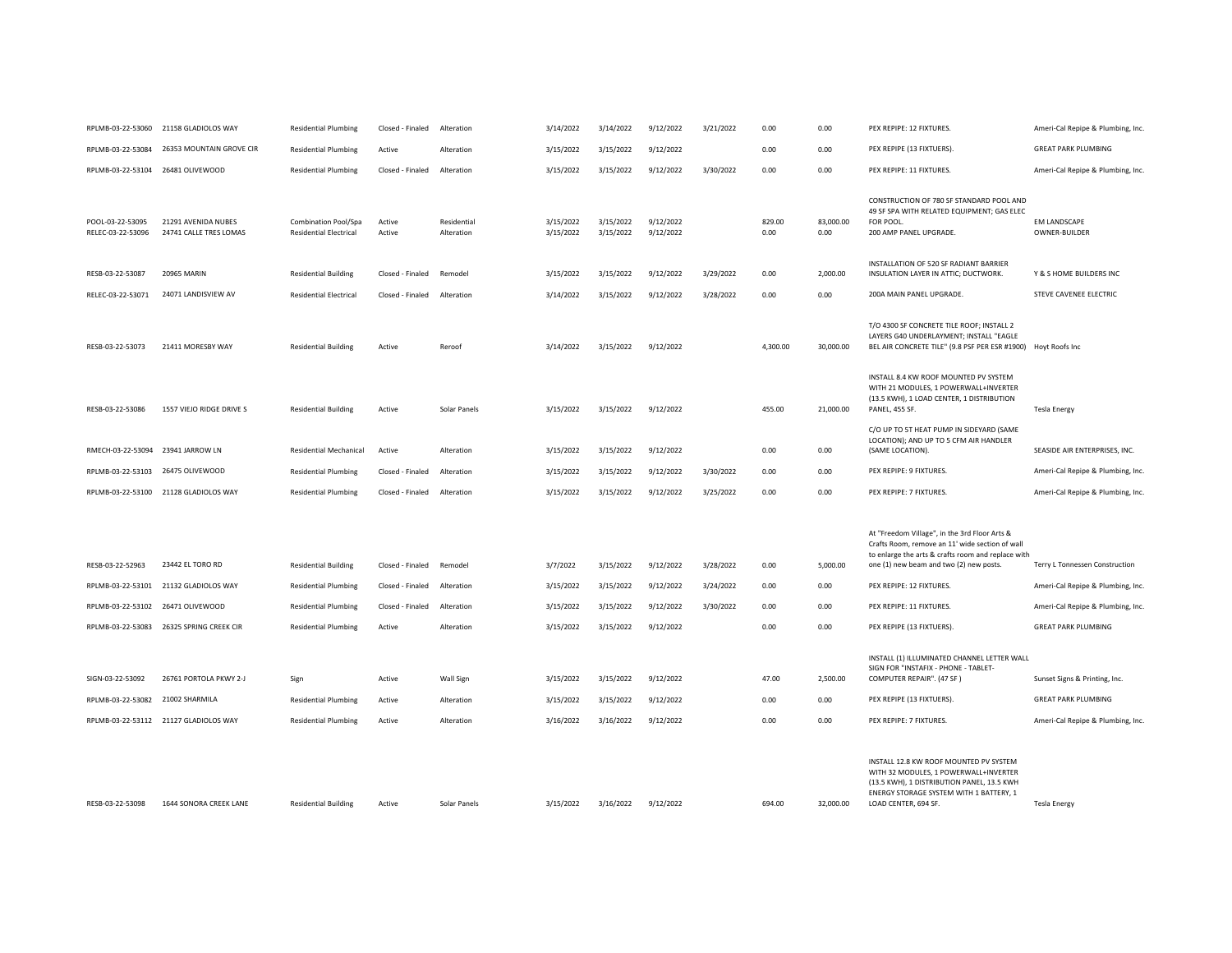| RPLMB-03-22-53060                     | 21158 GLADIOLOS WAY                           | <b>Residential Plumbing</b>                           | Closed - Finaled | Alteration                | 3/14/2022              | 3/14/2022              | 9/12/2022              | 3/21/2022 | 0.00           | 0.00              | PEX REPIPE: 12 FIXTURES.                                                                                                                                                                          | Ameri-Cal Repipe & Plumbing, Inc.    |
|---------------------------------------|-----------------------------------------------|-------------------------------------------------------|------------------|---------------------------|------------------------|------------------------|------------------------|-----------|----------------|-------------------|---------------------------------------------------------------------------------------------------------------------------------------------------------------------------------------------------|--------------------------------------|
| RPLMB-03-22-53084                     | 26353 MOUNTAIN GROVE CIR                      | <b>Residential Plumbing</b>                           | Active           | Alteration                | 3/15/2022              | 3/15/2022              | 9/12/2022              |           | 0.00           | 0.00              | PEX REPIPE (13 FIXTUERS).                                                                                                                                                                         | <b>GREAT PARK PLUMBING</b>           |
| RPLMB-03-22-53104 26481 OLIVEWOOD     |                                               | <b>Residential Plumbing</b>                           | Closed - Finaled | Alteration                | 3/15/2022              | 3/15/2022              | 9/12/2022              | 3/30/2022 | 0.00           | 0.00              | PEX REPIPE: 11 FIXTURES.                                                                                                                                                                          | Ameri-Cal Repipe & Plumbing, Inc.    |
| POOL-03-22-53095<br>RELEC-03-22-53096 | 21291 AVENIDA NUBES<br>24741 CALLE TRES LOMAS | Combination Pool/Spa<br><b>Residential Electrical</b> | Active<br>Active | Residential<br>Alteration | 3/15/2022<br>3/15/2022 | 3/15/2022<br>3/15/2022 | 9/12/2022<br>9/12/2022 |           | 829.00<br>0.00 | 83,000.00<br>0.00 | CONSTRUCTION OF 780 SF STANDARD POOL AND<br>49 SF SPA WITH RELATED EQUIPMENT; GAS ELEC<br>FOR POOL<br>200 AMP PANEL UPGRADE.                                                                      | <b>EM LANDSCAPE</b><br>OWNER-BUILDER |
| RESB-03-22-53087                      | <b>20965 MARIN</b>                            | <b>Residential Building</b>                           | Closed - Finaled | Remodel                   | 3/15/2022              | 3/15/2022              | 9/12/2022              | 3/29/2022 | 0.00           | 2,000.00          | INSTALLATION OF 520 SF RADIANT BARRIER<br>INSULATION LAYER IN ATTIC; DUCTWORK.                                                                                                                    | Y & S HOME BUILDERS INC              |
| RELEC-03-22-53071                     | 24071 LANDISVIEW AV                           | <b>Residential Electrical</b>                         | Closed - Finaled | Alteration                | 3/14/2022              | 3/15/2022              | 9/12/2022              | 3/28/2022 | 0.00           | 0.00              | 200A MAIN PANEL UPGRADE.                                                                                                                                                                          | STEVE CAVENEE ELECTRIC               |
| RESB-03-22-53073                      | 21411 MORESBY WAY                             | <b>Residential Building</b>                           | Active           | Reroof                    | 3/14/2022              | 3/15/2022              | 9/12/2022              |           | 4,300.00       | 30,000.00         | T/O 4300 SF CONCRETE TILE ROOF; INSTALL 2<br>LAYERS G40 UNDERLAYMENT; INSTALL "EAGLE<br>BEL AIR CONCRETE TILE" (9.8 PSF PER ESR #1900)                                                            | Hoyt Roofs Inc                       |
| RESB-03-22-53086                      | 1557 VIEJO RIDGE DRIVE S                      | <b>Residential Building</b>                           | Active           | Solar Panels              | 3/15/2022              | 3/15/2022              | 9/12/2022              |           | 455.00         | 21,000.00         | INSTALL 8.4 KW ROOF MOUNTED PV SYSTEM<br>WITH 21 MODULES, 1 POWERWALL+INVERTER<br>(13.5 KWH), 1 LOAD CENTER, 1 DISTRIBUTION<br>PANEL, 455 SF.<br>C/O UP TO 5T HEAT PUMP IN SIDEYARD (SAME         | <b>Tesla Energy</b>                  |
| RMECH-03-22-53094 23941 JARROW LN     |                                               | <b>Residential Mechanical</b>                         | Active           | Alteration                | 3/15/2022              | 3/15/2022              | 9/12/2022              |           | 0.00           | 0.00              | LOCATION); AND UP TO 5 CFM AIR HANDLER<br>(SAME LOCATION).                                                                                                                                        | SEASIDE AIR ENTERPRISES, INC.        |
| RPLMB-03-22-53103                     | 26475 OLIVEWOOD                               | <b>Residential Plumbing</b>                           | Closed - Finaled | Alteration                | 3/15/2022              | 3/15/2022              | 9/12/2022              | 3/30/2022 | 0.00           | 0.00              | PEX REPIPE: 9 FIXTURES.                                                                                                                                                                           | Ameri-Cal Repipe & Plumbing, Inc.    |
|                                       | RPLMB-03-22-53100 21128 GLADIOLOS WAY         | <b>Residential Plumbing</b>                           | Closed - Finaled | Alteration                | 3/15/2022              | 3/15/2022              | 9/12/2022              | 3/25/2022 | 0.00           | 0.00              | PEX REPIPE: 7 FIXTURES.                                                                                                                                                                           | Ameri-Cal Repipe & Plumbing, Inc.    |
| RESB-03-22-52963                      | 23442 EL TORO RD                              | <b>Residential Building</b>                           | Closed - Finaled | Remodel                   | 3/7/2022               | 3/15/2022              | 9/12/2022              | 3/28/2022 | 0.00           | 5,000.00          | At "Freedom Village", in the 3rd Floor Arts &<br>Crafts Room, remove an 11' wide section of wall<br>to enlarge the arts & crafts room and replace with<br>one (1) new beam and two (2) new posts. | Terry L Tonnessen Construction       |
| RPLMB-03-22-53101                     | 21132 GLADIOLOS WAY                           | <b>Residential Plumbing</b>                           | Closed - Finaled | Alteration                | 3/15/2022              | 3/15/2022              | 9/12/2022              | 3/24/2022 | 0.00           | 0.00              | PEX REPIPE: 12 FIXTURES.                                                                                                                                                                          | Ameri-Cal Repipe & Plumbing, Inc.    |
| RPLMB-03-22-53102                     | 26471 OLIVEWOOD                               | <b>Residential Plumbing</b>                           | Closed - Finaled | Alteration                | 3/15/2022              | 3/15/2022              | 9/12/2022              | 3/30/2022 | 0.00           | 0.00              | PEX REPIPE: 11 FIXTURES.                                                                                                                                                                          | Ameri-Cal Repipe & Plumbing, Inc.    |
| RPLMB-03-22-53083                     | 26325 SPRING CREEK CIR                        | <b>Residential Plumbing</b>                           | Active           | Alteration                | 3/15/2022              | 3/15/2022              | 9/12/2022              |           | 0.00           | 0.00              | PEX REPIPE (13 FIXTUERS).                                                                                                                                                                         | <b>GREAT PARK PLUMBING</b>           |
| SIGN-03-22-53092                      | 26761 PORTOLA PKWY 2-J                        | Sign                                                  | Active           | Wall Sign                 | 3/15/2022              | 3/15/2022              | 9/12/2022              |           | 47.00          | 2,500.00          | INSTALL (1) ILLUMINATED CHANNEL LETTER WALL<br>SIGN FOR "INSTAFIX - PHONE - TABLET-<br>COMPUTER REPAIR". (47 SF)                                                                                  | Sunset Signs & Printing, Inc.        |
| RPLMB-03-22-53082                     | 21002 SHARMILA                                | <b>Residential Plumbing</b>                           | Active           | Alteration                | 3/15/2022              | 3/15/2022              | 9/12/2022              |           | 0.00           | 0.00              | PEX REPIPE (13 FIXTUERS).                                                                                                                                                                         | <b>GREAT PARK PLUMBING</b>           |
|                                       | RPLMB-03-22-53112 21127 GLADIOLOS WAY         | <b>Residential Plumbing</b>                           | Active           | Alteration                | 3/16/2022              | 3/16/2022              | 9/12/2022              |           | 0.00           | 0.00              | PEX REPIPE: 7 FIXTURES.                                                                                                                                                                           | Ameri-Cal Repipe & Plumbing, Inc.    |
| RESB-03-22-53098                      | 1644 SONORA CREEK LANE                        | <b>Residential Building</b>                           | Active           | Solar Panels              | 3/15/2022              | 3/16/2022              | 9/12/2022              |           | 694.00         | 32,000.00         | INSTALL 12.8 KW ROOF MOUNTED PV SYSTEM<br>WITH 32 MODULES, 1 POWERWALL+INVERTER<br>(13.5 KWH), 1 DISTRIBUTION PANEL, 13.5 KWH<br>ENERGY STORAGE SYSTEM WITH 1 BATTERY, 1<br>LOAD CENTER, 694 SF.  | <b>Tesla Energy</b>                  |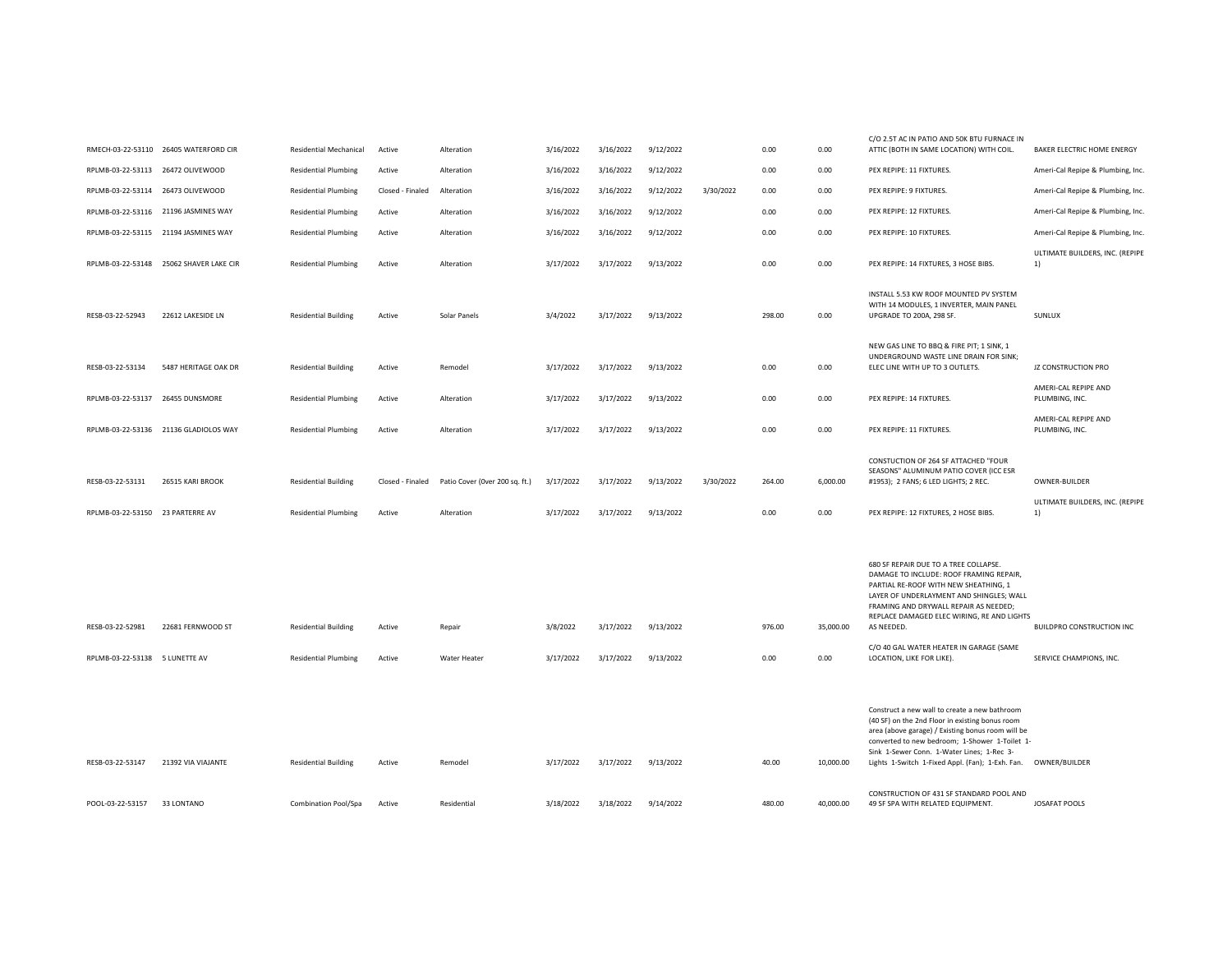|                                   |                                         |                               |                  |                                |           |           |           |           |        |           | C/O 2.5T AC IN PATIO AND 50K BTU FURNACE IN                                                                                                                                                                                                                                                               |                                                  |
|-----------------------------------|-----------------------------------------|-------------------------------|------------------|--------------------------------|-----------|-----------|-----------|-----------|--------|-----------|-----------------------------------------------------------------------------------------------------------------------------------------------------------------------------------------------------------------------------------------------------------------------------------------------------------|--------------------------------------------------|
|                                   | RMECH-03-22-53110 26405 WATERFORD CIR   | <b>Residential Mechanical</b> | Active           | Alteration                     | 3/16/2022 | 3/16/2022 | 9/12/2022 |           | 0.00   | 0.00      | ATTIC (BOTH IN SAME LOCATION) WITH COIL.                                                                                                                                                                                                                                                                  | BAKER ELECTRIC HOME ENERGY                       |
| RPLMB-03-22-53113 26472 OLIVEWOOD |                                         | <b>Residential Plumbing</b>   | Active           | Alteration                     | 3/16/2022 | 3/16/2022 | 9/12/2022 |           | 0.00   | 0.00      | PEX REPIPE: 11 FIXTURES.                                                                                                                                                                                                                                                                                  | Ameri-Cal Repipe & Plumbing, Inc.                |
| RPLMB-03-22-53114 26473 OLIVEWOOD |                                         | <b>Residential Plumbing</b>   | Closed - Finaled | Alteration                     | 3/16/2022 | 3/16/2022 | 9/12/2022 | 3/30/2022 | 0.00   | 0.00      | PEX REPIPE: 9 FIXTURES.                                                                                                                                                                                                                                                                                   | Ameri-Cal Repipe & Plumbing, Inc.                |
|                                   | RPLMB-03-22-53116 21196 JASMINES WAY    | <b>Residential Plumbing</b>   | Active           | Alteration                     | 3/16/2022 | 3/16/2022 | 9/12/2022 |           | 0.00   | 0.00      | PEX REPIPE: 12 FIXTURES.                                                                                                                                                                                                                                                                                  | Ameri-Cal Repipe & Plumbing, Inc.                |
|                                   | RPLMB-03-22-53115 21194 JASMINES WAY    | <b>Residential Plumbing</b>   | Active           | Alteration                     | 3/16/2022 | 3/16/2022 | 9/12/2022 |           | 0.00   | 0.00      | PEX REPIPE: 10 FIXTURES.                                                                                                                                                                                                                                                                                  | Ameri-Cal Repipe & Plumbing, Inc.                |
|                                   | RPLMB-03-22-53148 25062 SHAVER LAKE CIR | <b>Residential Plumbing</b>   | Active           | Alteration                     | 3/17/2022 | 3/17/2022 | 9/13/2022 |           | 0.00   | 0.00      | PEX REPIPE: 14 FIXTURES, 3 HOSE BIBS.                                                                                                                                                                                                                                                                     | ULTIMATE BUILDERS, INC. (REPIPE<br>1)            |
| RESB-03-22-52943                  | 22612 LAKESIDE LN                       | <b>Residential Building</b>   | Active           | Solar Panels                   | 3/4/2022  | 3/17/2022 | 9/13/2022 |           | 298.00 | 0.00      | INSTALL 5.53 KW ROOF MOUNTED PV SYSTEM<br>WITH 14 MODULES, 1 INVERTER, MAIN PANEL<br>UPGRADE TO 200A, 298 SF.                                                                                                                                                                                             | SUNLUX                                           |
| RESB-03-22-53134                  | 5487 HERITAGE OAK DR                    | <b>Residential Building</b>   | Active           | Remodel                        | 3/17/2022 | 3/17/2022 | 9/13/2022 |           | 0.00   | 0.00      | NEW GAS LINE TO BBQ & FIRE PIT; 1 SINK, 1<br>UNDERGROUND WASTE LINE DRAIN FOR SINK;<br>ELEC LINE WITH UP TO 3 OUTLETS.                                                                                                                                                                                    | JZ CONSTRUCTION PRO                              |
| RPLMB-03-22-53137 26455 DUNSMORE  |                                         | <b>Residential Plumbing</b>   | Active           | Alteration                     | 3/17/2022 | 3/17/2022 | 9/13/2022 |           | 0.00   | 0.00      | PEX REPIPE: 14 FIXTURES.                                                                                                                                                                                                                                                                                  | AMERI-CAL REPIPE AND<br>PLUMBING, INC.           |
|                                   | RPLMB-03-22-53136 21136 GLADIOLOS WAY   | <b>Residential Plumbing</b>   | Active           | Alteration                     | 3/17/2022 | 3/17/2022 | 9/13/2022 |           | 0.00   | 0.00      | PEX REPIPE: 11 FIXTURES.                                                                                                                                                                                                                                                                                  | AMERI-CAL REPIPE AND<br>PLUMBING, INC.           |
| RESB-03-22-53131                  | 26515 KARI BROOK                        | <b>Residential Building</b>   | Closed - Finaled | Patio Cover (Over 200 sq. ft.) | 3/17/2022 | 3/17/2022 | 9/13/2022 | 3/30/2022 | 264.00 | 6,000.00  | CONSTUCTION OF 264 SF ATTACHED "FOUR<br>SEASONS" ALUMINUM PATIO COVER (ICC ESR<br>#1953); 2 FANS; 6 LED LIGHTS; 2 REC.                                                                                                                                                                                    | OWNER-BUILDER<br>ULTIMATE BUILDERS, INC. (REPIPE |
| RPLMB-03-22-53150 23 PARTERRE AV  |                                         | <b>Residential Plumbing</b>   | Active           | Alteration                     | 3/17/2022 | 3/17/2022 | 9/13/2022 |           | 0.00   | 0.00      | PEX REPIPE: 12 FIXTURES, 2 HOSE BIBS.                                                                                                                                                                                                                                                                     | 1)                                               |
| RESB-03-22-52981                  | 22681 FERNWOOD ST                       | <b>Residential Building</b>   | Active           | Repair                         | 3/8/2022  | 3/17/2022 | 9/13/2022 |           | 976.00 | 35,000.00 | 680 SF REPAIR DUE TO A TREE COLLAPSE.<br>DAMAGE TO INCLUDE: ROOF FRAMING REPAIR,<br>PARTIAL RE-ROOF WITH NEW SHEATHING, 1<br>LAYER OF UNDERLAYMENT AND SHINGLES: WALL<br>FRAMING AND DRYWALL REPAIR AS NEEDED;<br>REPLACE DAMAGED ELEC WIRING, RE AND LIGHTS<br>AS NEEDED.                                | BUILDPRO CONSTRUCTION INC                        |
| RPLMB-03-22-53138 5 LUNETTE AV    |                                         | <b>Residential Plumbing</b>   | Active           | Water Heater                   | 3/17/2022 | 3/17/2022 | 9/13/2022 |           | 0.00   | 0.00      | C/O 40 GAL WATER HEATER IN GARAGE (SAME<br>LOCATION, LIKE FOR LIKE).                                                                                                                                                                                                                                      | SERVICE CHAMPIONS, INC.                          |
| RESB-03-22-53147                  | 21392 VIA VIAJANTE                      | <b>Residential Building</b>   | Active           | Remodel                        | 3/17/2022 | 3/17/2022 | 9/13/2022 |           | 40.00  | 10,000.00 | Construct a new wall to create a new bathroom<br>(40 SF) on the 2nd Floor in existing bonus room<br>area (above garage) / Existing bonus room will be<br>converted to new bedroom; 1-Shower 1-Toilet 1-<br>Sink 1-Sewer Conn. 1-Water Lines; 1-Rec 3-<br>Lights 1-Switch 1-Fixed Appl. (Fan); 1-Exh. Fan. | OWNER/BUILDER                                    |
| POOL-03-22-53157                  | 33 LONTANO                              | Combination Pool/Spa          | Active           | Residential                    | 3/18/2022 | 3/18/2022 | 9/14/2022 |           | 480.00 | 40,000.00 | CONSTRUCTION OF 431 SF STANDARD POOL AND<br>49 SF SPA WITH RELATED EQUIPMENT.                                                                                                                                                                                                                             | <b>JOSAFAT POOLS</b>                             |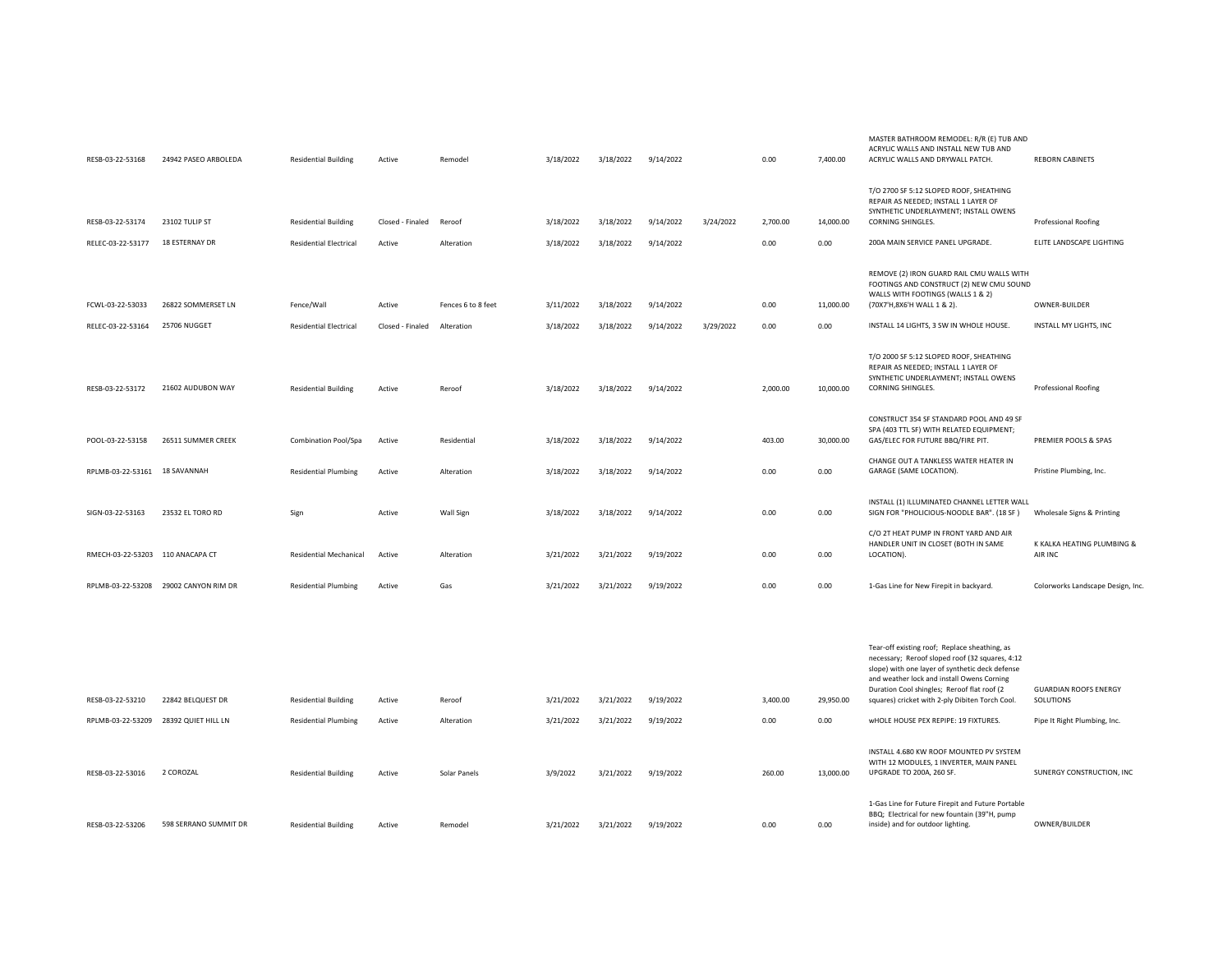| RESB-03-22-53168                      | 24942 PASEO ARBOLEDA                  | <b>Residential Building</b>                 | Active                     | Remodel                          | 3/18/2022              | 3/18/2022              | 9/14/2022              |           | 0.00         | 7,400.00          | MASTER BATHROOM REMODEL: R/R (E) TUB AND<br>ACRYLIC WALLS AND INSTALL NEW TUB AND<br>ACRYLIC WALLS AND DRYWALL PATCH.                                                                                                                            | <b>REBORN CABINETS</b>                  |
|---------------------------------------|---------------------------------------|---------------------------------------------|----------------------------|----------------------------------|------------------------|------------------------|------------------------|-----------|--------------|-------------------|--------------------------------------------------------------------------------------------------------------------------------------------------------------------------------------------------------------------------------------------------|-----------------------------------------|
| RESB-03-22-53174                      | 23102 TULIP ST                        | <b>Residential Building</b>                 | Closed - Finaled           | Reroof                           | 3/18/2022              | 3/18/2022              | 9/14/2022              | 3/24/2022 | 2,700.00     | 14,000.00         | T/O 2700 SF 5:12 SLOPED ROOF, SHEATHING<br>REPAIR AS NEEDED; INSTALL 1 LAYER OF<br>SYNTHETIC UNDERLAYMENT; INSTALL OWENS<br>CORNING SHINGLES.                                                                                                    | <b>Professional Roofing</b>             |
| RELEC-03-22-53177                     | 18 ESTERNAY DR                        | <b>Residential Electrical</b>               | Active                     | Alteration                       | 3/18/2022              | 3/18/2022              | 9/14/2022              |           | 0.00         | 0.00              | 200A MAIN SERVICE PANEL UPGRADE.                                                                                                                                                                                                                 | ELITE LANDSCAPE LIGHTING                |
| FCWL-03-22-53033<br>RELEC-03-22-53164 | 26822 SOMMERSET LN<br>25706 NUGGET    | Fence/Wall<br><b>Residential Electrical</b> | Active<br>Closed - Finaled | Fences 6 to 8 feet<br>Alteration | 3/11/2022<br>3/18/2022 | 3/18/2022<br>3/18/2022 | 9/14/2022<br>9/14/2022 | 3/29/2022 | 0.00<br>0.00 | 11,000.00<br>0.00 | REMOVE (2) IRON GUARD RAIL CMU WALLS WITH<br>FOOTINGS AND CONSTRUCT (2) NEW CMU SOUND<br>WALLS WITH FOOTINGS (WALLS 1 & 2)<br>(70X7'H,8X6'H WALL 1 & 2).<br>INSTALL 14 LIGHTS, 3 SW IN WHOLE HOUSE.                                              | OWNER-BUILDER<br>INSTALL MY LIGHTS. INC |
| RESB-03-22-53172                      | 21602 AUDUBON WAY                     | <b>Residential Building</b>                 | Active                     | Reroof                           | 3/18/2022              | 3/18/2022              | 9/14/2022              |           | 2,000.00     | 10,000.00         | T/O 2000 SF 5:12 SLOPED ROOF, SHEATHING<br>REPAIR AS NEEDED; INSTALL 1 LAYER OF<br>SYNTHETIC UNDERLAYMENT; INSTALL OWENS<br>CORNING SHINGLES.                                                                                                    | Professional Roofing                    |
| POOL-03-22-53158                      | 26511 SUMMER CREEK                    | Combination Pool/Spa                        | Active                     | Residential                      | 3/18/2022              | 3/18/2022              | 9/14/2022              |           | 403.00       | 30,000.00         | CONSTRUCT 354 SF STANDARD POOL AND 49 SF<br>SPA (403 TTL SF) WITH RELATED EQUIPMENT;<br>GAS/ELEC FOR FUTURE BBQ/FIRE PIT.                                                                                                                        | PREMIER POOLS & SPAS                    |
| RPLMB-03-22-53161 18 SAVANNAH         |                                       | <b>Residential Plumbing</b>                 | Active                     | Alteration                       | 3/18/2022              | 3/18/2022              | 9/14/2022              |           | 0.00         | 0.00              | CHANGE OUT A TANKLESS WATER HEATER IN<br>GARAGE (SAME LOCATION).                                                                                                                                                                                 | Pristine Plumbing, Inc.                 |
| SIGN-03-22-53163                      | 23532 EL TORO RD                      | Sign                                        | Active                     | Wall Sign                        | 3/18/2022              | 3/18/2022              | 9/14/2022              |           | 0.00         | 0.00              | INSTALL (1) ILLUMINATED CHANNEL LETTER WALL<br>SIGN FOR "PHOLICIOUS-NOODLE BAR". (18 SF)                                                                                                                                                         | Wholesale Signs & Printing              |
| RMECH-03-22-53203 110 ANACAPA CT      |                                       | Residential Mechanical                      | Active                     | Alteration                       | 3/21/2022              | 3/21/2022              | 9/19/2022              |           | 0.00         | 0.00              | C/O 2T HEAT PUMP IN FRONT YARD AND AIR<br>HANDLER UNIT IN CLOSET (BOTH IN SAME<br>LOCATION).                                                                                                                                                     | K KALKA HEATING PLUMBING &<br>AIR INC   |
|                                       | RPLMB-03-22-53208 29002 CANYON RIM DR | <b>Residential Plumbing</b>                 | Active                     | Gas                              | 3/21/2022              | 3/21/2022              | 9/19/2022              |           | 0.00         | 0.00              | 1-Gas Line for New Firepit in backyard.                                                                                                                                                                                                          | Colorworks Landscape Design, Inc.       |
|                                       |                                       |                                             |                            |                                  |                        |                        |                        |           |              |                   |                                                                                                                                                                                                                                                  |                                         |
|                                       |                                       |                                             |                            |                                  |                        |                        |                        |           |              |                   | Tear-off existing roof; Replace sheathing, as<br>necessary; Reroof sloped roof (32 squares, 4:12<br>slope) with one layer of synthetic deck defense<br>and weather lock and install Owens Corning<br>Duration Cool shingles; Reroof flat roof (2 | <b>GUARDIAN ROOFS ENERGY</b>            |
| RESB-03-22-53210                      | 22842 BELQUEST DR                     | <b>Residential Building</b>                 | Active                     | Reroof                           | 3/21/2022              | 3/21/2022              | 9/19/2022              |           | 3,400.00     | 29,950.00         | squares) cricket with 2-ply Dibiten Torch Cool.                                                                                                                                                                                                  | SOLUTIONS                               |
|                                       | RPLMB-03-22-53209 28392 QUIET HILL LN | <b>Residential Plumbing</b>                 | Active                     | Alteration                       | 3/21/2022              | 3/21/2022              | 9/19/2022              |           | 0.00         | 0.00              | WHOLE HOUSE PEX REPIPE: 19 FIXTURES.                                                                                                                                                                                                             | Pipe It Right Plumbing, Inc.            |
| RESB-03-22-53016                      | 2 COROZAL                             | <b>Residential Building</b>                 | Active                     | Solar Panels                     | 3/9/2022               | 3/21/2022              | 9/19/2022              |           | 260.00       | 13,000.00         | INSTALL 4.680 KW ROOF MOUNTED PV SYSTEM<br>WITH 12 MODULES, 1 INVERTER, MAIN PANEL<br>UPGRADE TO 200A, 260 SF.                                                                                                                                   | SUNERGY CONSTRUCTION, INC               |
| RESB-03-22-53206                      | 598 SERRANO SUMMIT DR                 | <b>Residential Building</b>                 | Active                     | Remodel                          | 3/21/2022              | 3/21/2022              | 9/19/2022              |           | 0.00         | 0.00              | 1-Gas Line for Future Firepit and Future Portable<br>BBQ; Electrical for new fountain (39"H, pump<br>inside) and for outdoor lighting.                                                                                                           | OWNER/BUILDER                           |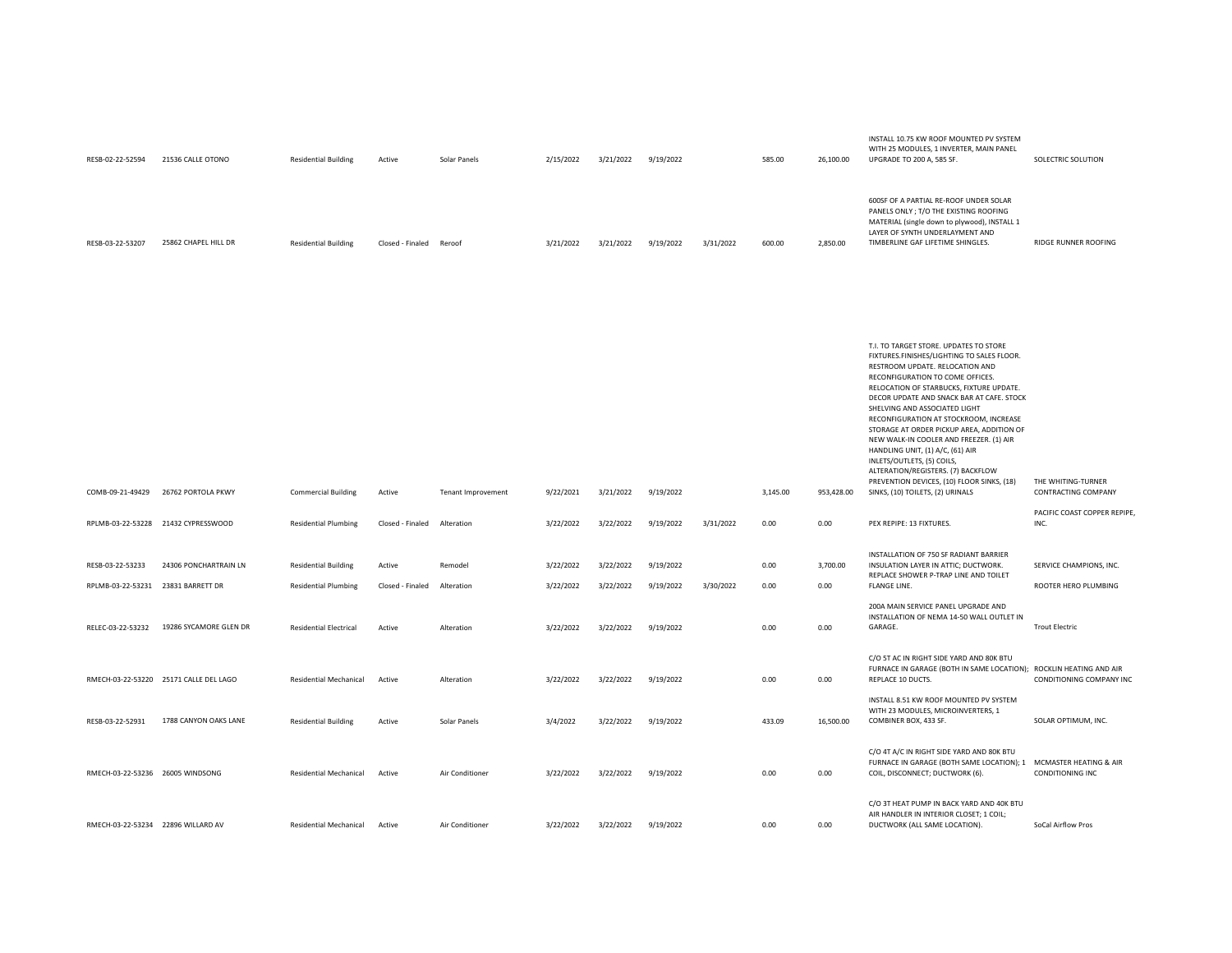| RESB-02-22-52594                                       | 21536 CALLE OTONO                      | <b>Residential Building</b>                                | Active                     | Solar Panels          | 2/15/2022              | 3/21/2022              | 9/19/2022              |           | 585.00       | 26,100.00        | WITH 25 MODULES, 1 INVERTER, MAIN PANEL<br>UPGRADE TO 200 A, 585 SF.                                                                                                                                                                                                                                                                                                                                                                                                                                                                                                                                              | SOLECTRIC SOLUTION                              |
|--------------------------------------------------------|----------------------------------------|------------------------------------------------------------|----------------------------|-----------------------|------------------------|------------------------|------------------------|-----------|--------------|------------------|-------------------------------------------------------------------------------------------------------------------------------------------------------------------------------------------------------------------------------------------------------------------------------------------------------------------------------------------------------------------------------------------------------------------------------------------------------------------------------------------------------------------------------------------------------------------------------------------------------------------|-------------------------------------------------|
| RESB-03-22-53207                                       | 25862 CHAPEL HILL DR                   | <b>Residential Building</b>                                | Closed - Finaled           | Reroof                | 3/21/2022              | 3/21/2022              | 9/19/2022              | 3/31/2022 | 600.00       | 2,850.00         | 600SF OF A PARTIAL RE-ROOF UNDER SOLAR<br>PANELS ONLY ; T/O THE EXISTING ROOFING<br>MATERIAL (single down to plywood), INSTALL 1<br>LAYER OF SYNTH UNDERLAYMENT AND<br>TIMBERLINE GAF LIFETIME SHINGLES.                                                                                                                                                                                                                                                                                                                                                                                                          | RIDGE RUNNER ROOFING                            |
| COMB-09-21-49429                                       | 26762 PORTOLA PKWY                     | <b>Commercial Building</b>                                 | Active                     | Tenant Improvement    | 9/22/2021              | 3/21/2022              | 9/19/2022              |           | 3,145.00     | 953,428.00       | T.I. TO TARGET STORE. UPDATES TO STORE<br>FIXTURES.FINISHES/LIGHTING TO SALES FLOOR.<br>RESTROOM UPDATE. RELOCATION AND<br>RECONFIGURATION TO COME OFFICES.<br>RELOCATION OF STARBUCKS, FIXTURE UPDATE.<br>DECOR UPDATE AND SNACK BAR AT CAFE. STOCK<br>SHELVING AND ASSOCIATED LIGHT<br>RECONFIGURATION AT STOCKROOM, INCREASE<br>STORAGE AT ORDER PICKUP AREA, ADDITION OF<br>NEW WALK-IN COOLER AND FREEZER. (1) AIR<br>HANDLING UNIT, (1) A/C, (61) AIR<br>INLETS/OUTLETS, (5) COILS,<br>ALTERATION/REGISTERS. (7) BACKFLOW<br>PREVENTION DEVICES, (10) FLOOR SINKS, (18)<br>SINKS, (10) TOILETS, (2) URINALS | THE WHITING-TURNER<br>CONTRACTING COMPANY       |
|                                                        | RPLMB-03-22-53228 21432 CYPRESSWOOD    | <b>Residential Plumbing</b>                                | Closed - Finaled           | Alteration            | 3/22/2022              | 3/22/2022              | 9/19/2022              | 3/31/2022 | 0.00         | 0.00             | PEX REPIPE: 13 FIXTURES.                                                                                                                                                                                                                                                                                                                                                                                                                                                                                                                                                                                          | PACIFIC COAST COPPER REPIPE,<br>INC.            |
| RESB-03-22-53233<br>RPLMB-03-22-53231 23831 BARRETT DR | 24306 PONCHARTRAIN LN                  | <b>Residential Building</b><br><b>Residential Plumbing</b> | Active<br>Closed - Finaled | Remodel<br>Alteration | 3/22/2022<br>3/22/2022 | 3/22/2022<br>3/22/2022 | 9/19/2022<br>9/19/2022 | 3/30/2022 | 0.00<br>0.00 | 3,700.00<br>0.00 | INSTALLATION OF 750 SF RADIANT BARRIER<br>INSULATION LAYER IN ATTIC; DUCTWORK.<br>REPLACE SHOWER P-TRAP LINE AND TOILET<br>FLANGE LINE.                                                                                                                                                                                                                                                                                                                                                                                                                                                                           | SERVICE CHAMPIONS, INC.<br>ROOTER HERO PLUMBING |
| RELEC-03-22-53232                                      | 19286 SYCAMORE GLEN DR                 | <b>Residential Electrical</b>                              | Active                     | Alteration            | 3/22/2022              | 3/22/2022              | 9/19/2022              |           | 0.00         | 0.00             | 200A MAIN SERVICE PANEL UPGRADE AND<br>INSTALLATION OF NEMA 14-50 WALL OUTLET IN<br>GARAGE.                                                                                                                                                                                                                                                                                                                                                                                                                                                                                                                       | <b>Trout Electric</b>                           |
|                                                        | RMECH-03-22-53220 25171 CALLE DEL LAGO | Residential Mechanical                                     | Active                     | Alteration            | 3/22/2022              | 3/22/2022              | 9/19/2022              |           | 0.00         | 0.00             | C/O 5T AC IN RIGHT SIDE YARD AND 80K BTU<br>FURNACE IN GARAGE (BOTH IN SAME LOCATION); ROCKLIN HEATING AND AIR<br>REPLACE 10 DUCTS.                                                                                                                                                                                                                                                                                                                                                                                                                                                                               | CONDITIONING COMPANY INC                        |
| RESB-03-22-52931                                       | 1788 CANYON OAKS LANE                  | <b>Residential Building</b>                                | Active                     | Solar Panels          | 3/4/2022               | 3/22/2022              | 9/19/2022              |           | 433.09       | 16,500.00        | INSTALL 8.51 KW ROOF MOUNTED PV SYSTEM<br>WITH 23 MODULES, MICROINVERTERS, 1<br>COMBINER BOX, 433 SF.                                                                                                                                                                                                                                                                                                                                                                                                                                                                                                             | SOLAR OPTIMUM, INC.                             |
| RMECH-03-22-53236 26005 WINDSONG                       |                                        | Residential Mechanical                                     | Active                     | Air Conditioner       | 3/22/2022              | 3/22/2022              | 9/19/2022              |           | 0.00         | 0.00             | C/O 4T A/C IN RIGHT SIDE YARD AND 80K BTU<br>FURNACE IN GARAGE (BOTH SAME LOCATION); 1 MCMASTER HEATING & AIR<br>COIL, DISCONNECT; DUCTWORK (6).                                                                                                                                                                                                                                                                                                                                                                                                                                                                  | CONDITIONING INC                                |
|                                                        | RMECH-03-22-53234 22896 WILLARD AV     | Residential Mechanical                                     | Active                     | Air Conditioner       | 3/22/2022              | 3/22/2022              | 9/19/2022              |           | 0.00         | 0.00             | C/O 3T HEAT PUMP IN BACK YARD AND 40K BTU<br>AIR HANDLER IN INTERIOR CLOSET; 1 COIL;<br>DUCTWORK (ALL SAME LOCATION).                                                                                                                                                                                                                                                                                                                                                                                                                                                                                             | SoCal Airflow Pros                              |

INSTALL 10.75 KW ROOF MOUNTED PV SYSTEM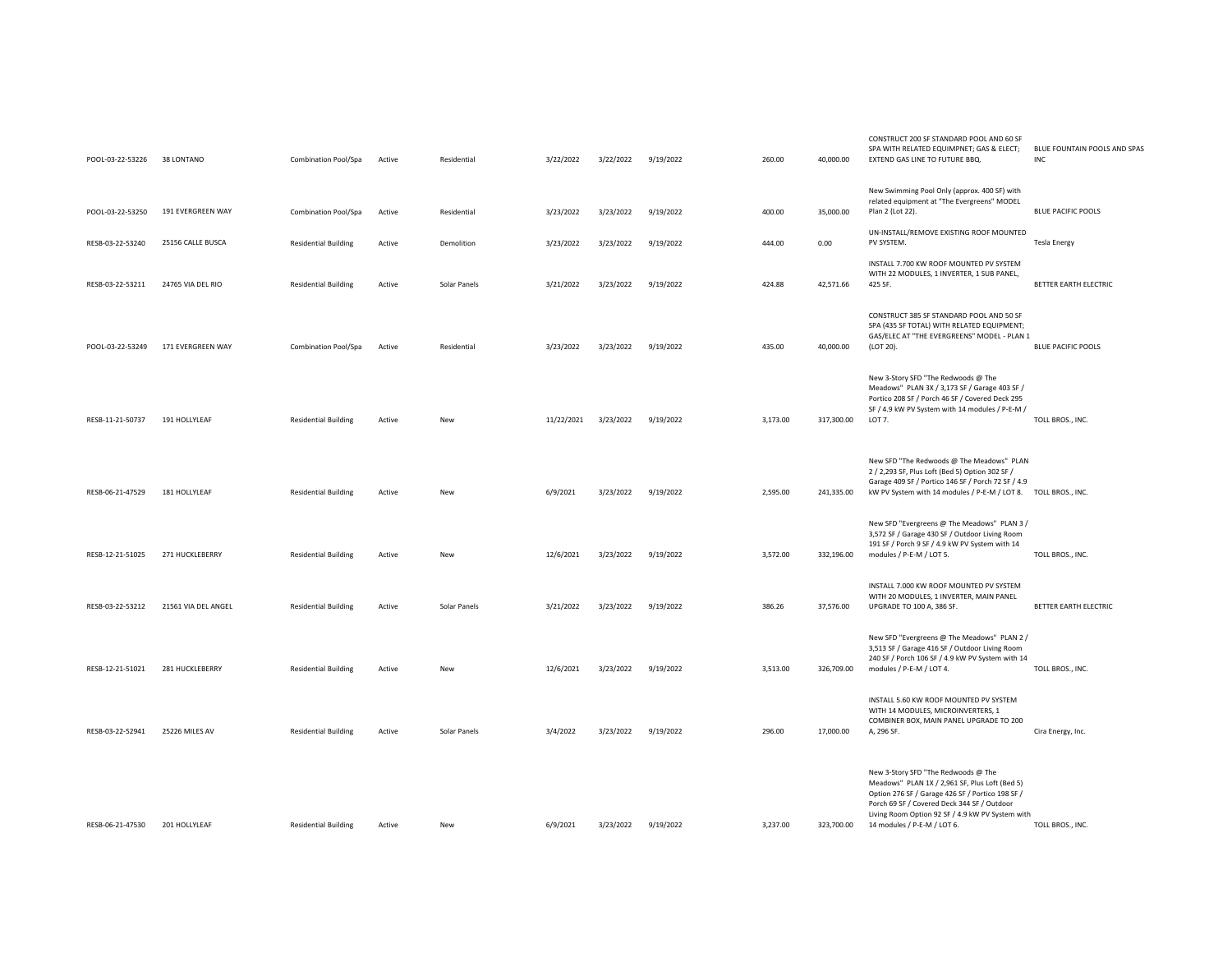| New Swimming Pool Only (approx. 400 SF) with<br>related equipment at "The Evergreens" MODEL<br>191 EVERGREEN WAY<br>Plan 2 (Lot 22).<br><b>BLUE PACIFIC POOLS</b><br>POOL-03-22-53250<br>Combination Pool/Spa<br>Residential<br>3/23/2022<br>3/23/2022<br>9/19/2022<br>400.00<br>35,000.00<br>Active<br>UN-INSTALL/REMOVE EXISTING ROOF MOUNTED<br>3/23/2022<br>444.00<br>0.00<br>RESB-03-22-53240<br>25156 CALLE BUSCA<br><b>Residential Building</b><br>Active<br>Demolition<br>3/23/2022<br>9/19/2022<br>PV SYSTEM.<br><b>Tesla Energy</b><br>INSTALL 7.700 KW ROOF MOUNTED PV SYSTEM<br>WITH 22 MODULES, 1 INVERTER, 1 SUB PANEL,<br>RESB-03-22-53211<br>24765 VIA DEL RIO<br><b>Residential Building</b><br>Solar Panels<br>3/21/2022<br>3/23/2022<br>9/19/2022<br>424.88<br>42,571.66<br>425 SF.<br>BETTER EARTH ELECTRIC<br>Active<br>CONSTRUCT 385 SF STANDARD POOL AND 50 SF<br>SPA (435 SF TOTAL) WITH RELATED EQUIPMENT;<br>GAS/ELEC AT "THE EVERGREENS" MODEL - PLAN 1<br>171 EVERGREEN WAY<br>3/23/2022<br>3/23/2022<br>9/19/2022<br>435.00<br>40,000.00<br>POOL-03-22-53249<br>Combination Pool/Spa<br>Active<br>Residential<br>(LOT 20).<br><b>BLUE PACIFIC POOLS</b><br>New 3-Story SFD "The Redwoods @ The<br>Meadows" PLAN 3X / 3,173 SF / Garage 403 SF /<br>Portico 208 SF / Porch 46 SF / Covered Deck 295<br>SF / 4.9 kW PV System with 14 modules / P-E-M /<br>RESB-11-21-50737<br>191 HOLLYLEAF<br><b>Residential Building</b><br>11/22/2021<br>3/23/2022<br>9/19/2022<br>3,173.00<br>317,300.00<br>LOT 7.<br>TOLL BROS., INC.<br>Active<br>New<br>New SFD "The Redwoods @ The Meadows" PLAN<br>2 / 2,293 SF, Plus Loft (Bed 5) Option 302 SF /<br>Garage 409 SF / Portico 146 SF / Porch 72 SF / 4.9<br>6/9/2021<br>RESB-06-21-47529<br>181 HOLLYLEAF<br><b>Residential Building</b><br>Active<br>New<br>3/23/2022<br>9/19/2022<br>2,595.00<br>241,335.00<br>kW PV System with 14 modules / P-E-M / LOT 8. TOLL BROS., INC.<br>New SFD "Evergreens @ The Meadows" PLAN 3 /<br>3,572 SF / Garage 430 SF / Outdoor Living Room<br>191 SF / Porch 9 SF / 4.9 kW PV System with 14<br>271 HUCKLEBERRY<br>modules / P-E-M / LOT 5.<br>TOLL BROS., INC.<br>RESB-12-21-51025<br><b>Residential Building</b><br>12/6/2021<br>3/23/2022<br>9/19/2022<br>3,572.00<br>332,196.00<br>Active<br>New<br>INSTALL 7.000 KW ROOF MOUNTED PV SYSTEM<br>WITH 20 MODULES, 1 INVERTER, MAIN PANEL<br>21561 VIA DEL ANGEL<br>UPGRADE TO 100 A, 386 SF.<br>BETTER EARTH ELECTRIC<br>RESB-03-22-53212<br><b>Residential Building</b><br>Active<br>Solar Panels<br>3/21/2022<br>3/23/2022<br>9/19/2022<br>386.26<br>37,576.00<br>New SFD "Evergreens @ The Meadows" PLAN 2 /<br>3,513 SF / Garage 416 SF / Outdoor Living Room<br>240 SF / Porch 106 SF / 4.9 kW PV System with 14<br>281 HUCKLEBERRY<br>modules / P-E-M / LOT 4.<br>TOLL BROS., INC.<br>RESB-12-21-51021<br><b>Residential Building</b><br>12/6/2021<br>3/23/2022<br>9/19/2022<br>3,513.00<br>326,709.00<br>Active<br>New<br>INSTALL 5.60 KW ROOF MOUNTED PV SYSTEM<br>WITH 14 MODULES, MICROINVERTERS, 1<br>COMBINER BOX, MAIN PANEL UPGRADE TO 200<br>3/4/2022<br>17,000.00<br>RESB-03-22-52941<br>25226 MILES AV<br><b>Residential Building</b><br>Solar Panels<br>3/23/2022<br>9/19/2022<br>296.00<br>A, 296 SF.<br>Active<br>Cira Energy, Inc.<br>New 3-Story SFD "The Redwoods @ The<br>Meadows" PLAN 1X / 2,961 SF, Plus Loft (Bed 5)<br>Option 276 SF / Garage 426 SF / Portico 198 SF /<br>Porch 69 SF / Covered Deck 344 SF / Outdoor<br>Living Room Option 92 SF / 4.9 kW PV System with<br>TOLL BROS., INC.<br>201 HOLLYLEAF<br>14 modules / P-E-M / LOT 6.<br>RESB-06-21-47530<br><b>Residential Building</b><br>6/9/2021<br>3/23/2022<br>9/19/2022<br>3,237.00<br>323,700.00<br>Active<br>New | POOL-03-22-53226 | 38 LONTANO | Combination Pool/Spa | Active | Residential | 3/22/2022 | 3/22/2022 | 9/19/2022 | 260.00 | 40,000.00 | CONSTRUCT 200 SF STANDARD POOL AND 60 SF<br>SPA WITH RELATED EQUIMPNET; GAS & ELECT;<br>EXTEND GAS LINE TO FUTURE BBQ. | BLUE FOUNTAIN POOLS AND SPAS<br><b>INC</b> |
|------------------------------------------------------------------------------------------------------------------------------------------------------------------------------------------------------------------------------------------------------------------------------------------------------------------------------------------------------------------------------------------------------------------------------------------------------------------------------------------------------------------------------------------------------------------------------------------------------------------------------------------------------------------------------------------------------------------------------------------------------------------------------------------------------------------------------------------------------------------------------------------------------------------------------------------------------------------------------------------------------------------------------------------------------------------------------------------------------------------------------------------------------------------------------------------------------------------------------------------------------------------------------------------------------------------------------------------------------------------------------------------------------------------------------------------------------------------------------------------------------------------------------------------------------------------------------------------------------------------------------------------------------------------------------------------------------------------------------------------------------------------------------------------------------------------------------------------------------------------------------------------------------------------------------------------------------------------------------------------------------------------------------------------------------------------------------------------------------------------------------------------------------------------------------------------------------------------------------------------------------------------------------------------------------------------------------------------------------------------------------------------------------------------------------------------------------------------------------------------------------------------------------------------------------------------------------------------------------------------------------------------------------------------------------------------------------------------------------------------------------------------------------------------------------------------------------------------------------------------------------------------------------------------------------------------------------------------------------------------------------------------------------------------------------------------------------------------------------------------------------------------------------------------------------------------------------------------------------------------------------------------------------------------------------------------------------------------------------------------------------------------------------------------------------------------------------------------------------------------------------------------------------------------------------------------------------------------------------------------------------------------------------------------------------------------------------------------------------------------------------------------------------|------------------|------------|----------------------|--------|-------------|-----------|-----------|-----------|--------|-----------|------------------------------------------------------------------------------------------------------------------------|--------------------------------------------|
|                                                                                                                                                                                                                                                                                                                                                                                                                                                                                                                                                                                                                                                                                                                                                                                                                                                                                                                                                                                                                                                                                                                                                                                                                                                                                                                                                                                                                                                                                                                                                                                                                                                                                                                                                                                                                                                                                                                                                                                                                                                                                                                                                                                                                                                                                                                                                                                                                                                                                                                                                                                                                                                                                                                                                                                                                                                                                                                                                                                                                                                                                                                                                                                                                                                                                                                                                                                                                                                                                                                                                                                                                                                                                                                                                                              |                  |            |                      |        |             |           |           |           |        |           |                                                                                                                        |                                            |
|                                                                                                                                                                                                                                                                                                                                                                                                                                                                                                                                                                                                                                                                                                                                                                                                                                                                                                                                                                                                                                                                                                                                                                                                                                                                                                                                                                                                                                                                                                                                                                                                                                                                                                                                                                                                                                                                                                                                                                                                                                                                                                                                                                                                                                                                                                                                                                                                                                                                                                                                                                                                                                                                                                                                                                                                                                                                                                                                                                                                                                                                                                                                                                                                                                                                                                                                                                                                                                                                                                                                                                                                                                                                                                                                                                              |                  |            |                      |        |             |           |           |           |        |           |                                                                                                                        |                                            |
|                                                                                                                                                                                                                                                                                                                                                                                                                                                                                                                                                                                                                                                                                                                                                                                                                                                                                                                                                                                                                                                                                                                                                                                                                                                                                                                                                                                                                                                                                                                                                                                                                                                                                                                                                                                                                                                                                                                                                                                                                                                                                                                                                                                                                                                                                                                                                                                                                                                                                                                                                                                                                                                                                                                                                                                                                                                                                                                                                                                                                                                                                                                                                                                                                                                                                                                                                                                                                                                                                                                                                                                                                                                                                                                                                                              |                  |            |                      |        |             |           |           |           |        |           |                                                                                                                        |                                            |
|                                                                                                                                                                                                                                                                                                                                                                                                                                                                                                                                                                                                                                                                                                                                                                                                                                                                                                                                                                                                                                                                                                                                                                                                                                                                                                                                                                                                                                                                                                                                                                                                                                                                                                                                                                                                                                                                                                                                                                                                                                                                                                                                                                                                                                                                                                                                                                                                                                                                                                                                                                                                                                                                                                                                                                                                                                                                                                                                                                                                                                                                                                                                                                                                                                                                                                                                                                                                                                                                                                                                                                                                                                                                                                                                                                              |                  |            |                      |        |             |           |           |           |        |           |                                                                                                                        |                                            |
|                                                                                                                                                                                                                                                                                                                                                                                                                                                                                                                                                                                                                                                                                                                                                                                                                                                                                                                                                                                                                                                                                                                                                                                                                                                                                                                                                                                                                                                                                                                                                                                                                                                                                                                                                                                                                                                                                                                                                                                                                                                                                                                                                                                                                                                                                                                                                                                                                                                                                                                                                                                                                                                                                                                                                                                                                                                                                                                                                                                                                                                                                                                                                                                                                                                                                                                                                                                                                                                                                                                                                                                                                                                                                                                                                                              |                  |            |                      |        |             |           |           |           |        |           |                                                                                                                        |                                            |
|                                                                                                                                                                                                                                                                                                                                                                                                                                                                                                                                                                                                                                                                                                                                                                                                                                                                                                                                                                                                                                                                                                                                                                                                                                                                                                                                                                                                                                                                                                                                                                                                                                                                                                                                                                                                                                                                                                                                                                                                                                                                                                                                                                                                                                                                                                                                                                                                                                                                                                                                                                                                                                                                                                                                                                                                                                                                                                                                                                                                                                                                                                                                                                                                                                                                                                                                                                                                                                                                                                                                                                                                                                                                                                                                                                              |                  |            |                      |        |             |           |           |           |        |           |                                                                                                                        |                                            |
|                                                                                                                                                                                                                                                                                                                                                                                                                                                                                                                                                                                                                                                                                                                                                                                                                                                                                                                                                                                                                                                                                                                                                                                                                                                                                                                                                                                                                                                                                                                                                                                                                                                                                                                                                                                                                                                                                                                                                                                                                                                                                                                                                                                                                                                                                                                                                                                                                                                                                                                                                                                                                                                                                                                                                                                                                                                                                                                                                                                                                                                                                                                                                                                                                                                                                                                                                                                                                                                                                                                                                                                                                                                                                                                                                                              |                  |            |                      |        |             |           |           |           |        |           |                                                                                                                        |                                            |
|                                                                                                                                                                                                                                                                                                                                                                                                                                                                                                                                                                                                                                                                                                                                                                                                                                                                                                                                                                                                                                                                                                                                                                                                                                                                                                                                                                                                                                                                                                                                                                                                                                                                                                                                                                                                                                                                                                                                                                                                                                                                                                                                                                                                                                                                                                                                                                                                                                                                                                                                                                                                                                                                                                                                                                                                                                                                                                                                                                                                                                                                                                                                                                                                                                                                                                                                                                                                                                                                                                                                                                                                                                                                                                                                                                              |                  |            |                      |        |             |           |           |           |        |           |                                                                                                                        |                                            |
|                                                                                                                                                                                                                                                                                                                                                                                                                                                                                                                                                                                                                                                                                                                                                                                                                                                                                                                                                                                                                                                                                                                                                                                                                                                                                                                                                                                                                                                                                                                                                                                                                                                                                                                                                                                                                                                                                                                                                                                                                                                                                                                                                                                                                                                                                                                                                                                                                                                                                                                                                                                                                                                                                                                                                                                                                                                                                                                                                                                                                                                                                                                                                                                                                                                                                                                                                                                                                                                                                                                                                                                                                                                                                                                                                                              |                  |            |                      |        |             |           |           |           |        |           |                                                                                                                        |                                            |
|                                                                                                                                                                                                                                                                                                                                                                                                                                                                                                                                                                                                                                                                                                                                                                                                                                                                                                                                                                                                                                                                                                                                                                                                                                                                                                                                                                                                                                                                                                                                                                                                                                                                                                                                                                                                                                                                                                                                                                                                                                                                                                                                                                                                                                                                                                                                                                                                                                                                                                                                                                                                                                                                                                                                                                                                                                                                                                                                                                                                                                                                                                                                                                                                                                                                                                                                                                                                                                                                                                                                                                                                                                                                                                                                                                              |                  |            |                      |        |             |           |           |           |        |           |                                                                                                                        |                                            |
|                                                                                                                                                                                                                                                                                                                                                                                                                                                                                                                                                                                                                                                                                                                                                                                                                                                                                                                                                                                                                                                                                                                                                                                                                                                                                                                                                                                                                                                                                                                                                                                                                                                                                                                                                                                                                                                                                                                                                                                                                                                                                                                                                                                                                                                                                                                                                                                                                                                                                                                                                                                                                                                                                                                                                                                                                                                                                                                                                                                                                                                                                                                                                                                                                                                                                                                                                                                                                                                                                                                                                                                                                                                                                                                                                                              |                  |            |                      |        |             |           |           |           |        |           |                                                                                                                        |                                            |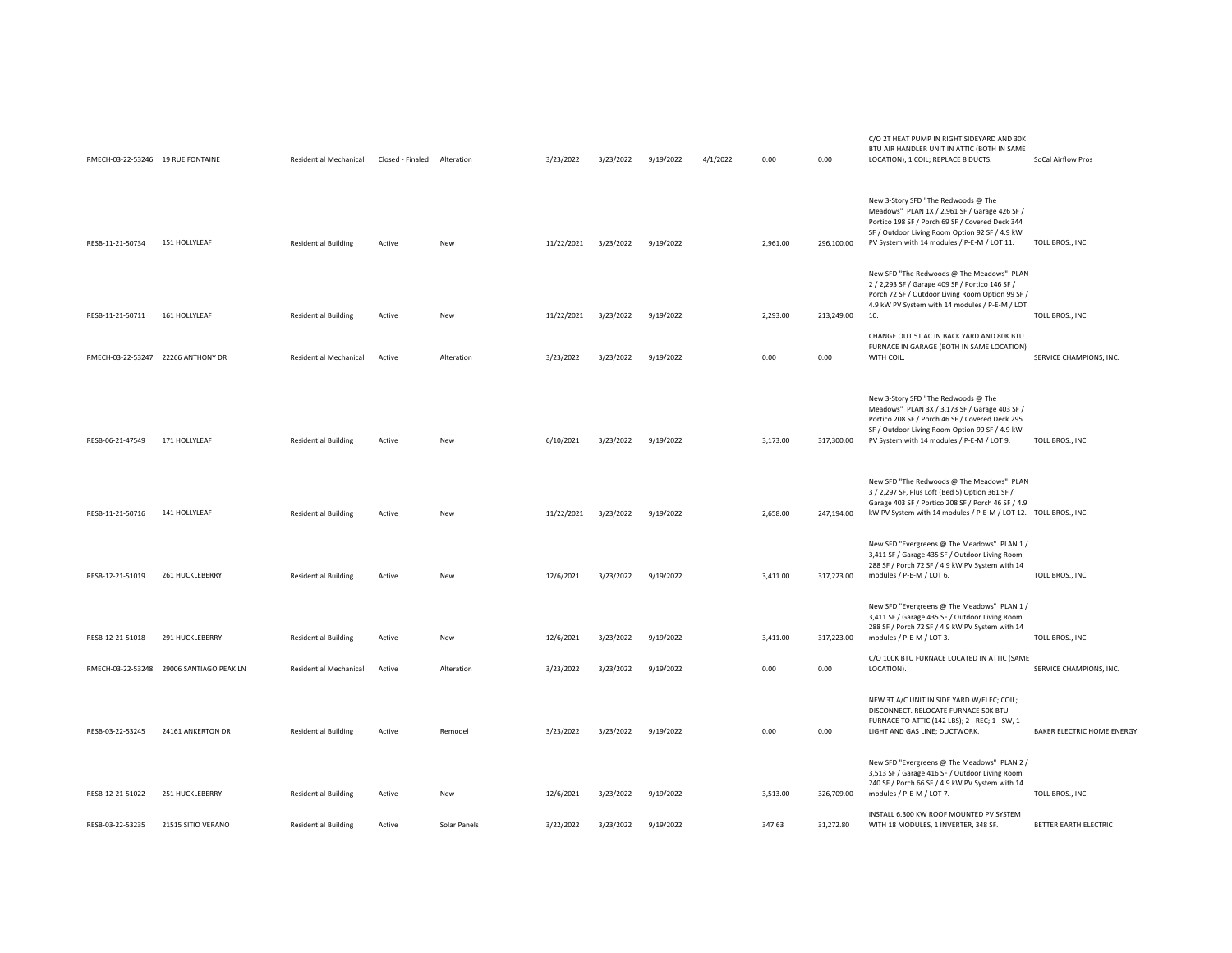| RMECH-03-22-53246 19 RUE FONTAINE  |                                          | <b>Residential Mechanical</b> | Closed - Finaled Alteration |              | 3/23/2022  | 3/23/2022 | 9/19/2022 | 4/1/2022 | 0.00     | 0.00       | C/O 2T HEAT PUMP IN RIGHT SIDEYARD AND 30K<br>BTU AIR HANDLER UNIT IN ATTIC (BOTH IN SAME<br>LOCATION), 1 COIL; REPLACE 8 DUCTS.                                                                                                         | SoCal Airflow Pros         |
|------------------------------------|------------------------------------------|-------------------------------|-----------------------------|--------------|------------|-----------|-----------|----------|----------|------------|------------------------------------------------------------------------------------------------------------------------------------------------------------------------------------------------------------------------------------------|----------------------------|
| RESB-11-21-50734                   | 151 HOLLYLEAF                            | <b>Residential Building</b>   | Active                      | New          | 11/22/2021 | 3/23/2022 | 9/19/2022 |          | 2,961.00 | 296,100.00 | New 3-Story SFD "The Redwoods @ The<br>Meadows" PLAN 1X / 2,961 SF / Garage 426 SF /<br>Portico 198 SF / Porch 69 SF / Covered Deck 344<br>SF / Outdoor Living Room Option 92 SF / 4.9 kW<br>PV System with 14 modules / P-E-M / LOT 11. | TOLL BROS., INC.           |
| RESB-11-21-50711                   | 161 HOLLYLEAF                            | <b>Residential Building</b>   | Active                      | New          | 11/22/2021 | 3/23/2022 | 9/19/2022 |          | 2,293.00 | 213,249.00 | New SFD "The Redwoods @ The Meadows" PLAN<br>2 / 2,293 SF / Garage 409 SF / Portico 146 SF /<br>Porch 72 SF / Outdoor Living Room Option 99 SF /<br>4.9 kW PV System with 14 modules / P-E-M / LOT<br>10.                                | TOLL BROS., INC.           |
| RMECH-03-22-53247 22266 ANTHONY DR |                                          | Residential Mechanical        | Active                      | Alteration   | 3/23/2022  | 3/23/2022 | 9/19/2022 |          | 0.00     | 0.00       | CHANGE OUT 5T AC IN BACK YARD AND 80K BTU<br>FURNACE IN GARAGE (BOTH IN SAME LOCATION)<br>WITH COIL.                                                                                                                                     | SERVICE CHAMPIONS, INC.    |
| RESB-06-21-47549                   | 171 HOLLYLEAF                            | <b>Residential Building</b>   | Active                      | New          | 6/10/2021  | 3/23/2022 | 9/19/2022 |          | 3,173.00 | 317,300.00 | New 3-Story SFD "The Redwoods @ The<br>Meadows" PLAN 3X / 3,173 SF / Garage 403 SF /<br>Portico 208 SF / Porch 46 SF / Covered Deck 295<br>SF / Outdoor Living Room Option 99 SF / 4.9 kW<br>PV System with 14 modules / P-E-M / LOT 9.  | TOLL BROS., INC.           |
| RESB-11-21-50716                   | 141 HOLLYLEAF                            | <b>Residential Building</b>   | Active                      | New          | 11/22/2021 | 3/23/2022 | 9/19/2022 |          | 2,658.00 | 247,194.00 | New SFD "The Redwoods @ The Meadows" PLAN<br>3 / 2,297 SF, Plus Loft (Bed 5) Option 361 SF /<br>Garage 403 SF / Portico 208 SF / Porch 46 SF / 4.9<br>kW PV System with 14 modules / P-E-M / LOT 12. TOLL BROS., INC.                    |                            |
| RESB-12-21-51019                   | 261 HUCKLEBERRY                          | <b>Residential Building</b>   | Active                      | New          | 12/6/2021  | 3/23/2022 | 9/19/2022 |          | 3,411.00 | 317,223.00 | New SFD "Evergreens @ The Meadows" PLAN 1 /<br>3,411 SF / Garage 435 SF / Outdoor Living Room<br>288 SF / Porch 72 SF / 4.9 kW PV System with 14<br>modules / P-E-M / LOT 6.                                                             | TOLL BROS., INC.           |
| RESB-12-21-51018                   | 291 HUCKLEBERRY                          | <b>Residential Building</b>   | Active                      | New          | 12/6/2021  | 3/23/2022 | 9/19/2022 |          | 3,411.00 | 317,223.00 | New SFD "Evergreens @ The Meadows" PLAN 1 /<br>3,411 SF / Garage 435 SF / Outdoor Living Room<br>288 SF / Porch 72 SF / 4.9 kW PV System with 14<br>modules / P-E-M / LOT 3.                                                             | TOLL BROS., INC.           |
|                                    | RMECH-03-22-53248 29006 SANTIAGO PEAK LN | Residential Mechanical        | Active                      | Alteration   | 3/23/2022  | 3/23/2022 | 9/19/2022 |          | 0.00     | 0.00       | C/O 100K BTU FURNACE LOCATED IN ATTIC (SAME<br>LOCATION).                                                                                                                                                                                | SERVICE CHAMPIONS, INC.    |
| RESB-03-22-53245                   | 24161 ANKERTON DR                        | <b>Residential Building</b>   | Active                      | Remodel      | 3/23/2022  | 3/23/2022 | 9/19/2022 |          | 0.00     | 0.00       | NEW 3T A/C UNIT IN SIDE YARD W/ELEC; COIL;<br>DISCONNECT. RELOCATE FURNACE 50K BTU<br>FURNACE TO ATTIC (142 LBS); 2 - REC; 1 - SW, 1 -<br>LIGHT AND GAS LINE; DUCTWORK.                                                                  | BAKER ELECTRIC HOME ENERGY |
| RESB-12-21-51022                   | 251 HUCKLEBERRY                          | <b>Residential Building</b>   | Active                      | New          | 12/6/2021  | 3/23/2022 | 9/19/2022 |          | 3,513.00 | 326,709.00 | New SFD "Evergreens @ The Meadows" PLAN 2 /<br>3,513 SF / Garage 416 SF / Outdoor Living Room<br>240 SF / Porch 66 SF / 4.9 kW PV System with 14<br>modules / P-E-M / LOT 7.                                                             | TOLL BROS., INC.           |
| RESB-03-22-53235                   | 21515 SITIO VERANO                       | <b>Residential Building</b>   | Active                      | Solar Panels | 3/22/2022  | 3/23/2022 | 9/19/2022 |          | 347.63   | 31,272.80  | INSTALL 6.300 KW ROOF MOUNTED PV SYSTEM<br>WITH 18 MODULES, 1 INVERTER, 348 SF.                                                                                                                                                          | BETTER EARTH ELECTRIC      |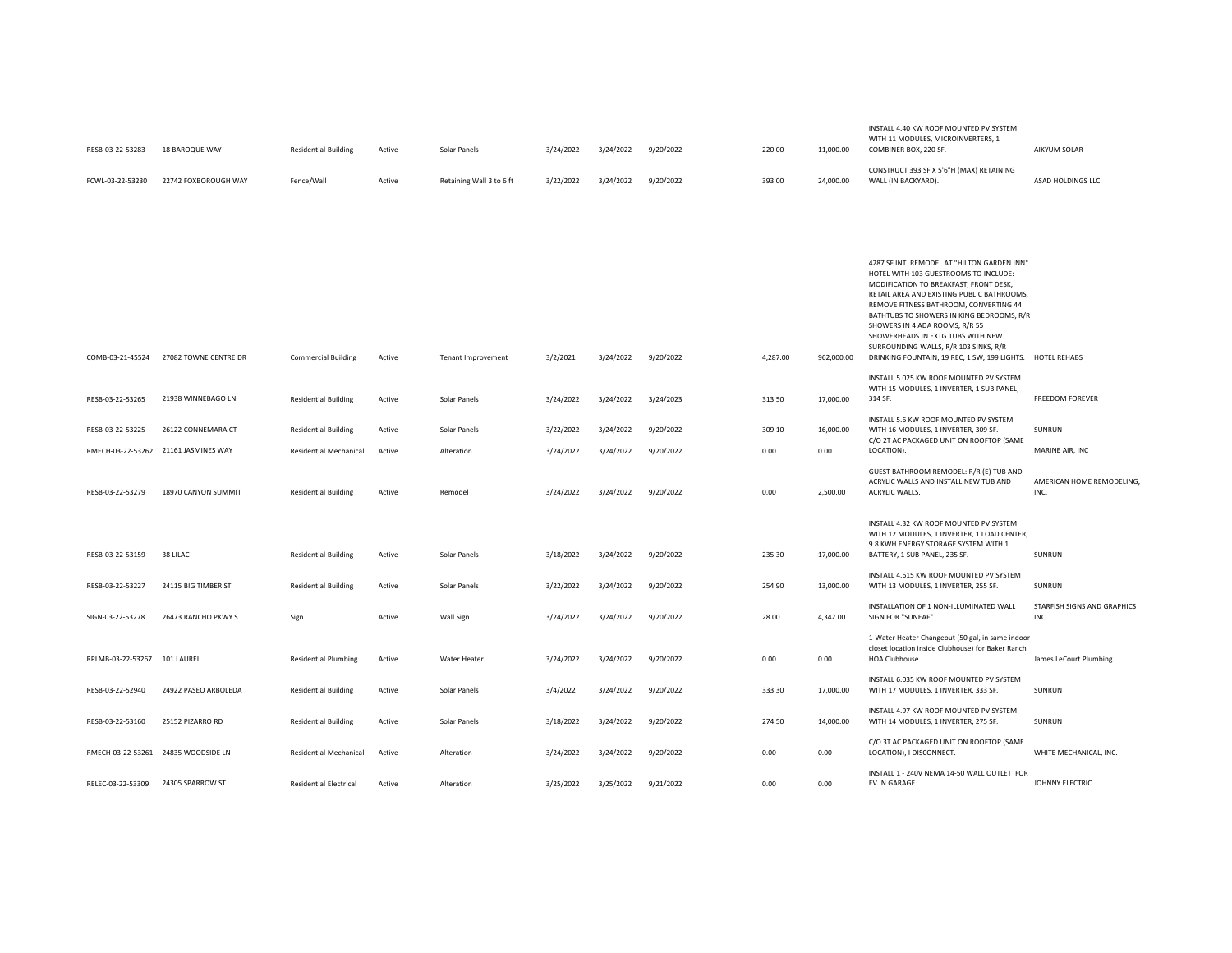|                   |                                      |                               |        |                           |           |           |           |          |            | HOTEL WITH 103 GUESTROOMS TO INCLUDE:<br>MODIFICATION TO BREAKFAST, FRONT DESK,<br>RETAIL AREA AND EXISTING PUBLIC BATHROOMS,<br>REMOVE FITNESS BATHROOM, CONVERTING 44<br>BATHTUBS TO SHOWERS IN KING BEDROOMS, R/R<br>SHOWERS IN 4 ADA ROOMS, R/R 55<br>SHOWERHEADS IN EXTG TUBS WITH NEW<br>SURROUNDING WALLS, R/R 103 SINKS, R/R |                                    |
|-------------------|--------------------------------------|-------------------------------|--------|---------------------------|-----------|-----------|-----------|----------|------------|--------------------------------------------------------------------------------------------------------------------------------------------------------------------------------------------------------------------------------------------------------------------------------------------------------------------------------------|------------------------------------|
| COMB-03-21-45524  | 27082 TOWNE CENTRE DR                | <b>Commercial Building</b>    | Active | <b>Tenant Improvement</b> | 3/2/2021  | 3/24/2022 | 9/20/2022 | 4,287.00 | 962,000.00 | DRINKING FOUNTAIN, 19 REC, 1 SW, 199 LIGHTS.                                                                                                                                                                                                                                                                                         | <b>HOTEL REHABS</b>                |
| RESB-03-22-53265  | 21938 WINNEBAGO LN                   | <b>Residential Building</b>   | Active | Solar Panels              | 3/24/2022 | 3/24/2022 | 3/24/2023 | 313.50   | 17,000.00  | INSTALL 5.025 KW ROOF MOUNTED PV SYSTEM<br>WITH 15 MODULES, 1 INVERTER, 1 SUB PANEL,<br>314 SF.                                                                                                                                                                                                                                      | <b>FREEDOM FOREVER</b>             |
| RESB-03-22-53225  | 26122 CONNEMARA CT                   | <b>Residential Building</b>   | Active | Solar Panels              | 3/22/2022 | 3/24/2022 | 9/20/2022 | 309.10   | 16.000.00  | INSTALL 5.6 KW ROOF MOUNTED PV SYSTEM<br>WITH 16 MODULES, 1 INVERTER, 309 SF.                                                                                                                                                                                                                                                        | <b>SUNRUN</b>                      |
|                   | RMECH-03-22-53262 21161 JASMINES WAY | <b>Residential Mechanical</b> | Active | Alteration                | 3/24/2022 | 3/24/2022 | 9/20/2022 | 0.00     | 0.00       | C/O 2T AC PACKAGED UNIT ON ROOFTOP (SAME<br>LOCATION).                                                                                                                                                                                                                                                                               | MARINE AIR, INC                    |
| RESB-03-22-53279  | 18970 CANYON SUMMIT                  | <b>Residential Building</b>   | Active | Remodel                   | 3/24/2022 | 3/24/2022 | 9/20/2022 | 0.00     | 2,500.00   | GUEST BATHROOM REMODEL: R/R (E) TUB AND<br>ACRYLIC WALLS AND INSTALL NEW TUB AND<br>ACRYLIC WALLS.                                                                                                                                                                                                                                   | AMERICAN HOME REMODELING,<br>INC.  |
|                   |                                      |                               |        |                           |           |           |           |          |            | INSTALL 4.32 KW ROOF MOUNTED PV SYSTEM<br>WITH 12 MODULES, 1 INVERTER, 1 LOAD CENTER,<br>9.8 KWH ENERGY STORAGE SYSTEM WITH 1                                                                                                                                                                                                        |                                    |
| RESB-03-22-53159  | 38 LILAC                             | <b>Residential Building</b>   | Active | Solar Panels              | 3/18/2022 | 3/24/2022 | 9/20/2022 | 235.30   | 17,000.00  | BATTERY, 1 SUB PANEL, 235 SF.                                                                                                                                                                                                                                                                                                        | SUNRUN                             |
| RESB-03-22-53227  | 24115 BIG TIMBER ST                  | <b>Residential Building</b>   | Active | Solar Panels              | 3/22/2022 | 3/24/2022 | 9/20/2022 | 254.90   | 13,000.00  | INSTALL 4.615 KW ROOF MOUNTED PV SYSTEM<br>WITH 13 MODULES, 1 INVERTER, 255 SF.                                                                                                                                                                                                                                                      | SUNRUN                             |
| SIGN-03-22-53278  | 26473 RANCHO PKWY S                  | Sign                          | Active | Wall Sign                 | 3/24/2022 | 3/24/2022 | 9/20/2022 | 28.00    | 4,342.00   | INSTALLATION OF 1 NON-ILLUMINATED WALL<br>SIGN FOR "SUNEAF".                                                                                                                                                                                                                                                                         | STARFISH SIGNS AND GRAPHICS<br>INC |
| RPLMB-03-22-53267 | 101 LAUREL                           | <b>Residential Plumbing</b>   | Active | Water Heater              | 3/24/2022 | 3/24/2022 | 9/20/2022 | 0.00     | 0.00       | 1-Water Heater Changeout (50 gal, in same indoor<br>closet location inside Clubhouse) for Baker Ranch<br><b>HOA Clubhouse.</b>                                                                                                                                                                                                       | James LeCourt Plumbing             |
| RESB-03-22-52940  | 24922 PASEO ARBOLEDA                 | <b>Residential Building</b>   | Active | Solar Panels              | 3/4/2022  | 3/24/2022 | 9/20/2022 | 333.30   | 17,000.00  | INSTALL 6.035 KW ROOF MOUNTED PV SYSTEM<br>WITH 17 MODULES, 1 INVERTER, 333 SF.                                                                                                                                                                                                                                                      | SUNRUN                             |
| RESB-03-22-53160  | 25152 PIZARRO RD                     | <b>Residential Building</b>   | Active | Solar Panels              | 3/18/2022 | 3/24/2022 | 9/20/2022 | 274.50   | 14,000.00  | INSTALL 4.97 KW ROOF MOUNTED PV SYSTEM<br>WITH 14 MODULES, 1 INVERTER, 275 SF.                                                                                                                                                                                                                                                       | SUNRUN                             |
|                   | RMECH-03-22-53261 24835 WOODSIDE LN  | Residential Mechanical        | Active | Alteration                | 3/24/2022 | 3/24/2022 | 9/20/2022 | 0.00     | 0.00       | C/O 3T AC PACKAGED UNIT ON ROOFTOP (SAME<br>LOCATION), I DISCONNECT.                                                                                                                                                                                                                                                                 | WHITE MECHANICAL, INC.             |
| RELEC-03-22-53309 | 24305 SPARROW ST                     | <b>Residential Electrical</b> | Active | Alteration                | 3/25/2022 | 3/25/2022 | 9/21/2022 | 0.00     | 0.00       | INSTALL 1 - 240V NEMA 14-50 WALL OUTLET FOR<br>EV IN GARAGE.                                                                                                                                                                                                                                                                         | JOHNNY ELECTRIC                    |

| RESB-03-22-53283 | 18 BAROQUE WAY       | <b>Residential Building</b> | Active | Solar Panels             | 3/24/2022 | 3/24/2022 | 9/20/2022 | 220.00 | 11,000.00 | INSTALL 4.40 KW ROOF MOUNTED PV SYSTEM<br>WITH 11 MODULES, MICROINVERTERS, 1<br>COMBINER BOX, 220 SF. | AIKYUM SOLAR      |
|------------------|----------------------|-----------------------------|--------|--------------------------|-----------|-----------|-----------|--------|-----------|-------------------------------------------------------------------------------------------------------|-------------------|
| FCWL-03-22-53230 | 22742 FOXBOROUGH WAY | Fence/Wall                  | Active | Retaining Wall 3 to 6 ft | 3/22/2022 | 3/24/2022 | 9/20/2022 | 393.00 | 24,000.00 | CONSTRUCT 393 SF X 5'6"H (MAX) RETAINING<br>WALL (IN BACKYARD).                                       | ASAD HOLDINGS LLC |

4287 SF INT. REMODEL AT "HILTON GARDEN INN"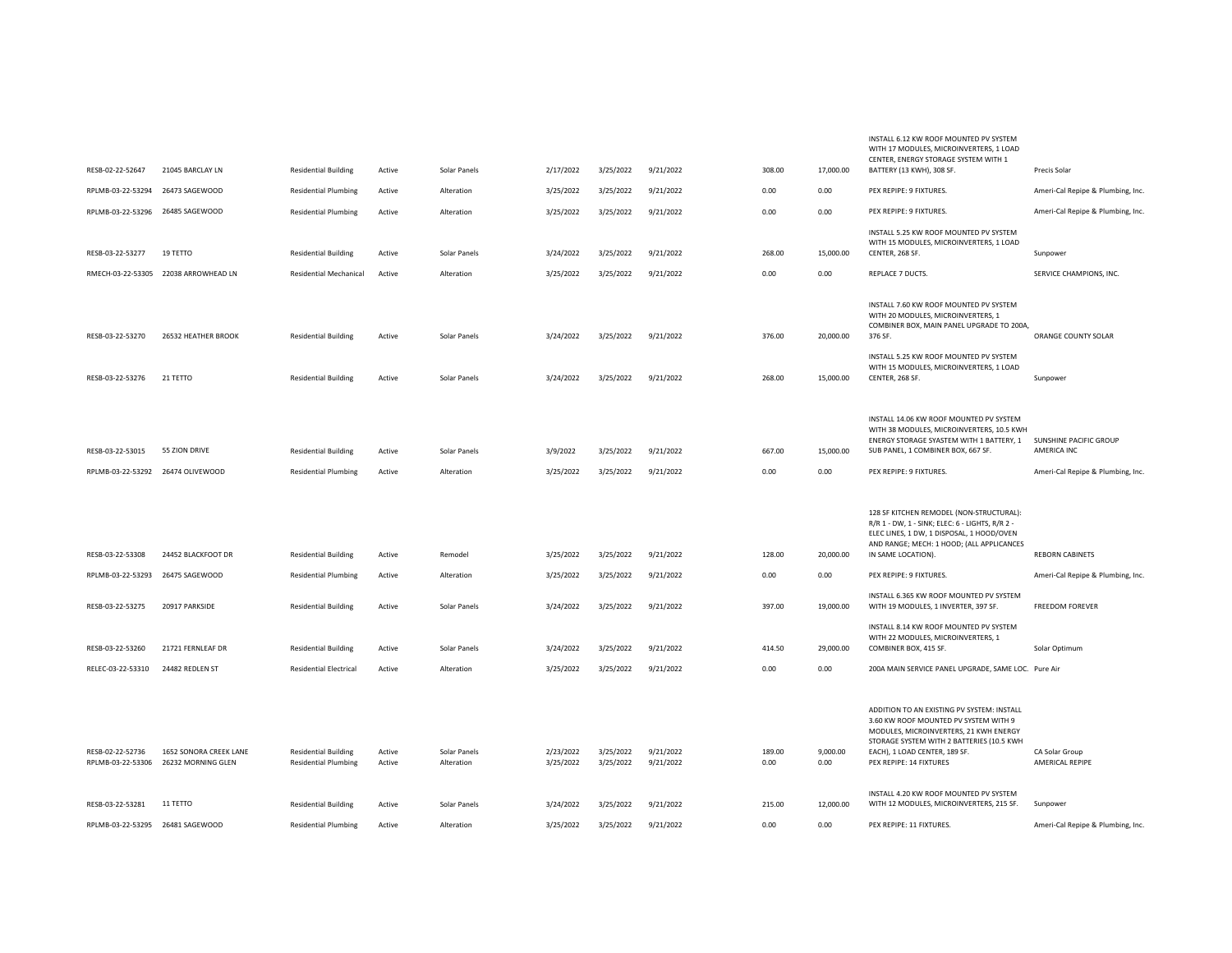|                                   |                                      |                                                            |        |              |                        |                        |                        |                |                   | WITH 17 MODULES, MICROINVERTERS, 1 LOAD<br>CENTER, ENERGY STORAGE SYSTEM WITH 1        |                                               |
|-----------------------------------|--------------------------------------|------------------------------------------------------------|--------|--------------|------------------------|------------------------|------------------------|----------------|-------------------|----------------------------------------------------------------------------------------|-----------------------------------------------|
| RESB-02-22-52647                  | 21045 BARCLAY LN                     | <b>Residential Building</b>                                | Active | Solar Panels | 2/17/2022              | 3/25/2022              | 9/21/2022              | 308.00         | 17,000.00         | BATTERY (13 KWH), 308 SF.                                                              | Precis Solar                                  |
| RPLMB-03-22-53294                 | 26473 SAGEWOOD                       | <b>Residential Plumbing</b>                                | Active | Alteration   | 3/25/2022              | 3/25/2022              | 9/21/2022              | 0.00           | 0.00              | PEX REPIPE: 9 FIXTURES.                                                                | Ameri-Cal Repipe & Plumbing, Inc.             |
| RPLMB-03-22-53296 26485 SAGEWOOD  |                                      | <b>Residential Plumbing</b>                                | Active | Alteration   | 3/25/2022              | 3/25/2022              | 9/21/2022              | 0.00           | 0.00              | PEX REPIPE: 9 FIXTURES.                                                                | Ameri-Cal Repipe & Plumbing, Inc.             |
|                                   |                                      |                                                            |        |              |                        |                        |                        |                |                   | INSTALL 5.25 KW ROOF MOUNTED PV SYSTEM                                                 |                                               |
| RESB-03-22-53277                  | 19 TETTO                             | <b>Residential Building</b>                                | Active | Solar Panels | 3/24/2022              | 3/25/2022              | 9/21/2022              | 268.00         | 15,000.00         | WITH 15 MODULES, MICROINVERTERS, 1 LOAD<br>CENTER, 268 SF.                             | Sunpower                                      |
|                                   | RMECH-03-22-53305 22038 ARROWHEAD LN | <b>Residential Mechanical</b>                              | Active | Alteration   | 3/25/2022              | 3/25/2022              | 9/21/2022              | 0.00           | 0.00              | REPLACE 7 DUCTS.                                                                       | SERVICE CHAMPIONS, INC.                       |
|                                   |                                      |                                                            |        |              |                        |                        |                        |                |                   |                                                                                        |                                               |
|                                   |                                      |                                                            |        |              |                        |                        |                        |                |                   | INSTALL 7.60 KW ROOF MOUNTED PV SYSTEM<br>WITH 20 MODULES, MICROINVERTERS, 1           |                                               |
| RESB-03-22-53270                  | 26532 HEATHER BROOK                  | <b>Residential Building</b>                                | Active | Solar Panels | 3/24/2022              | 3/25/2022              | 9/21/2022              | 376.00         | 20,000.00         | COMBINER BOX, MAIN PANEL UPGRADE TO 200A,<br>376 SF.                                   | ORANGE COUNTY SOLAR                           |
|                                   |                                      |                                                            |        |              |                        |                        |                        |                |                   | INSTALL 5.25 KW ROOF MOUNTED PV SYSTEM                                                 |                                               |
| RESB-03-22-53276                  | 21 TETTO                             | <b>Residential Building</b>                                | Active | Solar Panels | 3/24/2022              | 3/25/2022              | 9/21/2022              | 268.00         | 15,000.00         | WITH 15 MODULES, MICROINVERTERS, 1 LOAD<br>CENTER, 268 SF.                             | Sunpower                                      |
|                                   |                                      |                                                            |        |              |                        |                        |                        |                |                   |                                                                                        |                                               |
|                                   |                                      |                                                            |        |              |                        |                        |                        |                |                   | INSTALL 14.06 KW ROOF MOUNTED PV SYSTEM<br>WITH 38 MODULES, MICROINVERTERS, 10.5 KWH   |                                               |
|                                   |                                      |                                                            |        |              |                        |                        |                        |                |                   | ENERGY STORAGE SYASTEM WITH 1 BATTERY, 1                                               | SUNSHINE PACIFIC GROUP                        |
| RESB-03-22-53015                  | 55 ZION DRIVE                        | <b>Residential Building</b>                                | Active | Solar Panels | 3/9/2022               | 3/25/2022              | 9/21/2022              | 667.00         | 15,000.00         | SUB PANEL, 1 COMBINER BOX, 667 SF.                                                     | AMERICA INC                                   |
| RPLMB-03-22-53292 26474 OLIVEWOOD |                                      | <b>Residential Plumbing</b>                                | Active | Alteration   | 3/25/2022              | 3/25/2022              | 9/21/2022              | 0.00           | 0.00              | PEX REPIPE: 9 FIXTURES.                                                                | Ameri-Cal Repipe & Plumbing, Inc.             |
|                                   |                                      |                                                            |        |              |                        |                        |                        |                |                   | 128 SF KITCHEN REMODEL (NON-STRUCTURAL):                                               |                                               |
|                                   |                                      |                                                            |        |              |                        |                        |                        |                |                   | R/R 1 - DW, 1 - SINK; ELEC: 6 - LIGHTS, R/R 2 -                                        |                                               |
|                                   |                                      |                                                            |        |              |                        |                        |                        |                |                   |                                                                                        |                                               |
|                                   |                                      |                                                            |        |              |                        |                        |                        |                |                   | ELEC LINES, 1 DW, 1 DISPOSAL, 1 HOOD/OVEN<br>AND RANGE; MECH: 1 HOOD; (ALL APPLICANCES |                                               |
| RESB-03-22-53308                  | 24452 BLACKFOOT DR                   | <b>Residential Building</b>                                | Active | Remodel      | 3/25/2022              | 3/25/2022              | 9/21/2022              | 128.00         | 20,000.00         | IN SAME LOCATION).                                                                     | <b>REBORN CABINETS</b>                        |
| RPLMB-03-22-53293                 | 26475 SAGEWOOD                       | <b>Residential Plumbing</b>                                | Active | Alteration   | 3/25/2022              | 3/25/2022              | 9/21/2022              | 0.00           | 0.00              | PEX REPIPE: 9 FIXTURES.                                                                | Ameri-Cal Repipe & Plumbing, Inc.             |
| RESB-03-22-53275                  | 20917 PARKSIDE                       | <b>Residential Building</b>                                | Active | Solar Panels | 3/24/2022              | 3/25/2022              | 9/21/2022              | 397.00         | 19,000.00         | INSTALL 6.365 KW ROOF MOUNTED PV SYSTEM<br>WITH 19 MODULES, 1 INVERTER, 397 SF.        | <b>FREEDOM FOREVER</b>                        |
|                                   |                                      |                                                            |        |              |                        |                        |                        |                |                   | INSTALL 8.14 KW ROOF MOUNTED PV SYSTEM                                                 |                                               |
| RESB-03-22-53260                  | 21721 FERNLEAF DR                    | <b>Residential Building</b>                                | Active | Solar Panels | 3/24/2022              | 3/25/2022              | 9/21/2022              | 414.50         | 29,000.00         | WITH 22 MODULES, MICROINVERTERS, 1<br>COMBINER BOX, 415 SF.                            | Solar Optimum                                 |
| RELEC-03-22-53310                 | 24482 REDLEN ST                      | <b>Residential Electrical</b>                              | Active | Alteration   | 3/25/2022              | 3/25/2022              | 9/21/2022              | 0.00           | 0.00              | 200A MAIN SERVICE PANEL UPGRADE, SAME LOC. Pure Air                                    |                                               |
|                                   |                                      |                                                            |        |              |                        |                        |                        |                |                   |                                                                                        |                                               |
|                                   |                                      |                                                            |        |              |                        |                        |                        |                |                   | ADDITION TO AN EXISTING PV SYSTEM: INSTALL                                             |                                               |
|                                   |                                      |                                                            |        |              |                        |                        |                        |                |                   | 3.60 KW ROOF MOUNTED PV SYSTEM WITH 9<br>MODULES, MICROINVERTERS, 21 KWH ENERGY        |                                               |
| RESB-02-22-52736                  | 1652 SONORA CREEK LANE               | <b>Residential Building</b>                                | Active | Solar Panels | 2/23/2022              | 3/25/2022              | 9/21/2022              | 189.00         | 9,000.00          | STORAGE SYSTEM WITH 2 BATTERIES (10.5 KWH<br>EACH), 1 LOAD CENTER, 189 SF.             | CA Solar Group                                |
|                                   | RPLMB-03-22-53306 26232 MORNING GLEN | <b>Residential Plumbing</b>                                | Active | Alteration   | 3/25/2022              | 3/25/2022              | 9/21/2022              | 0.00           | 0.00              | PEX REPIPE: 14 FIXTURES                                                                | AMERICAL REPIPE                               |
| RESB-03-22-53281                  | 11 TETTO                             |                                                            | Active | Solar Panels |                        |                        |                        |                |                   | INSTALL 4.20 KW ROOF MOUNTED PV SYSTEM                                                 |                                               |
| RPLMB-03-22-53295 26481 SAGEWOOD  |                                      | <b>Residential Building</b><br><b>Residential Plumbing</b> | Active | Alteration   | 3/24/2022<br>3/25/2022 | 3/25/2022<br>3/25/2022 | 9/21/2022<br>9/21/2022 | 215.00<br>0.00 | 12,000.00<br>0.00 | WITH 12 MODULES, MICROINVERTERS, 215 SF.<br>PEX REPIPE: 11 FIXTURES.                   | Sunpower<br>Ameri-Cal Repipe & Plumbing, Inc. |

INSTALL 6.12 KW ROOF MOUNTED PV SYSTEM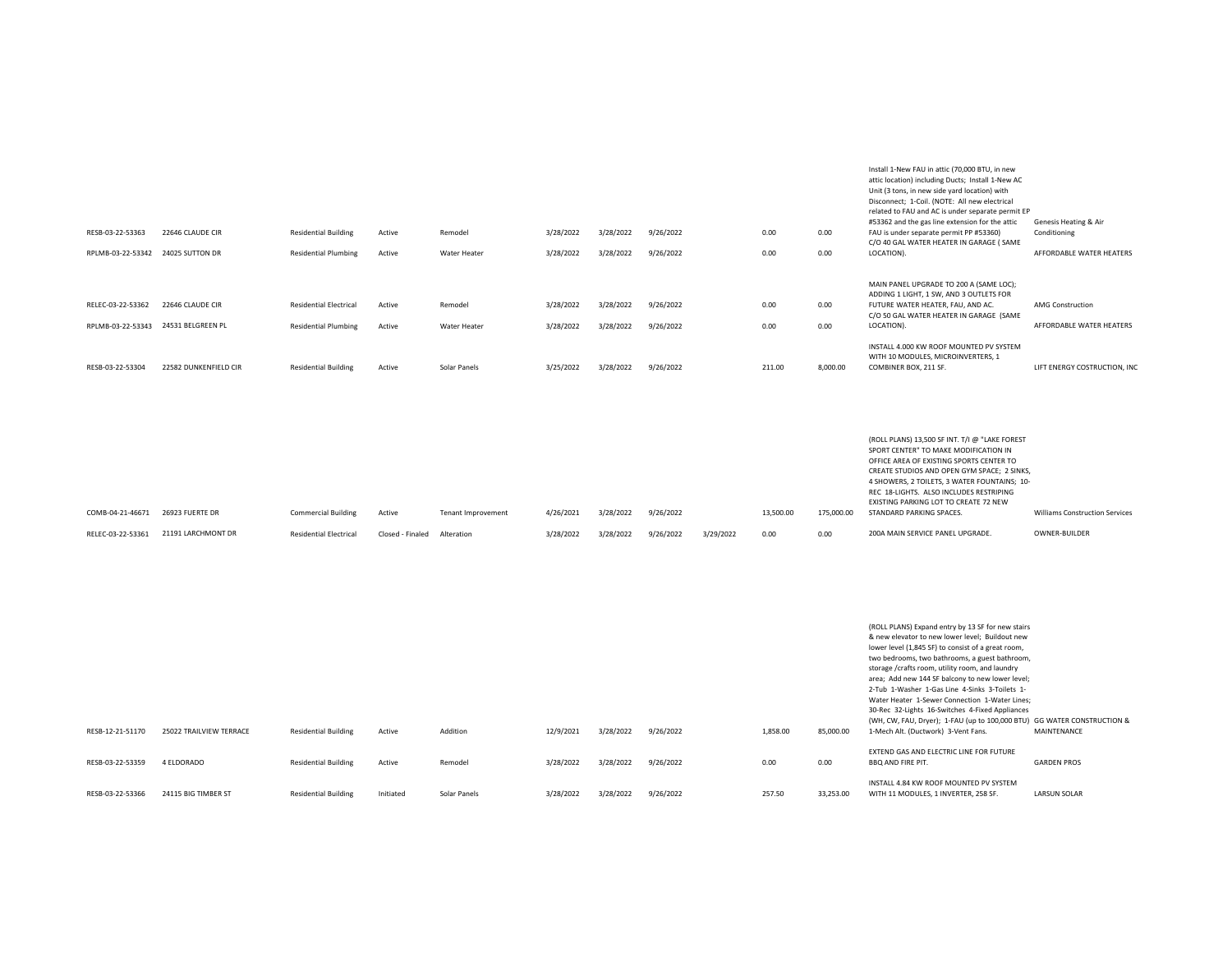| RESB-03-22-53363  | 22646 CLAUDE CIR                  | <b>Residential Building</b>   | Active | Remodel      | 3/28/2022 | 3/28/2022 | 9/26/2022 | 0.00   | 0.00     | Install 1-New FAU in attic (70,000 BTU, in new<br>attic location) including Ducts; Install 1-New AC<br>Unit (3 tons, in new side yard location) with<br>Disconnect; 1-Coil. (NOTE: All new electrical<br>related to FAU and AC is under separate permit EP<br>#53362 and the gas line extension for the attic<br>FAU is under separate permit PP #53360) | Genesis Heating & Air<br>Conditioning |
|-------------------|-----------------------------------|-------------------------------|--------|--------------|-----------|-----------|-----------|--------|----------|----------------------------------------------------------------------------------------------------------------------------------------------------------------------------------------------------------------------------------------------------------------------------------------------------------------------------------------------------------|---------------------------------------|
|                   | RPLMB-03-22-53342 24025 SUTTON DR | <b>Residential Plumbing</b>   | Active | Water Heater | 3/28/2022 | 3/28/2022 | 9/26/2022 | 0.00   | 0.00     | C/O 40 GAL WATER HEATER IN GARAGE ( SAME<br>LOCATION).                                                                                                                                                                                                                                                                                                   | AFFORDABLE WATER HEATERS              |
|                   |                                   |                               |        |              |           |           |           |        |          | MAIN PANEL UPGRADE TO 200 A (SAME LOC);<br>ADDING 1 LIGHT, 1 SW, AND 3 OUTLETS FOR                                                                                                                                                                                                                                                                       |                                       |
| RELEC-03-22-53362 | 22646 CLAUDE CIR                  | <b>Residential Electrical</b> | Active | Remodel      | 3/28/2022 | 3/28/2022 | 9/26/2022 | 0.00   | 0.00     | FUTURE WATER HEATER, FAU, AND AC.<br>C/O 50 GAL WATER HEATER IN GARAGE (SAME                                                                                                                                                                                                                                                                             | <b>AMG Construction</b>               |
| RPLMB-03-22-53343 | 24531 BELGREEN PL                 | <b>Residential Plumbing</b>   | Active | Water Heater | 3/28/2022 | 3/28/2022 | 9/26/2022 | 0.00   | 0.00     | LOCATION).                                                                                                                                                                                                                                                                                                                                               | AFFORDABLE WATER HEATERS              |
| RESB-03-22-53304  | 22582 DUNKENFIELD CIR             | <b>Residential Building</b>   | Active | Solar Panels | 3/25/2022 | 3/28/2022 | 9/26/2022 | 211.00 | 8,000.00 | INSTALL 4.000 KW ROOF MOUNTED PV SYSTEM<br>WITH 10 MODULES, MICROINVERTERS, 1<br>COMBINER BOX, 211 SF.                                                                                                                                                                                                                                                   | LIFT ENERGY COSTRUCTION, IN           |

|                   |                    |                               |                  |                    |           |           |           |           |           |            | (ROLL PLANS) 13,500 SF INT. T/I @ "LAKE FOREST<br>SPORT CENTER" TO MAKE MODIFICATION IN<br>OFFICE AREA OF EXISTING SPORTS CENTER TO<br>CREATE STUDIOS AND OPEN GYM SPACE; 2 SINKS,<br>4 SHOWERS, 2 TOILETS, 3 WATER FOUNTAINS; 10-<br>REC 18-LIGHTS. ALSO INCLUDES RESTRIPING |                                       |
|-------------------|--------------------|-------------------------------|------------------|--------------------|-----------|-----------|-----------|-----------|-----------|------------|-------------------------------------------------------------------------------------------------------------------------------------------------------------------------------------------------------------------------------------------------------------------------------|---------------------------------------|
| COMB-04-21-46671  | 26923 FUERTE DR    | <b>Commercial Building</b>    | Active           | Tenant Improvement | 4/26/2021 | 3/28/2022 | 9/26/2022 |           | 13,500.00 | 175,000.00 | EXISTING PARKING LOT TO CREATE 72 NEW<br>STANDARD PARKING SPACES.                                                                                                                                                                                                             | <b>Williams Construction Services</b> |
| RELEC-03-22-53361 | 21191 LARCHMONT DR | <b>Residential Electrical</b> | Closed - Finaled | Alteration         | 3/28/2022 | 3/28/2022 | 9/26/2022 | 3/29/2022 | 0.00      | 0.00       | 200A MAIN SERVICE PANEL UPGRADE.                                                                                                                                                                                                                                              | OWNER-BUILDER                         |

|                  |                         |                             |           |              |           |           |           |          |           | (ROLL PLANS) Expand entry by 13 SF for new stairs                       |                     |
|------------------|-------------------------|-----------------------------|-----------|--------------|-----------|-----------|-----------|----------|-----------|-------------------------------------------------------------------------|---------------------|
|                  |                         |                             |           |              |           |           |           |          |           | & new elevator to new lower level: Buildout new                         |                     |
|                  |                         |                             |           |              |           |           |           |          |           | lower level (1,845 SF) to consist of a great room,                      |                     |
|                  |                         |                             |           |              |           |           |           |          |           | two bedrooms, two bathrooms, a guest bathroom,                          |                     |
|                  |                         |                             |           |              |           |           |           |          |           | storage /crafts room, utility room, and laundry                         |                     |
|                  |                         |                             |           |              |           |           |           |          |           | area; Add new 144 SF balcony to new lower level;                        |                     |
|                  |                         |                             |           |              |           |           |           |          |           | 2-Tub 1-Washer 1-Gas Line 4-Sinks 3-Toilets 1-                          |                     |
|                  |                         |                             |           |              |           |           |           |          |           | Water Heater 1-Sewer Connection 1-Water Lines:                          |                     |
|                  |                         |                             |           |              |           |           |           |          |           | 30-Rec 32-Lights 16-Switches 4-Fixed Appliances                         |                     |
|                  |                         |                             |           |              |           |           |           |          |           | (WH, CW, FAU, Dryer); 1-FAU (up to 100,000 BTU) GG WATER CONSTRUCTION & |                     |
| RESB-12-21-51170 | 25022 TRAILVIEW TERRACE | <b>Residential Building</b> | Active    | Addition     | 12/9/2021 | 3/28/2022 | 9/26/2022 | 1,858.00 | 85,000.00 | 1-Mech Alt. (Ductwork) 3-Vent Fans.                                     | MAINTENANCE         |
|                  |                         |                             |           |              |           |           |           |          |           | EXTEND GAS AND ELECTRIC LINE FOR FUTURE                                 |                     |
| RESB-03-22-53359 | 4 ELDORADO              | <b>Residential Building</b> | Active    | Remodel      | 3/28/2022 | 3/28/2022 | 9/26/2022 | 0.00     | 0.00      | <b>BBO AND FIRE PIT.</b>                                                | <b>GARDEN PROS</b>  |
|                  |                         |                             |           |              |           |           |           |          |           | INSTALL 4.84 KW ROOF MOUNTED PV SYSTEM                                  |                     |
|                  |                         |                             |           |              |           |           |           |          |           |                                                                         |                     |
| RESB-03-22-53366 | 24115 BIG TIMBER ST     | <b>Residential Building</b> | Initiated | Solar Panels | 3/28/2022 | 3/28/2022 | 9/26/2022 | 257.50   | 33,253.00 | WITH 11 MODULES, 1 INVERTER, 258 SF.                                    | <b>LARSUN SOLAR</b> |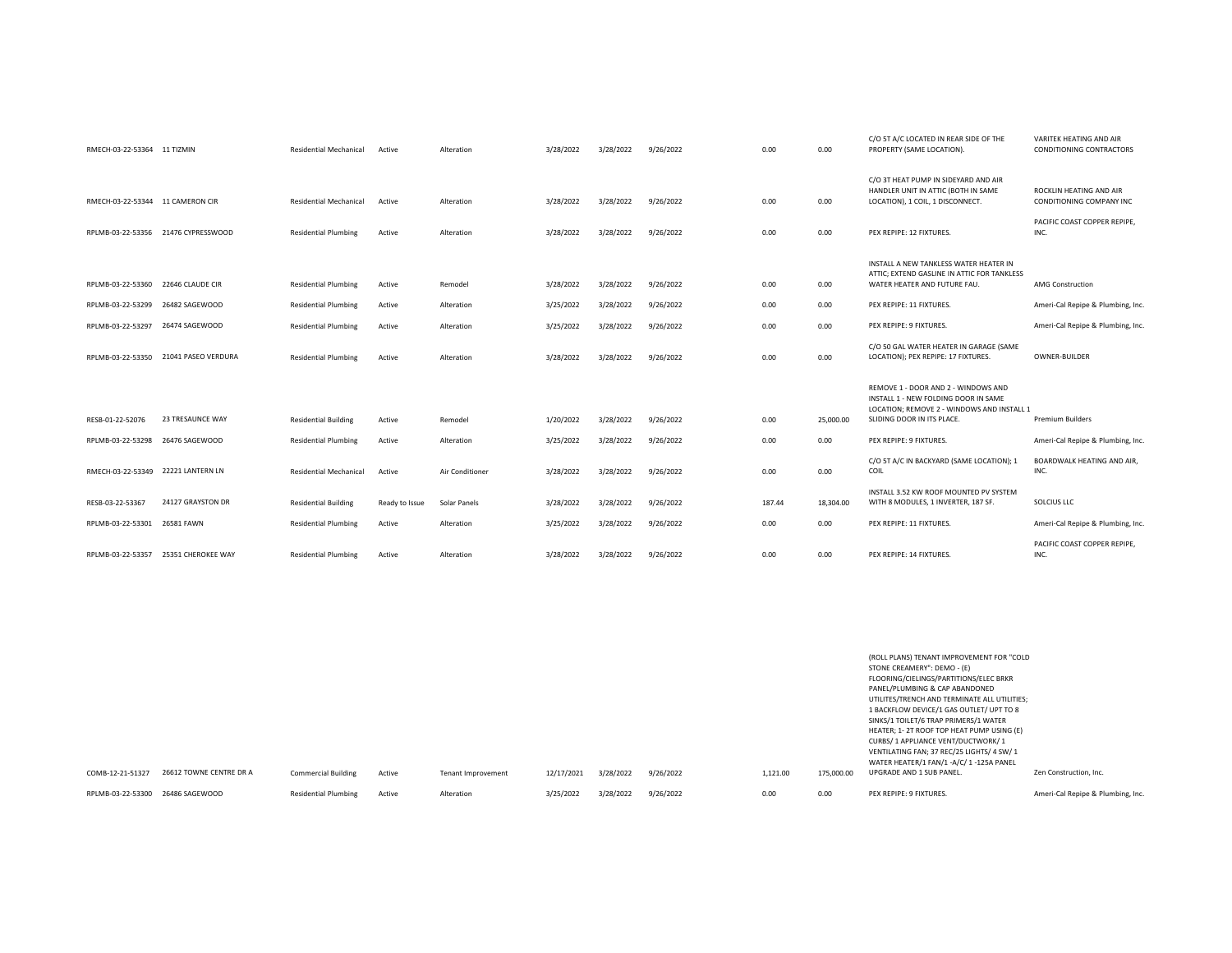|                   | RMECH-03-22-53364 11 TIZMIN         | <b>Residential Mechanical</b> | Active         | Alteration      | 3/28/2022 | 3/28/2022 | 9/26/2022 | 0.00   | 0.00      | C/O 5T A/C LOCATED IN REAR SIDE OF THE<br>PROPERTY (SAME LOCATION).                                                                                     | VARITEK HEATING AND AIR<br>CONDITIONING CONTRACTORS |
|-------------------|-------------------------------------|-------------------------------|----------------|-----------------|-----------|-----------|-----------|--------|-----------|---------------------------------------------------------------------------------------------------------------------------------------------------------|-----------------------------------------------------|
|                   | RMECH-03-22-53344 11 CAMERON CIR    | <b>Residential Mechanical</b> | Active         | Alteration      | 3/28/2022 | 3/28/2022 | 9/26/2022 | 0.00   | 0.00      | C/O 3T HEAT PUMP IN SIDEYARD AND AIR<br>HANDLER UNIT IN ATTIC (BOTH IN SAME<br>LOCATION), 1 COIL, 1 DISCONNECT.                                         | ROCKLIN HEATING AND AIR<br>CONDITIONING COMPANY INC |
|                   | RPLMB-03-22-53356 21476 CYPRESSWOOD | <b>Residential Plumbing</b>   | Active         | Alteration      | 3/28/2022 | 3/28/2022 | 9/26/2022 | 0.00   | 0.00      | PEX REPIPE: 12 FIXTURES.                                                                                                                                | PACIFIC COAST COPPER REPIPE.<br>INC.                |
|                   | RPLMB-03-22-53360 22646 CLAUDE CIR  | <b>Residential Plumbing</b>   | Active         | Remodel         | 3/28/2022 | 3/28/2022 | 9/26/2022 | 0.00   | 0.00      | INSTALL A NEW TANKLESS WATER HEATER IN<br>ATTIC: EXTEND GASLINE IN ATTIC FOR TANKLESS<br>WATER HEATER AND FUTURE FAU.                                   | <b>AMG Construction</b>                             |
| RPLMB-03-22-53299 | 26482 SAGEWOOD                      | <b>Residential Plumbing</b>   | Active         | Alteration      | 3/25/2022 | 3/28/2022 | 9/26/2022 | 0.00   | 0.00      | PEX REPIPE: 11 FIXTURES.                                                                                                                                | Ameri-Cal Repipe & Plumbing, Inc.                   |
|                   | RPLMB-03-22-53297 26474 SAGEWOOD    | <b>Residential Plumbing</b>   | Active         | Alteration      | 3/25/2022 | 3/28/2022 | 9/26/2022 | 0.00   | 0.00      | PEX REPIPE: 9 FIXTURES.                                                                                                                                 | Ameri-Cal Repipe & Plumbing, Inc.                   |
| RPLMB-03-22-53350 | 21041 PASEO VERDURA                 | <b>Residential Plumbing</b>   | Active         | Alteration      | 3/28/2022 | 3/28/2022 | 9/26/2022 | 0.00   | 0.00      | C/O 50 GAL WATER HEATER IN GARAGE (SAME<br>LOCATION); PEX REPIPE: 17 FIXTURES.                                                                          | OWNER-BUILDER                                       |
| RESB-01-22-52076  | 23 TRESAUNCE WAY                    | <b>Residential Building</b>   | Active         | Remodel         | 1/20/2022 | 3/28/2022 | 9/26/2022 | 0.00   | 25,000.00 | REMOVE 1 - DOOR AND 2 - WINDOWS AND<br>INSTALL 1 - NEW FOLDING DOOR IN SAME<br>LOCATION; REMOVE 2 - WINDOWS AND INSTALL 1<br>SLIDING DOOR IN ITS PLACE. | <b>Premium Builders</b>                             |
| RPLMB-03-22-53298 | 26476 SAGEWOOD                      | <b>Residential Plumbing</b>   | Active         | Alteration      | 3/25/2022 | 3/28/2022 | 9/26/2022 | 0.00   | 0.00      | PEX REPIPE: 9 FIXTURES.                                                                                                                                 | Ameri-Cal Repipe & Plumbing, Inc.                   |
|                   |                                     |                               |                |                 |           |           |           |        |           |                                                                                                                                                         |                                                     |
|                   | RMECH-03-22-53349 22221 LANTERN LN  | <b>Residential Mechanical</b> | Active         | Air Conditioner | 3/28/2022 | 3/28/2022 | 9/26/2022 | 0.00   | 0.00      | C/O 5T A/C IN BACKYARD (SAME LOCATION); 1<br>COIL                                                                                                       | BOARDWALK HEATING AND AIR,<br>INC.                  |
| RESB-03-22-53367  | 24127 GRAYSTON DR                   | <b>Residential Building</b>   | Ready to Issue | Solar Panels    | 3/28/2022 | 3/28/2022 | 9/26/2022 | 187.44 | 18,304.00 | INSTALL 3.52 KW ROOF MOUNTED PV SYSTEM<br>WITH 8 MODULES, 1 INVERTER, 187 SF.                                                                           | SOLCIUS LLC                                         |
| RPLMB-03-22-53301 | 26581 FAWN                          | <b>Residential Plumbing</b>   | Active         | Alteration      | 3/25/2022 | 3/28/2022 | 9/26/2022 | 0.00   | 0.00      | PEX REPIPE: 11 FIXTURES.                                                                                                                                | Ameri-Cal Repipe & Plumbing, Inc                    |
| RPLMB-03-22-53357 | 25351 CHEROKEE WAY                  | <b>Residential Plumbing</b>   | Active         | Alteration      | 3/28/2022 | 3/28/2022 | 9/26/2022 | 0.00   | 0.00      | PEX REPIPE: 14 FIXTURES.                                                                                                                                | PACIFIC COAST COPPER REPIPE.<br>INC.                |

|                   |                         |                             |        |                    |            |           |           |          |            | (ROLL PLANS) TENANT IMPROVEMENT FOR "COLD<br>STONE CREAMERY": DEMO - (E)<br>FLOORING/CIELINGS/PARTITIONS/ELEC BRKR<br>PANEL/PLUMBING & CAP ABANDONED<br>UTILITES/TRENCH AND TERMINATE ALL UTILITIES;<br>1 BACKFLOW DEVICE/1 GAS OUTLET/ UPT TO 8<br>SINKS/1 TOILET/6 TRAP PRIMERS/1 WATER<br>HEATER; 1-2T ROOF TOP HEAT PUMP USING (E)<br>CURBS/ 1 APPLIANCE VENT/DUCTWORK/ 1<br>VENTILATING FAN; 37 REC/25 LIGHTS/ 4 SW/ 1<br>WATER HEATER/1 FAN/1 -A/C/1-125A PANEL |                                   |
|-------------------|-------------------------|-----------------------------|--------|--------------------|------------|-----------|-----------|----------|------------|-----------------------------------------------------------------------------------------------------------------------------------------------------------------------------------------------------------------------------------------------------------------------------------------------------------------------------------------------------------------------------------------------------------------------------------------------------------------------|-----------------------------------|
| COMB-12-21-51327  | 26612 TOWNE CENTRE DR A | <b>Commercial Building</b>  | Active | Tenant Improvement | 12/17/2021 | 3/28/2022 | 9/26/2022 | 1,121.00 | 175,000.00 | UPGRADE AND 1 SUB PANEL.                                                                                                                                                                                                                                                                                                                                                                                                                                              | Zen Construction, Inc.            |
| RPLMB-03-22-53300 | 26486 SAGEWOOD          | <b>Residential Plumbing</b> | Active | Alteration         | 3/25/2022  | 3/28/2022 | 9/26/2022 | 0.00     | 0.00       | PEX REPIPE: 9 FIXTURES.                                                                                                                                                                                                                                                                                                                                                                                                                                               | Ameri-Cal Repipe & Plumbing, Inc. |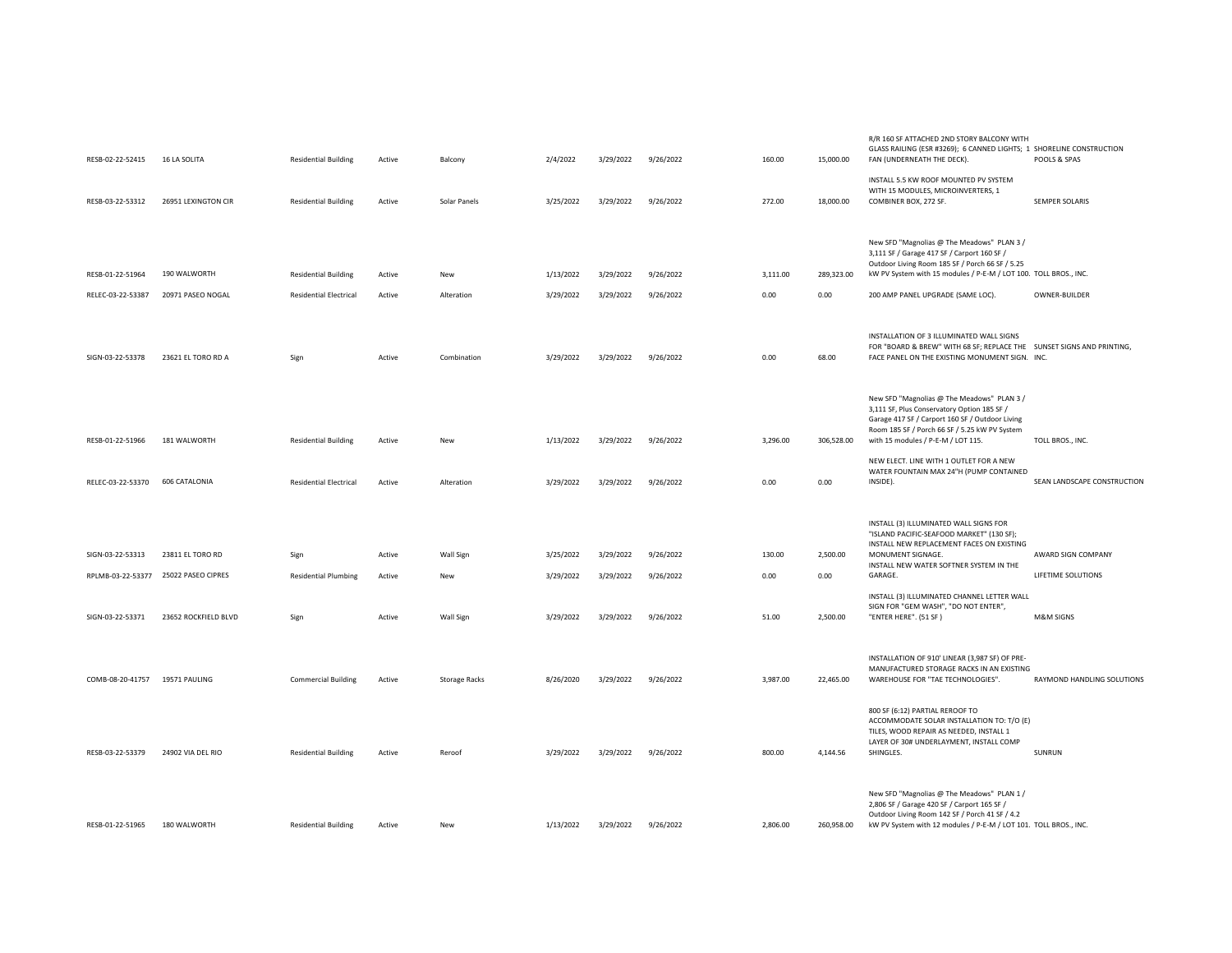| RESB-02-22-52415               | <b>16 LA SOLITA</b>                  | <b>Residential Building</b>   | Active | Balcony              | 2/4/2022  | 3/29/2022 | 9/26/2022 | 160.00   | 15,000.00  | R/R 160 SF ATTACHED 2ND STORY BALCONY WITH<br>GLASS RAILING (ESR #3269); 6 CANNED LIGHTS; 1 SHORELINE CONSTRUCTION<br>FAN (UNDERNEATH THE DECK).                                                                                    | POOLS & SPAS                |
|--------------------------------|--------------------------------------|-------------------------------|--------|----------------------|-----------|-----------|-----------|----------|------------|-------------------------------------------------------------------------------------------------------------------------------------------------------------------------------------------------------------------------------------|-----------------------------|
| RESB-03-22-53312               | 26951 LEXINGTON CIR                  | <b>Residential Building</b>   | Active | Solar Panels         | 3/25/2022 | 3/29/2022 | 9/26/2022 | 272.00   | 18,000.00  | INSTALL 5.5 KW ROOF MOUNTED PV SYSTEM<br>WITH 15 MODULES, MICROINVERTERS, 1<br>COMBINER BOX, 272 SF.                                                                                                                                | SEMPER SOLARIS              |
|                                |                                      |                               |        |                      |           |           |           |          |            | New SFD "Magnolias @ The Meadows" PLAN 3 /                                                                                                                                                                                          |                             |
| RESB-01-22-51964               | 190 WALWORTH                         | <b>Residential Building</b>   | Active | New                  | 1/13/2022 | 3/29/2022 | 9/26/2022 | 3,111.00 | 289,323.00 | 3,111 SF / Garage 417 SF / Carport 160 SF /<br>Outdoor Living Room 185 SF / Porch 66 SF / 5.25<br>kW PV System with 15 modules / P-E-M / LOT 100. TOLL BROS., INC.                                                                  |                             |
| RELEC-03-22-53387              | 20971 PASEO NOGAL                    | <b>Residential Electrical</b> | Active | Alteration           | 3/29/2022 | 3/29/2022 | 9/26/2022 | 0.00     | 0.00       | 200 AMP PANEL UPGRADE (SAME LOC)                                                                                                                                                                                                    | OWNER-BUILDER               |
| SIGN-03-22-53378               | 23621 EL TORO RD A                   | Sign                          | Active | Combination          | 3/29/2022 | 3/29/2022 | 9/26/2022 | 0.00     | 68.00      | INSTALLATION OF 3 ILLUMINATED WALL SIGNS<br>FOR "BOARD & BREW" WITH 68 SF; REPLACE THE SUNSET SIGNS AND PRINTING,<br>FACE PANEL ON THE EXISTING MONUMENT SIGN. INC.                                                                 |                             |
| RESB-01-22-51966               | 181 WALWORTH                         | <b>Residential Building</b>   | Active | New                  | 1/13/2022 | 3/29/2022 | 9/26/2022 | 3,296.00 | 306,528.00 | New SFD "Magnolias @ The Meadows" PLAN 3 /<br>3,111 SF, Plus Conservatory Option 185 SF /<br>Garage 417 SF / Carport 160 SF / Outdoor Living<br>Room 185 SF / Porch 66 SF / 5.25 kW PV System<br>with 15 modules / P-E-M / LOT 115. | TOLL BROS., INC.            |
| RELEC-03-22-53370              | 606 CATALONIA                        | <b>Residential Electrical</b> | Active | Alteration           | 3/29/2022 | 3/29/2022 | 9/26/2022 | 0.00     | 0.00       | NEW ELECT. LINE WITH 1 OUTLET FOR A NEW<br>WATER FOUNTAIN MAX 24"H (PUMP CONTAINED<br>INSIDE).                                                                                                                                      | SEAN LANDSCAPE CONSTRUCTION |
|                                |                                      |                               |        |                      |           |           |           |          |            | INSTALL (3) ILLUMINATED WALL SIGNS FOR<br>"ISLAND PACIFIC-SEAFOOD MARKET" (130 SF);                                                                                                                                                 |                             |
| SIGN-03-22-53313               | 23811 EL TORO RD                     | Sign                          | Active | Wall Sign            | 3/25/2022 | 3/29/2022 | 9/26/2022 | 130.00   | 2,500.00   | INSTALL NEW REPLACEMENT FACES ON EXISTING<br>MONUMENT SIGNAGE.<br>INSTALL NEW WATER SOFTNER SYSTEM IN THE                                                                                                                           | AWARD SIGN COMPANY          |
|                                | RPLMB-03-22-53377 25022 PASEO CIPRES | <b>Residential Plumbing</b>   | Active | New                  | 3/29/2022 | 3/29/2022 | 9/26/2022 | 0.00     | 0.00       | GARAGE.                                                                                                                                                                                                                             | LIFETIME SOLUTIONS          |
| SIGN-03-22-53371               | 23652 ROCKFIELD BLVD                 | Sign                          | Active | Wall Sign            | 3/29/2022 | 3/29/2022 | 9/26/2022 | 51.00    | 2,500.00   | INSTALL (3) ILLUMINATED CHANNEL LETTER WALL<br>SIGN FOR "GEM WASH", "DO NOT ENTER",<br>"ENTER HERE". (51 SF)                                                                                                                        | M&M SIGNS                   |
| COMB-08-20-41757 19571 PAULING |                                      | <b>Commercial Building</b>    | Active | <b>Storage Racks</b> | 8/26/2020 | 3/29/2022 | 9/26/2022 | 3,987.00 | 22,465.00  | INSTALLATION OF 910' LINEAR (3,987 SF) OF PRE-<br>MANUFACTURED STORAGE RACKS IN AN EXISTING<br>WAREHOUSE FOR "TAE TECHNOLOGIES".                                                                                                    | RAYMOND HANDLING SOLUTIONS  |
| RESB-03-22-53379               | 24902 VIA DEL RIO                    | <b>Residential Building</b>   | Active | Reroof               | 3/29/2022 | 3/29/2022 | 9/26/2022 | 800.00   | 4,144.56   | 800 SF (6:12) PARTIAL REROOF TO<br>ACCOMMODATE SOLAR INSTALLATION TO: T/O (E)<br>TILES, WOOD REPAIR AS NEEDED, INSTALL 1<br>LAYER OF 30# UNDERLAYMENT, INSTALL COMP<br>SHINGLES.                                                    | SUNRUN                      |
| RESB-01-22-51965               | 180 WALWORTH                         | <b>Residential Building</b>   | Active | New                  | 1/13/2022 | 3/29/2022 | 9/26/2022 | 2.806.00 | 260,958.00 | New SFD "Magnolias @ The Meadows" PLAN 1 /<br>2,806 SF / Garage 420 SF / Carport 165 SF /<br>Outdoor Living Room 142 SF / Porch 41 SF / 4.2<br>kW PV System with 12 modules / P-E-M / LOT 101. TOLL BROS., INC.                     |                             |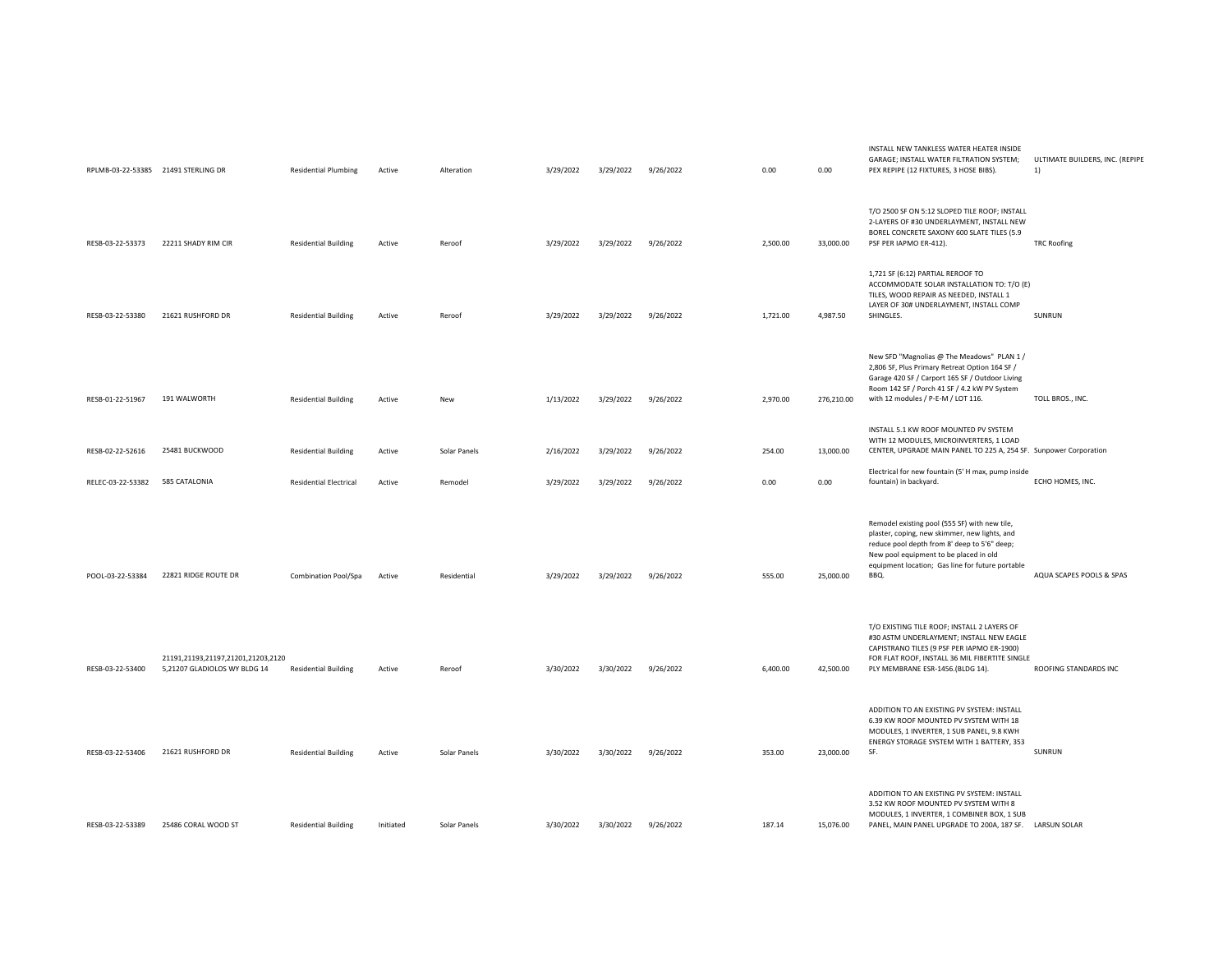| RPLMB-03-22-53385 21491 STERLING DR |                                                                    | <b>Residential Plumbing</b>   | Active    | Alteration   | 3/29/2022 | 3/29/2022 | 9/26/2022 | 0.00     | 0.00       | INSTALL NEW TANKLESS WATER HEATER INSIDE<br>GARAGE; INSTALL WATER FILTRATION SYSTEM;<br>PEX REPIPE (12 FIXTURES, 3 HOSE BIBS).                                                                                                                       | ULTIMATE BUILDERS, INC. (REPIPE<br>1) |
|-------------------------------------|--------------------------------------------------------------------|-------------------------------|-----------|--------------|-----------|-----------|-----------|----------|------------|------------------------------------------------------------------------------------------------------------------------------------------------------------------------------------------------------------------------------------------------------|---------------------------------------|
| RESB-03-22-53373                    | 22211 SHADY RIM CIR                                                | <b>Residential Building</b>   | Active    | Reroof       | 3/29/2022 | 3/29/2022 | 9/26/2022 | 2,500.00 | 33,000.00  | T/O 2500 SF ON 5:12 SLOPED TILE ROOF; INSTALL<br>2-LAYERS OF #30 UNDERLAYMENT, INSTALL NEW<br>BOREL CONCRETE SAXONY 600 SLATE TILES (5.9<br>PSF PER IAPMO ER-412).                                                                                   | <b>TRC Roofing</b>                    |
| RESB-03-22-53380                    | 21621 RUSHFORD DR                                                  | <b>Residential Building</b>   | Active    | Reroof       | 3/29/2022 | 3/29/2022 | 9/26/2022 | 1,721.00 | 4,987.50   | 1,721 SF (6:12) PARTIAL REROOF TO<br>ACCOMMODATE SOLAR INSTALLATION TO: T/O (E)<br>TILES, WOOD REPAIR AS NEEDED, INSTALL 1<br>LAYER OF 30# UNDERLAYMENT, INSTALL COMP<br>SHINGLES.                                                                   | SUNRUN                                |
| RESB-01-22-51967                    | 191 WALWORTH                                                       | <b>Residential Building</b>   | Active    | New          | 1/13/2022 | 3/29/2022 | 9/26/2022 | 2,970.00 | 276,210.00 | New SFD "Magnolias @ The Meadows" PLAN 1 /<br>2,806 SF, Plus Primary Retreat Option 164 SF /<br>Garage 420 SF / Carport 165 SF / Outdoor Living<br>Room 142 SF / Porch 41 SF / 4.2 kW PV System<br>with 12 modules / P-E-M / LOT 116.                | TOLL BROS., INC.                      |
| RESB-02-22-52616                    | 25481 BUCKWOOD                                                     | <b>Residential Building</b>   | Active    | Solar Panels | 2/16/2022 | 3/29/2022 | 9/26/2022 | 254.00   | 13,000.00  | INSTALL 5.1 KW ROOF MOUNTED PV SYSTEM<br>WITH 12 MODULES, MICROINVERTERS, 1 LOAD<br>CENTER, UPGRADE MAIN PANEL TO 225 A, 254 SF. Sunpower Corporation                                                                                                |                                       |
| RELEC-03-22-53382                   | 585 CATALONIA                                                      | <b>Residential Electrical</b> | Active    | Remodel      | 3/29/2022 | 3/29/2022 | 9/26/2022 | 0.00     | 0.00       | Electrical for new fountain (5' H max, pump inside<br>fountain) in backyard.                                                                                                                                                                         | ECHO HOMES, INC.                      |
| POOL-03-22-53384                    | 22821 RIDGE ROUTE DR                                               | Combination Pool/Spa          | Active    | Residential  | 3/29/2022 | 3/29/2022 | 9/26/2022 | 555.00   | 25,000.00  | Remodel existing pool (555 SF) with new tile,<br>plaster, coping, new skimmer, new lights, and<br>reduce pool depth from 8' deep to 5'6" deep;<br>New pool equipment to be placed in old<br>equipment location; Gas line for future portable<br>BBQ. | AQUA SCAPES POOLS & SPAS              |
| RESB-03-22-53400                    | 21191,21193,21197,21201,21203,2120<br>5,21207 GLADIOLOS WY BLDG 14 | <b>Residential Building</b>   | Active    | Reroof       | 3/30/2022 | 3/30/2022 | 9/26/2022 | 6,400.00 | 42,500.00  | T/O EXISTING TILE ROOF; INSTALL 2 LAYERS OF<br>#30 ASTM UNDERLAYMENT; INSTALL NEW EAGLE<br>CAPISTRANO TILES (9 PSF PER IAPMO ER-1900)<br>FOR FLAT ROOF, INSTALL 36 MIL FIBERTITE SINGLE<br>PLY MEMBRANE ESR-1456.(BLDG 14).                          | ROOFING STANDARDS INC                 |
| RESB-03-22-53406                    | 21621 RUSHFORD DR                                                  | <b>Residential Building</b>   | Active    | Solar Panels | 3/30/2022 | 3/30/2022 | 9/26/2022 | 353.00   | 23,000.00  | ADDITION TO AN EXISTING PV SYSTEM: INSTALL<br>6.39 KW ROOF MOUNTED PV SYSTEM WITH 18<br>MODULES, 1 INVERTER, 1 SUB PANEL, 9.8 KWH<br>ENERGY STORAGE SYSTEM WITH 1 BATTERY, 353<br>SF.                                                                | SUNRUN                                |
| RESB-03-22-53389                    | 25486 CORAL WOOD ST                                                | <b>Residential Building</b>   | Initiated | Solar Panels | 3/30/2022 | 3/30/2022 | 9/26/2022 | 187.14   | 15,076.00  | ADDITION TO AN EXISTING PV SYSTEM: INSTALL<br>3.52 KW ROOF MOUNTED PV SYSTEM WITH 8<br>MODULES, 1 INVERTER, 1 COMBINER BOX, 1 SUB<br>PANEL, MAIN PANEL UPGRADE TO 200A, 187 SF. LARSUN SOLAR                                                         |                                       |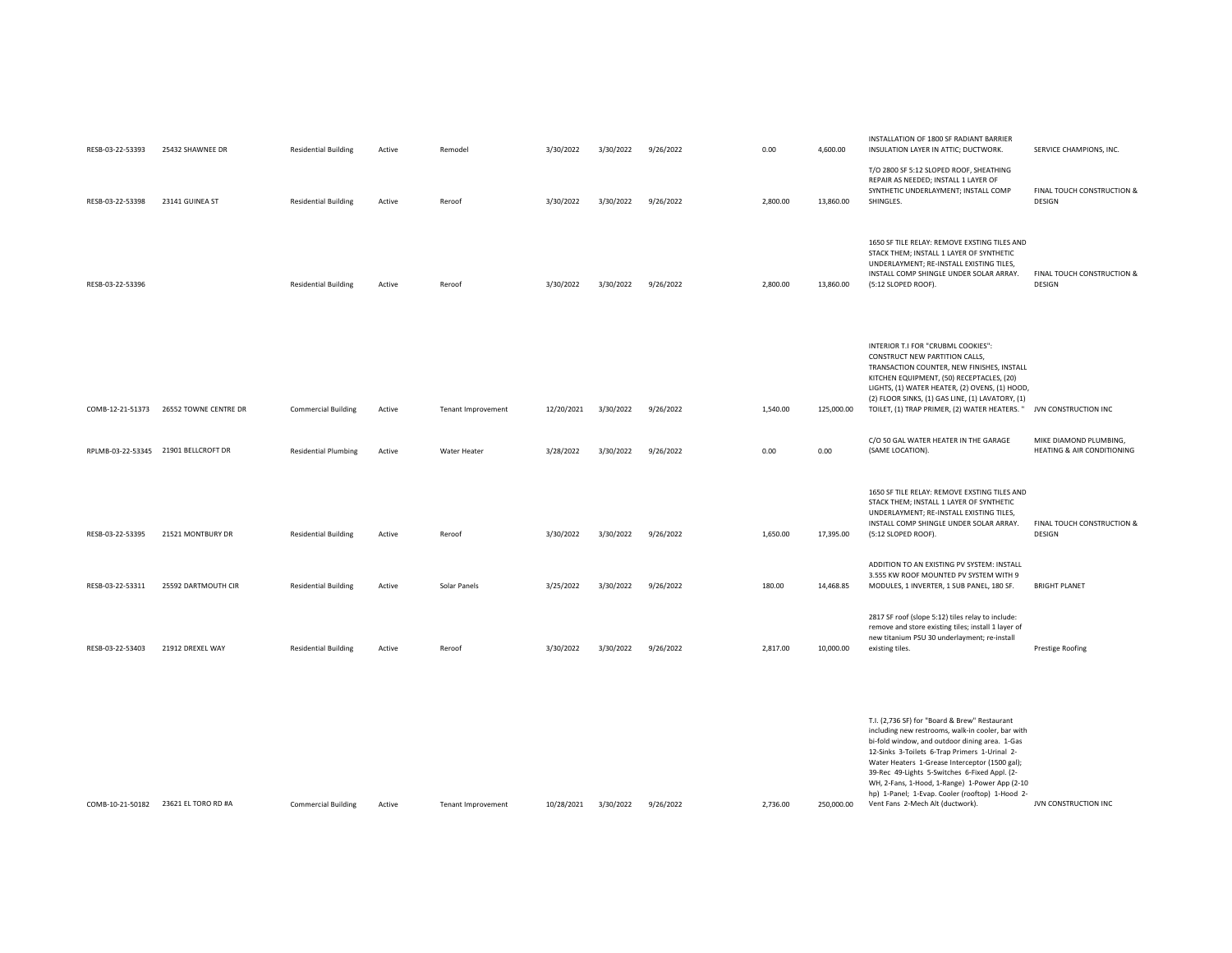| RESB-03-22-53393 | 25432 SHAWNEE DR                       | <b>Residential Building</b> | Active | Remodel            | 3/30/2022  | 3/30/2022 | 9/26/2022 | 0.00     | 4,600.00   | INSTALLATION OF 1800 SF RADIANT BARRIER<br>INSULATION LAYER IN ATTIC; DUCTWORK.                                                                                                                                                                                                                                                                                                                                                                   | SERVICE CHAMPIONS, INC.                              |
|------------------|----------------------------------------|-----------------------------|--------|--------------------|------------|-----------|-----------|----------|------------|---------------------------------------------------------------------------------------------------------------------------------------------------------------------------------------------------------------------------------------------------------------------------------------------------------------------------------------------------------------------------------------------------------------------------------------------------|------------------------------------------------------|
| RESB-03-22-53398 | 23141 GUINEA ST                        | <b>Residential Building</b> | Active | Reroof             | 3/30/2022  | 3/30/2022 | 9/26/2022 | 2,800.00 | 13,860.00  | T/O 2800 SF 5:12 SLOPED ROOF, SHEATHING<br>REPAIR AS NEEDED; INSTALL 1 LAYER OF<br>SYNTHETIC UNDERLAYMENT; INSTALL COMP<br>SHINGLES.                                                                                                                                                                                                                                                                                                              | FINAL TOUCH CONSTRUCTION &<br>DESIGN                 |
| RESB-03-22-53396 |                                        | <b>Residential Building</b> | Active | Reroof             | 3/30/2022  | 3/30/2022 | 9/26/2022 | 2,800.00 | 13,860.00  | 1650 SF TILE RELAY: REMOVE EXSTING TILES AND<br>STACK THEM; INSTALL 1 LAYER OF SYNTHETIC<br>UNDERLAYMENT; RE-INSTALL EXISTING TILES,<br>INSTALL COMP SHINGLE UNDER SOLAR ARRAY.<br>(5:12 SLOPED ROOF).                                                                                                                                                                                                                                            | FINAL TOUCH CONSTRUCTION &<br>DESIGN                 |
|                  | COMB-12-21-51373 26552 TOWNE CENTRE DR | <b>Commercial Building</b>  | Active | Tenant Improvement | 12/20/2021 | 3/30/2022 | 9/26/2022 | 1,540.00 | 125,000.00 | INTERIOR T.I FOR "CRUBML COOKIES":<br>CONSTRUCT NEW PARTITION CALLS,<br>TRANSACTION COUNTER, NEW FINISHES, INSTALL<br>KITCHEN EQUIPMENT, (50) RECEPTACLES, (20)<br>LIGHTS, (1) WATER HEATER, (2) OVENS, (1) HOOD,<br>(2) FLOOR SINKS, (1) GAS LINE, (1) LAVATORY, (1)<br>TOILET, (1) TRAP PRIMER, (2) WATER HEATERS. " JVN CONSTRUCTION INC                                                                                                       |                                                      |
|                  | RPLMB-03-22-53345 21901 BELLCROFT DR   | <b>Residential Plumbing</b> | Active | Water Heater       | 3/28/2022  | 3/30/2022 | 9/26/2022 | 0.00     | 0.00       | C/O 50 GAL WATER HEATER IN THE GARAGE<br>(SAME LOCATION).                                                                                                                                                                                                                                                                                                                                                                                         | MIKE DIAMOND PLUMBING,<br>HEATING & AIR CONDITIONING |
| RESB-03-22-53395 | 21521 MONTBURY DR                      | <b>Residential Building</b> | Active | Reroof             | 3/30/2022  | 3/30/2022 | 9/26/2022 | 1,650.00 | 17,395.00  | 1650 SF TILE RELAY: REMOVE EXSTING TILES AND<br>STACK THEM; INSTALL 1 LAYER OF SYNTHETIC<br>UNDERLAYMENT; RE-INSTALL EXISTING TILES,<br>INSTALL COMP SHINGLE UNDER SOLAR ARRAY.<br>(5:12 SLOPED ROOF).                                                                                                                                                                                                                                            | FINAL TOUCH CONSTRUCTION &<br>DESIGN                 |
| RESB-03-22-53311 | 25592 DARTMOUTH CIR                    | <b>Residential Building</b> | Active | Solar Panels       | 3/25/2022  | 3/30/2022 | 9/26/2022 | 180.00   | 14,468.85  | ADDITION TO AN EXISTING PV SYSTEM: INSTALL<br>3.555 KW ROOF MOUNTED PV SYSTEM WITH 9<br>MODULES, 1 INVERTER, 1 SUB PANEL, 180 SF.                                                                                                                                                                                                                                                                                                                 | <b>BRIGHT PLANET</b>                                 |
| RESB-03-22-53403 | 21912 DREXEL WAY                       | <b>Residential Building</b> | Active | Reroof             | 3/30/2022  | 3/30/2022 | 9/26/2022 | 2,817.00 | 10,000.00  | 2817 SF roof (slope 5:12) tiles relay to include:<br>remove and store existing tiles; install 1 layer of<br>new titanium PSU 30 underlayment; re-install<br>existing tiles.                                                                                                                                                                                                                                                                       | Prestige Roofing                                     |
|                  | COMB-10-21-50182 23621 EL TORO RD #A   | <b>Commercial Building</b>  | Active | Tenant Improvement | 10/28/2021 | 3/30/2022 | 9/26/2022 | 2,736.00 | 250,000.00 | T.I. (2,736 SF) for "Board & Brew" Restaurant<br>including new restrooms, walk-in cooler, bar with<br>bi-fold window, and outdoor dining area. 1-Gas<br>12-Sinks 3-Toilets 6-Trap Primers 1-Urinal 2-<br>Water Heaters 1-Grease Interceptor (1500 gal);<br>39-Rec 49-Lights 5-Switches 6-Fixed Appl. (2-<br>WH, 2-Fans, 1-Hood, 1-Range) 1-Power App (2-10<br>hp) 1-Panel; 1-Evap. Cooler (rooftop) 1-Hood 2-<br>Vent Fans 2-Mech Alt (ductwork). | JVN CONSTRUCTION INC                                 |